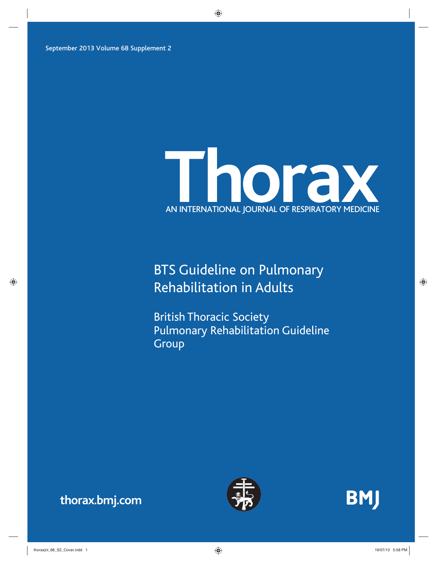

# BTS Guideline on Pulmonary Rehabilitation in Adults

British Thoracic Society Pulmonary Rehabilitation Guideline **Group** 





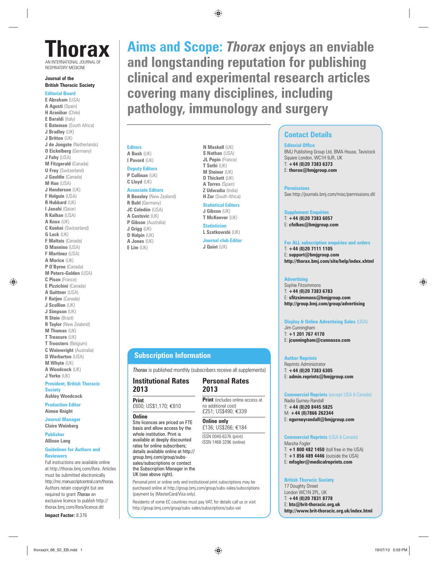

#### **Journal of the British Thoracic Society**

#### **Editorial Board**

**E Abraham** (USA) **A Agusti** (Spain) **H Aranibar** (Chile) **E Baraldi** (Italy) **E Bateman** (South Africa) **J Bradley** (UK) **J Britton** (UK) **J de Jongste** (Netherlands) **O Eickelberg** (Germany) **J Fahy** (USA) **M Fitzgerald** (Canada) **U Frey** (Switzerland) **J Gauldie** (Canada) **M Han** (USA) **J Henderson** (UK) **F Holguin** (USA) **R Hubbard** (UK) **I Janahi** (Qatar) **R Kalhan** (USA) **A Knox** (UK) **C Kuehni** (Switzerland) **G Lack** (UK) **F Maltais** (Canada) **D Mannino** (USA) **F Martinez** (USA) **A Morice** (UK) **P O'Byrne** (Canada) **M Peters-Golden** (USA) **C Pison** (France) **E Pizzichini** (Canada) **A Quittner** (USA) **F Ratjen** (Canada) **J Scullion** (UK) **J Simpson** (UK) **R Stein** (Brazil) **R Taylor** (New Zealand) **M Thomas** (UK) **T Treasure** (UK) **T Troosters** (Belgium) **C Wainwright** (Australia) **D Warburton** (USA) **M Whyte** (UK) **A Woodcock** (UK) **J Yorke** (UK)

#### **President, British Thoracic Society**

**Ashley Woodcock Production Editor**

**Aimee Knight**

#### **Journal Manager Claire Weinberg**

**Publisher Allison Lang**

#### **Guidelines for Authors and Reviewers**

Full instructions are available online at http://thorax.bmj.com/ifora. Articles must be submitted electronically http://mc.manuscriptcentral.com/thorax. Authors retain copyright but are required to grant *Thorax* an exclusive licence to publish http:// thorax.bmj.com/ifora/licence.dtl

**Impact Factor:** 8.376

**Aims and Scope:** *Thorax* **enjoys an enviable and longstanding reputation for publishing clinical and experimental research articles covering many disciplines, including pathology, immunology and surgery**

#### **Editors**

**A Bush** (UK) **I Pavord** (UK)

#### **Deputy Editors P Cullinan** (UK) **C Lloyd** (UK)

# **Associate Editors**

**R Beasley** (New Zealand) **R Buhl** (Germany) **JC Celedón** (USA) **A Custovic** (UK) **P Gibson** (Australia) **J Grigg** (UK) **D Halpin** (UK) **A Jones** (UK) **E Lim** (UK)

**N Maskell** (UK) **S Nathan** (USA) **JL Pepin** (France) **T Sethi** (UK) **M Steiner** (UK) **D Thickett** (UK) **A Torres** (Spain) **Z Udwadia** (India) **H Zar** (South Africa)

**Statistical Editors J Gibson** (UK) **T McKeever** (UK)

**Statistician L Szatkowshi** (UK)

**Journal club Editor**

**J Quint** (UK)

# **Contact Details**

#### **Editorial Office**

BMJ Publishing Group Ltd, BMA House, Tavistock Square London, WC1H 9JR, UK T: **+44 (0)20 7383 6373** E: **thorax@bmjgroup.com**

**Permissions** See http://journals.bmj.com/misc/permissions.dtl

#### **Supplement Enquiries** T: **+44 (0)20 7383 6057** E: **cfolkes@bmjgroup.com**

#### **For ALL subscription enquiries and orders**

T: **+44 (0)20 7111 1105** E: **support@bmjgroup.com http://thorax.bmj.com/site/help/index.xhtml**

#### **Advertising**

Sophie Fitzsimmons T: **+44 (0)20 7383 6783** E: **sfi tzsimmons@bmjgroup.com http://group.bmj.com/group/advertising**

#### **Display & Online Advertising Sales** (USA)

Jim Cunningham T: **+1 201 767 4170** E: **jcunningham@cunnasso.com**

#### **Author Reprints**

Reprints Administrator T: **+44 (0)20 7383 6305** E: **admin.reprints@bmjgroup.com**

#### **Commercial Reprints** (except USA & Canada)

Nadia Gurney-Randall T: **+44 (0)20 8445 5825** M: **+44 (0)7866 262344** E: **ngurneyrandall@bmjgroup.com**

#### **Commercial Reprints** (USA & Canada)

Marsha Fogler T: **+1 800 482 1450** (toll free in the USA) T: **+1 856 489 4446** (outside the USA) E: **mfogler@medicalreprints.com**

#### **British Thoracic Society**

17 Doughty Street London WC1N 2PL, UK T: **+44 (0)20 7831 8778** E: **bts@brit-thoracic.org.uk http://www.brit-thoracic.org.uk/index.html**

# **Personal Rates 2013**

*Thorax* is published monthly (subscribers receive all supplements)

**Print** (includes online access at no additional cost) £251; US\$490; €339

#### **Online only** £136; US\$266; €184

ISSN 0040-6376 (print) ISSN 1468-3296 (online)

Site licences are priced on FTE basis and allow access by the whole institution. Print is available at deeply discounted rates for online subscribers; details available online at http:// group.bmj.com/group/subssales/subscriptions or contact the Subscription Manager in the

**Subscription Information**

**Institutional Rates** 

£600; US\$1,170; €810

UK (see above right).

**2013 Print**

**Online**

Personal print or online only and institutional print subscriptions may be purchased online at http://group.bmj.com/group/subs-sales/subscriptions (payment by (MasterCard/Visa only).

Residents of some EC countries must pay VAT; for details call us or visit http://group.bmj.com/group/subs-sales/subscriptions/subs-vat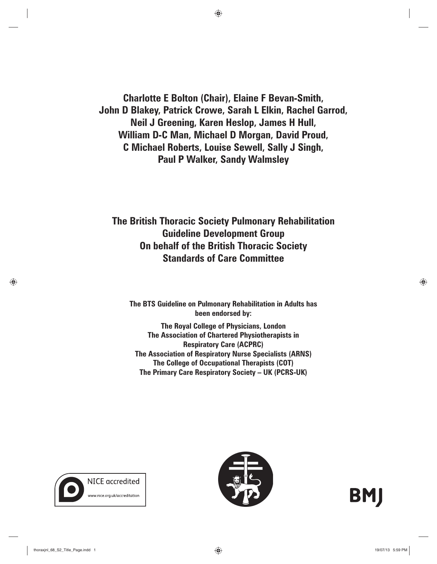**Charlotte E Bolton (Chair), Elaine F Bevan-Smith, John D Blakey, Patrick Crowe, Sarah L Elkin, Rachel Garrod, Neil J Greening, Karen Heslop, James H Hull, William D-C Man, Michael D Morgan, David Proud, C Michael Roberts, Louise Sewell, Sally J Singh, Paul P Walker, Sandy Walmsley** 

# **The British Thoracic Society Pulmonary Rehabilitation Guideline Development Group On behalf of the British Thoracic Society Standards of Care Committee**

**The BTS Guideline on Pulmonary Rehabilitation in Adults has been endorsed by:**

**The Royal College of Physicians, London The Association of Chartered Physiotherapists in Respiratory Care (ACPRC) The Association of Respiratory Nurse Specialists (ARNS) The College of Occupational Therapists (COT) The Primary Care Respiratory Society – UK (PCRS-UK)**





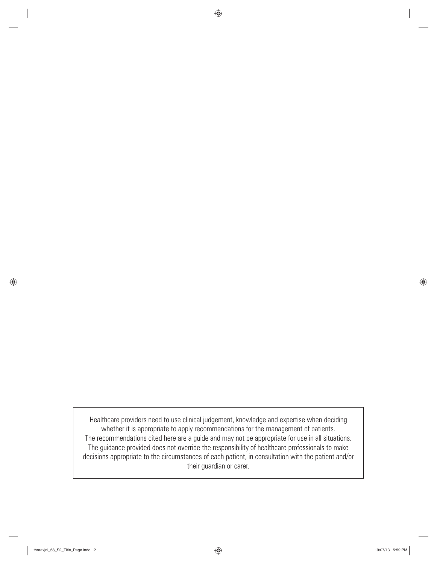Healthcare providers need to use clinical judgement, knowledge and expertise when deciding whether it is appropriate to apply recommendations for the management of patients. The recommendations cited here are a guide and may not be appropriate for use in all situations. The guidance provided does not override the responsibility of healthcare professionals to make decisions appropriate to the circumstances of each patient, in consultation with the patient and/or their guardian or carer.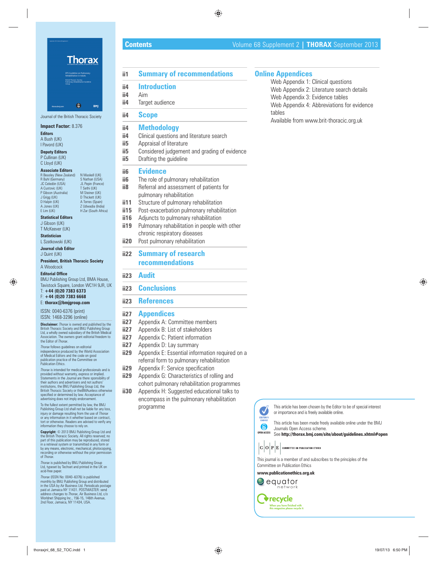

Journal of the British Thoracic Society

**Impact Factor:** 8.376

**Editors** A Bush (UK) I Pavord (UK)

**Deputy Editors** P Cullinan (UK) C Lloyd (UK)

#### **Associate Editors**

R Beasley (New Zealand) N Maskell (UK)<br>R Bubl (Germany) S Nathan (USA) R Ruhl (Germany) JC Celedón (USA) JL Pepin (France)<br>A Custovic (UK) T Sethi (UK) A Custovic (UK) **M Steiner (UK)** J Grigg (UK) D Thickett (UK)<br>D Halpin (UK) A Torres (Spain D Halpin (UK) <br>
A Jones (UK) <br>
A Jones (UK) <br>
A Jones (UK) <br>
A Tudwadia (Indi A Jones (UK) Z Udwadia (India)<br>E Lim (UK) H Zar (South Afric H Zar (South Africa)

**Statistical Editors** J Gibson (UK) T McKeever (UK)

**Statistician**

L Szatkowski (UK) **Journal club Editor**

 $J$  Quint (HK)

#### **President, British Thoracic Society** A Woodcock

#### **Editorial Office**

BMJ Publishing Group Ltd, BMA House, Tavistock Square, London WC1H 9JR, UK

#### T: **+44 (0)20 7383 6373** F: **+44 (0)20 7383 6668**

E: **thorax@bmjgroup.com**

ISSN: 0040-6376 (print) ISSN: 1468-3296 (online)

#### **Disclaimer:** *Thorax* is owned and published by the British Thoracic Society and BMJ Publishing Group Ltd, a wholly owned subsidiary of the British Medical Association. The owners grant editorial freedom to the Editor of *Thorax*.

*Thorax* follows guidelines on editorial independence produced by the World Association of Medical Editors and the code on good publication practice of the Committee on Publication Ethics.

*Thorax* is intended for medical professionals and is provided without warranty, express or implied. Statements in the Journal are there sponsibility of their authors and advertisers and not authors' institutions, the BMJ Publishing Group Ltd, the British Thoracic Society or theBMAunless otherwise specified or determined by law. Acceptance of advertising does not imply endorsement.

To the fullest extent permitted by law, the BMJ Publishing Group Ltd shall not be liable for any loss, injury or damage resulting from the use of *Thorax* or any information in it whether based on contract, tort or otherwise. Readers are advised to verify any information they choose to rely on.

**Copyright:** © 2013 BMJ Publishing Group Ltd and the British Thoracic Society. All rights reserved; no part of this publication may be reproduced, stored in a retrieval system or transmitted in any form or by any means, electronic, mechanical, photocopying, recording or otherwise without the prior permission of *Thorax*.

*Thorax* is published by BMJ Publishing Group Ltd, typeset by Techset and printed in the UK on acid-free paper.

*Thorax* (ISSN No: 0040–6376) is published monthly by BMJ Publishing Group and distributed in the USA by Air Business Ltd. Periodicals postage paid at Jamaica NY 11431. POSTMASTER: send address changes to *Thorax*, Air Business Ltd, c/o<br>Worldnet Shipping Inc., 156-15, 146th Avenue,<br>2nd Floor, Jamaica, NY 11434, USA.

# **Contents** Volume 68 Supplement 2 **| THORAX** September 2013

# **ii4 Introduction**

**ii4** Aim

- **ii4** Target audience
- **ii4 Scope**

# **ii4 Methodology**

**ii4** Clinical questions and literature search

**ii1 Summary of recommendations**

- **ii5** Appraisal of literature
- **ii5** Considered judgement and grading of evidence
- **ii5** Drafting the guideline

# **ii6 Evidence**

- **ii6** The role of pulmonary rehabilitation
- **ii8** Referral and assessment of patients for pulmonary rehabilitation
- **ii11** Structure of pulmonary rehabilitation
- **ii15** Post-exacerbation pulmonary rehabilitation
- **ii16** Adjuncts to pulmonary rehabilitation
- **ii19** Pulmonary rehabilitation in people with other chronic respiratory diseases
- **ii20** Post pulmonary rehabilitation

# **ii22 Summary of research recommendations**

# **ii23 Audit**

- **ii23 Conclusions**
- **ii23 References**

# **ii27 Appendices**

- **ii27** Appendix A: Committee members
- **ii27** Appendix B: List of stakeholders
- **ii27** Appendix C: Patient information
- **ii27** Appendix D: Lay summary
- **ii29** Appendix E: Essential information required on a referral form to pulmonary rehabilitation
- **ii29** Appendix F: Service specification
- **ii29** Appendix G: Characteristics of rolling and cohort pulmonary rehabilitation programmes
- **ii30** Appendix H: Suggested educational talks to encompass in the pulmonary rehabilitation programme



This article has been chosen by the Editor to be of special interest or importance and is freely available online.

This article has been made freely available online under the BMJ Journals Open Access scheme.

See **http://thorax.bmj.com/site/about/guidelines.xhtml#open** 

 $|C|O|P|E|$ **COMMITTEE ON PUBLICATION ETHICS** 

This journal is a member of and subscribes to the principles of the Committee on Publication Ethics

#### **www.publicationethics.org.uk**

 $\bigcirc$  equator

 $\blacklozenge$  recycle 

**Online Appendices** Web Appendix 1: Clinical questions Web Appendix 2: Literature search details Web Appendix 3: Evidence tables Web Appendix 4: Abbreviations for evidence tables Available from www.brit-thoracic.org.uk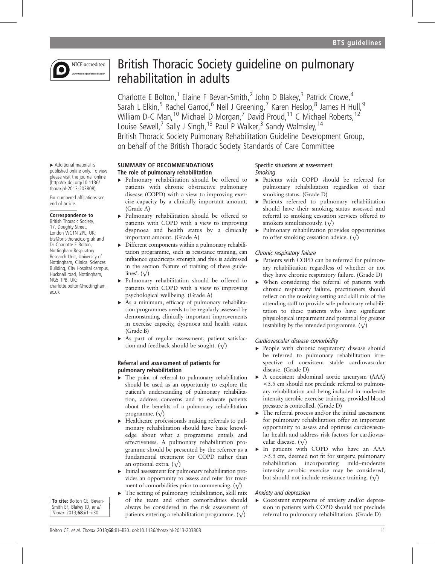

# British Thoracic Society guideline on pulmonary rehabilitation in adults

Charlotte E Bolton,<sup>1</sup> Elaine F Bevan-Smith,<sup>2</sup> John D Blakey,<sup>3</sup> Patrick Crowe,<sup>4</sup> Sarah L Elkin,<sup>5</sup> Rachel Garrod,<sup>6</sup> Neil J Greening,<sup>7</sup> Karen Heslop,<sup>8</sup> James H Hull,<sup>9</sup> William D-C Man,<sup>10</sup> Michael D Morgan,<sup>7</sup> David Proud,<sup>11</sup> C Michael Roberts,<sup>12</sup> Louise Sewell,<sup>7</sup> Sally J Singh,<sup>13</sup> Paul P Walker,<sup>3</sup> Sandy Walmsley,<sup>14</sup> British Thoracic Society Pulmonary Rehabilitation Guideline Development Group, on behalf of the British Thoracic Society Standards of Care Committee

▸ Additional material is published online only. To view please visit the journal online [\(http://dx.doi.org/10.1136/](http://dx.doi.org/10.1136/thoraxjnl-2013-203808) [thoraxjnl-2013-203808\)](http://dx.doi.org/10.1136/thoraxjnl-2013-203808).

For numbered affiliations see end of article.

#### Correspondence to

British Thoracic Society, 17, Doughty Street London WC1N 2PL, UK; bts@brit-thoracic.org.uk and Dr Charlotte E Bolton, Nottingham Respiratory Research Unit, University of Nottingham, Clinical Sciences Building, City Hospital campus, Hucknall road, Nottingham, NG5 1PB, UK; charlotte.bolton@nottingham. ac.uk

To cite: Bolton CE, Bevan-Smith EF, Blakey JD, et al. Thorax 2013;68:ii1-ii30.

#### SUMMARY OF RECOMMENDATIONS The role of pulmonary rehabilitation

- ▸ Pulmonary rehabilitation should be offered to patients with chronic obstructive pulmonary disease (COPD) with a view to improving exercise capacity by a clinically important amount. (Grade A)
- ▸ Pulmonary rehabilitation should be offered to patients with COPD with a view to improving dyspnoea and health status by a clinically important amount. (Grade A)
- ▸ Different components within a pulmonary rehabilitation programme, such as resistance training, can influence quadriceps strength and this is addressed in the section 'Nature of training of these guidelines'.  $(\sqrt)$
- ▸ Pulmonary rehabilitation should be offered to patients with COPD with a view to improving psychological wellbeing. (Grade A)
- ▸ As a minimum, efficacy of pulmonary rehabilitation programmes needs to be regularly assessed by demonstrating clinically important improvements in exercise capacity, dyspnoea and health status. (Grade B)
- ▸ As part of regular assessment, patient satisfaction and feedback should be sought.  $(\sqrt)$

#### Referral and assessment of patients for pulmonary rehabilitation

- ▸ The point of referral to pulmonary rehabilitation should be used as an opportunity to explore the patient's understanding of pulmonary rehabilitation, address concerns and to educate patients about the benefits of a pulmonary rehabilitation programme.  $(\sqrt)$
- ▸ Healthcare professionals making referrals to pulmonary rehabilitation should have basic knowledge about what a programme entails and effectiveness. A pulmonary rehabilitation programme should be presented by the referrer as a fundamental treatment for COPD rather than an optional extra.  $(\sqrt{2})$
- ▸ Initial assessment for pulmonary rehabilitation provides an opportunity to assess and refer for treatment of comorbidities prior to commencing.  $(\sqrt)$
- $\triangleright$  The setting of pulmonary rehabilitation, skill mix of the team and other comorbidities should always be considered in the risk assessment of patients entering a rehabilitation programme.  $(\sqrt)$

#### Specific situations at assessment Smoking

- ▸ Patients with COPD should be referred for pulmonary rehabilitation regardless of their smoking status. (Grade D)
- ▸ Patients referred to pulmonary rehabilitation should have their smoking status assessed and referral to smoking cessation services offered to smokers simultaneously.  $(\sqrt{2})$
- ▸ Pulmonary rehabilitation provides opportunities to offer smoking cessation advice.  $(\sqrt)$

#### Chronic respiratory failure

- ▸ Patients with COPD can be referred for pulmonary rehabilitation regardless of whether or not they have chronic respiratory failure. (Grade D)
- When considering the referral of patients with chronic respiratory failure, practitioners should reflect on the receiving setting and skill mix of the attending staff to provide safe pulmonary rehabilitation to these patients who have significant physiological impairment and potential for greater instability by the intended programme.  $(\sqrt{ } )$

#### Cardiovascular disease comorbidity

- ▸ People with chronic respiratory disease should be referred to pulmonary rehabilitation irrespective of coexistent stable cardiovascular disease. (Grade D)
- ▸ A coexistent abdominal aortic aneurysm (AAA) <5.5 cm should not preclude referral to pulmonary rehabilitation and being included in moderate intensity aerobic exercise training, provided blood pressure is controlled. (Grade D)
- The referral process and/or the initial assessment for pulmonary rehabilitation offer an important opportunity to assess and optimise cardiovascular health and address risk factors for cardiovascular disease.  $(\sqrt)$
- ▸ In patients with COPD who have an AAA >5.5 cm, deemed not fit for surgery, pulmonary rehabilitation incorporating mild–moderate intensity aerobic exercise may be considered, but should not include resistance training.  $(\sqrt)$

#### Anxiety and depression

▸ Coexistent symptoms of anxiety and/or depression in patients with COPD should not preclude referral to pulmonary rehabilitation. (Grade D)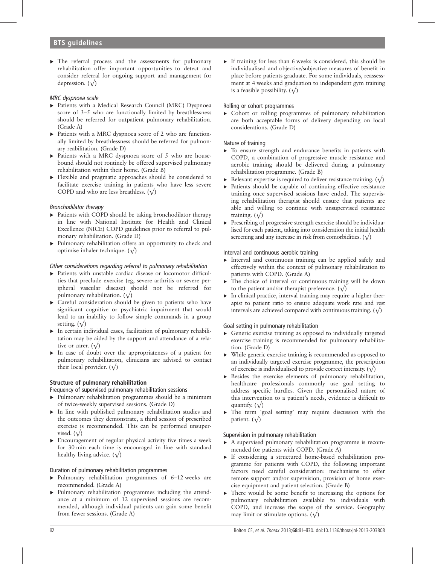▸ The referral process and the assessments for pulmonary rehabilitation offer important opportunities to detect and consider referral for ongoing support and management for depression.  $(\sqrt)$ 

#### MRC dyspnoea scale

- ▸ Patients with a Medical Research Council (MRC) Dyspnoea score of 3–5 who are functionally limited by breathlessness should be referred for outpatient pulmonary rehabilitation. (Grade A)
- ▸ Patients with a MRC dyspnoea score of 2 who are functionally limited by breathlessness should be referred for pulmonary reabilitation. (Grade D)
- ▸ Patients with a MRC dyspnoea score of 5 who are housebound should not routinely be offered supervised pulmonary rehabilitation within their home. (Grade B)
- ▸ Flexible and pragmatic approaches should be considered to facilitate exercise training in patients who have less severe COPD and who are less breathless.  $(\sqrt)$

#### Bronchodilator therapy

- ▸ Patients with COPD should be taking bronchodilator therapy in line with National Institute for Health and Clinical Excellence (NICE) COPD guidelines prior to referral to pulmonary rehabilitation. (Grade D)
- ▸ Pulmonary rehabilitation offers an opportunity to check and optimise inhaler technique.  $(\sqrt)$

#### Other considerations regarding referral to pulmonary rehabilitation

- ▸ Patients with unstable cardiac disease or locomotor difficulties that preclude exercise (eg, severe arthritis or severe peripheral vascular disease) should not be referred for pulmonary rehabilitation.  $(\sqrt)$
- ▸ Careful consideration should be given to patients who have significant cognitive or psychiatric impairment that would lead to an inability to follow simple commands in a group setting.  $(\sqrt{)}$
- ▸ In certain individual cases, facilitation of pulmonary rehabilitation may be aided by the support and attendance of a relative or carer.  $(\sqrt{ } )$
- ▸ In case of doubt over the appropriateness of a patient for pulmonary rehabilitation, clinicians are advised to contact their local provider.  $(\sqrt{ } )$

#### Structure of pulmonary rehabilitation

Frequency of supervised pulmonary rehabilitation sessions

- ▸ Pulmonary rehabilitation programmes should be a minimum of twice-weekly supervised sessions. (Grade D)
- ▸ In line with published pulmonary rehabilitation studies and the outcomes they demonstrate, a third session of prescribed exercise is recommended. This can be performed unsupervised.  $(\sqrt{)}$
- $\triangleright$  Encouragement of regular physical activity five times a week for 30 min each time is encouraged in line with standard healthy living advice.  $(\sqrt)$

#### Duration of pulmonary rehabilitation programmes

- $\blacktriangleright$  Pulmonary rehabilitation programmes of 6–12 weeks are recommended. (Grade A)
- ▸ Pulmonary rehabilitation programmes including the attendance at a minimum of 12 supervised sessions are recommended, although individual patients can gain some benefit from fewer sessions. (Grade A)

 $\triangleright$  If training for less than 6 weeks is considered, this should be individualised and objective/subjective measures of benefit in place before patients graduate. For some individuals, reassessment at 4 weeks and graduation to independent gym training is a feasible possibility.  $(\sqrt)$ 

#### Rolling or cohort programmes

▸ Cohort or rolling programmes of pulmonary rehabilitation are both acceptable forms of delivery depending on local considerations. (Grade D)

#### Nature of training

- ▸ To ensure strength and endurance benefits in patients with COPD, a combination of progressive muscle resistance and aerobic training should be delivered during a pulmonary rehabilitation programme. (Grade B)
- $\triangleright$  Relevant expertise is required to deliver resistance training. ( $\sqrt{}$ )
- Patients should be capable of continuing effective resistance training once supervised sessions have ended. The supervising rehabilitation therapist should ensure that patients are able and willing to continue with unsupervised resistance training.  $(\sqrt)$
- ▸ Prescribing of progressive strength exercise should be individualised for each patient, taking into consideration the initial health screening and any increase in risk from comorbidities.  $(\sqrt)$

#### Interval and continuous aerobic training

- ▸ Interval and continuous training can be applied safely and effectively within the context of pulmonary rehabilitation to patients with COPD. (Grade A)
- ▸ The choice of interval or continuous training will be down to the patient and/or therapist preference.  $(\sqrt)$
- In clinical practice, interval training may require a higher therapist to patient ratio to ensure adequate work rate and rest intervals are achieved compared with continuous training.  $(\sqrt)$

#### Goal setting in pulmonary rehabilitation

- ▸ Generic exercise training as opposed to individually targeted exercise training is recommended for pulmonary rehabilitation. (Grade D)
- ▸ While generic exercise training is recommended as opposed to an individually targeted exercise programme, the prescription of exercise is individualised to provide correct intensity.  $(\sqrt)$
- ▸ Besides the exercise elements of pulmonary rehabilitation, healthcare professionals commonly use goal setting to address specific hurdles. Given the personalised nature of this intervention to a patient's needs, evidence is difficult to quantify.  $(\sqrt{})$
- ▸ The term 'goal setting' may require discussion with the patient.  $(\sqrt)$

#### Supervision in pulmonary rehabilitation

- ▶ A supervised pulmonary rehabilitation programme is recommended for patients with COPD. (Grade A)
- If considering a structured home-based rehabilitation programme for patients with COPD, the following important factors need careful consideration: mechanisms to offer remote support and/or supervision, provision of home exercise equipment and patient selection. (Grade B)
- ▸ There would be some benefit to increasing the options for pulmonary rehabilitation available to individuals with COPD, and increase the scope of the service. Geography may limit or stimulate options.  $(\sqrt)$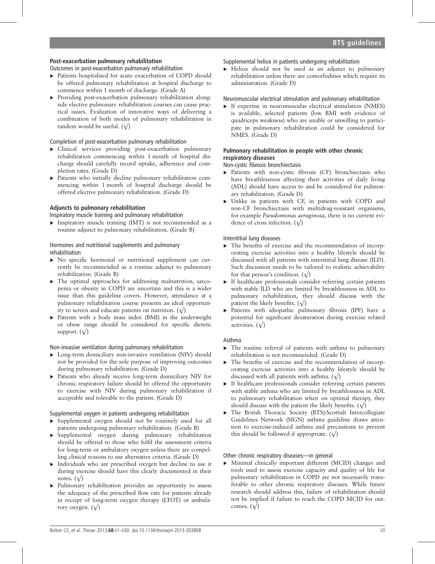#### Post-exacerbation pulmonary rehabilitation

Outcomes in post-exacerbation pulmonary rehabilitation

- ▸ Patients hospitalised for acute exacerbation of COPD should be offered pulmonary rehabilitation at hospital discharge to commence within 1 month of discharge. (Grade A)
- ▸ Providing post-exacerbation pulmonary rehabilitation alongside elective pulmonary rehabilitation courses can cause practical issues. Evaluation of innovative ways of delivering a combination of both modes of pulmonary rehabilitation in tandem would be useful.  $(\sqrt{ } )$

#### Completion of post-exacerbation pulmonary rehabilitation

- ▸ Clinical services providing post-exacerbation pulmonary rehabilitation commencing within 1 month of hospital discharge should carefully record uptake, adherence and completion rates. (Grade D)
- ▸ Patients who initially decline pulmonary rehabilitation commencing within 1 month of hospital discharge should be offered elective pulmonary rehabilitation. (Grade D)

### Adjuncts to pulmonary rehabilitation

Inspiratory muscle training and pulmonary rehabilitation

▸ Inspiratory muscle training (IMT) is not recommended as a routine adjunct to pulmonary rehabilitation. (Grade B)

Hormones and nutritional supplements and pulmonary rehabilitation

- ▸ No specific hormonal or nutritional supplement can currently be recommended as a routine adjunct to pulmonary rehabilitation. (Grade B)
- ▸ The optimal approaches for addressing malnutrition, sarcopenia or obesity in COPD are uncertain and this is a wider issue than this guideline covers. However, attendance at a pulmonary rehabilitation course presents an ideal opportunity to screen and educate patients on nutrition.  $(\sqrt)$
- ▸ Patients with a body mass index (BMI) in the underweight or obese range should be considered for specific dietetic support.  $(\sqrt{ } )$

#### Non-invasive ventilation during pulmonary rehabilitation

- ▶ Long-term domiciliary non-invasive ventilation (NIV) should not be provided for the sole purpose of improving outcomes during pulmonary rehabilitation. (Grade D)
- ▸ Patients who already receive long-term domiciliary NIV for chronic respiratory failure should be offered the opportunity to exercise with NIV during pulmonary rehabilitation if acceptable and tolerable to the patient. (Grade D)

#### Supplemental oxygen in patients undergoing rehabilitation

- ▸ Supplemental oxygen should not be routinely used for all patients undergoing pulmonary rehabilitation. (Grade B)
- ▸ Supplemental oxygen during pulmonary rehabilitation should be offered to those who fulfil the assessment criteria for long-term or ambulatory oxygen unless there are compelling clinical reasons to use alternative criteria. (Grade D)
- ▸ Individuals who are prescribed oxygen but decline to use it during exercise should have this clearly documented in their notes.  $(\sqrt{)}$
- ▸ Pulmonary rehabilitation provides an opportunity to assess the adequacy of the prescribed flow rate for patients already in receipt of long-term oxygen therapy (LTOT) or ambulatory oxygen.  $(\sqrt{)$

Supplemental heliox in patients undergoing rehabilitation

▸ Heliox should not be used as an adjunct to pulmonary rehabilitation unless there are comorbidities which require its administration. (Grade D)

#### Neuromuscular electrical stimulation and pulmonary rehabilitation

▸ If expertise in neuromuscular electrical stimulation (NMES) is available, selected patients (low BMI with evidence of quadriceps weakness) who are unable or unwilling to participate in pulmonary rehabilitation could be considered for NMES. (Grade D)

# Pulmonary rehabilitation in people with other chronic respiratory diseases

#### Non-cystic fibrosis bronchiectasis

- ▸ Patients with non-cystic fibrosis (CF) bronchiectasis who have breathlessness affecting their activities of daily living (ADL) should have access to and be considered for pulmonary rehabilitation. (Grade D)
- ▸ Unlike in patients with CF, in patients with COPD and non-CF bronchiectasis with multidrug-resistant organisms, for example Pseudomonas aeruginosa, there is no current evidence of cross infection.  $(\sqrt)$

#### Interstitial lung diseases

- ▸ The benefits of exercise and the recommendation of incorporating exercise activities into a healthy lifestyle should be discussed with all patients with interstitial lung disease (ILD). Such discussion needs to be tailored to realistic achievability for that person's condition.  $(\sqrt)$
- ▸ If healthcare professionals consider referring certain patients with stable ILD who are limited by breathlessness in ADL to pulmonary rehabilitation, they should discuss with the patient the likely benefits.  $(\sqrt)$
- Patients with idiopathic pulmonary fibrosis (IPF) have a potential for significant desaturation during exercise related activities.  $(\sqrt{ } )$

#### Asthma

- The routine referral of patients with asthma to pulmonary rehabilitation is not recommended. (Grade D)
- The benefits of exercise and the recommendation of incorporating exercise activities into a healthy lifestyle should be discussed with all patients with asthma.  $(\sqrt)$
- ▸ If healthcare professionals consider referring certain patients with stable asthma who are limited by breathlessness in ADL to pulmonary rehabilitation when on optimal therapy, they should discuss with the patient the likely benefits.  $(\sqrt)$
- ▸ The British Thoracic Society (BTS)/Scottish Intercollegiate Guidelines Network (SIGN) asthma guideline draws attention to exercise-induced asthma and precautions to prevent this should be followed if appropriate.  $(\sqrt)$

#### Other chronic respiratory diseases—in general

▶ Minimal clinically important different (MCID) changes and tools used to assess exercise capacity and quality of life for pulmonary rehabilitation in COPD are not necessarily transferable to other chronic respiratory diseases. While future research should address this, failure of rehabilitation should not be implied if failure to reach the COPD MCID for outcomes.  $(\sqrt{ } )$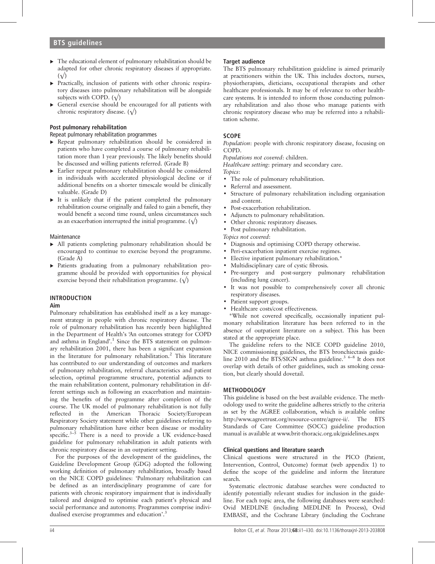- ▸ The educational element of pulmonary rehabilitation should be adapted for other chronic respiratory diseases if appropriate.  $(\sqrt{2})$
- ▸ Practically, inclusion of patients with other chronic respiratory diseases into pulmonary rehabilitation will be alongside subjects with COPD.  $(\sqrt)$
- ▸ General exercise should be encouraged for all patients with chronic respiratory disease.  $(\sqrt)$

#### Post pulmonary rehabilitation

#### Repeat pulmonary rehabilitation programmes

- ▸ Repeat pulmonary rehabilitation should be considered in patients who have completed a course of pulmonary rehabilitation more than 1 year previously. The likely benefits should be discussed and willing patients referred. (Grade B)
- ▸ Earlier repeat pulmonary rehabilitation should be considered in individuals with accelerated physiological decline or if additional benefits on a shorter timescale would be clinically valuable. (Grade D)
- It is unlikely that if the patient completed the pulmonary rehabilitation course originally and failed to gain a benefit, they would benefit a second time round, unless circumstances such as an exacerbation interrupted the initial programme.  $(\sqrt)$

#### Maintenance

- ▸ All patients completing pulmonary rehabilitation should be encouraged to continue to exercise beyond the programme. (Grade A)
- ▸ Patients graduating from a pulmonary rehabilitation programme should be provided with opportunities for physical exercise beyond their rehabilitation programme.  $(\sqrt)$

#### INTRODUCTION

#### Aim

Pulmonary rehabilitation has established itself as a key management strategy in people with chronic respiratory disease. The role of pulmonary rehabilitation has recently been highlighted in the Department of Health's 'An outcomes strategy for COPD and asthma in England'.<sup>1</sup> Since the BTS statement on pulmonary rehabilitation 2001, there has been a significant expansion in the literature for pulmonary rehabilitation.<sup>2</sup> This literature has contributed to our understanding of outcomes and markers of pulmonary rehabilitation, referral characteristics and patient selection, optimal programme structure, potential adjuncts to the main rehabilitation content, pulmonary rehabilitation in different settings such as following an exacerbation and maintaining the benefits of the programme after completion of the course. The UK model of pulmonary rehabilitation is not fully reflected in the American Thoracic Society/European Respiratory Society statement while other guidelines referring to pulmonary rehabilitation have either been disease or modality specific. $3-5$  There is a need to provide a UK evidence-based guideline for pulmonary rehabilitation in adult patients with chronic respiratory disease in an outpatient setting.

For the purposes of the development of the guidelines, the Guideline Development Group (GDG) adopted the following working definition of pulmonary rehabilitation, broadly based on the NICE COPD guidelines: 'Pulmonary rehabilitation can be defined as an interdisciplinary programme of care for patients with chronic respiratory impairment that is individually tailored and designed to optimise each patient's physical and social performance and autonomy. Programmes comprise individualised exercise programmes and education'. 3

#### Target audience

The BTS pulmonary rehabilitation guideline is aimed primarily at practitioners within the UK. This includes doctors, nurses, physiotherapists, dieticians, occupational therapists and other healthcare professionals. It may be of relevance to other healthcare systems. It is intended to inform those conducting pulmonary rehabilitation and also those who manage patients with chronic respiratory disease who may be referred into a rehabilitation scheme.

#### **SCOPE**

Population: people with chronic respiratory disease, focusing on COPD.

Populations not covered: children.

Healthcare setting: primary and secondary care.

Topics:

- The role of pulmonary rehabilitation.
- Referral and assessment.
- Structure of pulmonary rehabilitation including organisation and content.
- Post-exacerbation rehabilitation.
- Adjuncts to pulmonary rehabilitation.
- Other chronic respiratory diseases.
- Post pulmonary rehabilitation.

Topics not covered:

- Diagnosis and optimising COPD therapy otherwise.
- Peri-exacerbation inpatient exercise regimes.
- Elective inpatient pulmonary rehabilitation.\*
- Multidisciplinary care of cystic fibrosis.
- Pre-surgery and post-surgery pulmonary rehabilitation (including lung cancer).
- It was not possible to comprehensively cover all chronic respiratory diseases.
- Patient support groups.
- Healthcare costs/cost effectiveness.

\*While not covered specifically, occasionally inpatient pulmonary rehabilitation literature has been referred to in the absence of outpatient literature on a subject. This has been stated at the appropriate place.

The guideline refers to the NICE COPD guideline 2010, NICE commissioning guidelines, the BTS bronchiectasis guideline 2010 and the BTS/SIGN asthma guideline.<sup>3 6–8</sup> It does not overlap with details of other guidelines, such as smoking cessation, but clearly should dovetail.

#### **METHODOLOGY**

This guideline is based on the best available evidence. The methodology used to write the guideline adheres strictly to the criteria as set by the AGREE collaboration, which is available online [http://www.agreetrust.org/resource-centre/agree-ii/.](http://www.agreetrust.org/resource-centre/agree-ii/) The BTS Standards of Care Committee (SOCC) guideline production manual is available at www.brit-thoracic.org.uk/guidelines.aspx

#### Clinical questions and literature search

Clinical questions were structured in the PICO (Patient, Intervention, Control, Outcome) format (web appendix 1) to define the scope of the guideline and inform the literature search.

Systematic electronic database searches were conducted to identify potentially relevant studies for inclusion in the guideline. For each topic area, the following databases were searched: Ovid MEDLINE (including MEDLINE In Process), Ovid EMBASE, and the Cochrane Library (including the Cochrane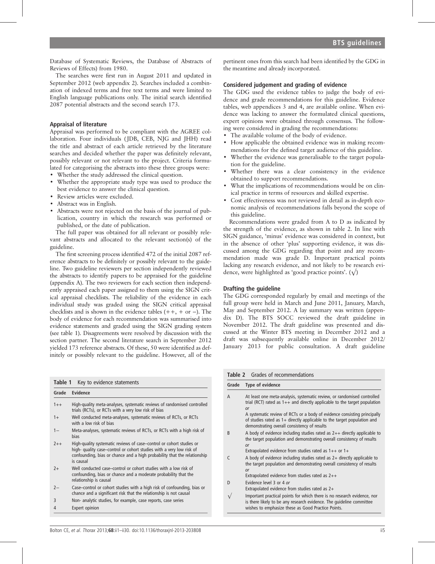Database of Systematic Reviews, the Database of Abstracts of Reviews of Effects) from 1980.

The searches were first run in August 2011 and updated in September 2012 (web appendix 2). Searches included a combination of indexed terms and free text terms and were limited to English language publications only. The initial search identified 2087 potential abstracts and the second search 173.

#### Appraisal of literature

Appraisal was performed to be compliant with the AGREE collaboration. Four individuals ( JDB, CEB, NJG and JHH) read the title and abstract of each article retrieved by the literature searches and decided whether the paper was definitely relevant, possibly relevant or not relevant to the project. Criteria formulated for categorising the abstracts into these three groups were:

- Whether the study addressed the clinical question.
- Whether the appropriate study type was used to produce the best evidence to answer the clinical question.
- Review articles were excluded.
- Abstract was in English.
- Abstracts were not rejected on the basis of the journal of publication, country in which the research was performed or published, or the date of publication.

The full paper was obtained for all relevant or possibly relevant abstracts and allocated to the relevant section(s) of the guideline.

The first screening process identified 472 of the initial 2087 reference abstracts to be definitely or possibly relevant to the guideline. Two guideline reviewers per section independently reviewed the abstracts to identify papers to be appraised for the guideline (appendix A). The two reviewers for each section then independently appraised each paper assigned to them using the SIGN critical appraisal checklists. The reliability of the evidence in each individual study was graded using the SIGN critical appraisal checklists and is shown in the evidence tables (++, + or −). The body of evidence for each recommendation was summarised into evidence statements and graded using the SIGN grading system (see table 1). Disagreements were resolved by discussion with the section partner. The second literature search in September 2012 yielded 173 reference abstracts. Of these, 50 were identified as definitely or possibly relevant to the guideline. However, all of the

| Grade   | Evidence                                                                                                                                                                                                                              |
|---------|---------------------------------------------------------------------------------------------------------------------------------------------------------------------------------------------------------------------------------------|
| $1 + +$ | High-quality meta-analyses, systematic reviews of randomised controlled<br>trials (RCTs), or RCTs with a very low risk of bias                                                                                                        |
| $1+$    | Well conducted meta-analyses, systematic reviews of RCTs, or RCTs<br>with a low risk of bias                                                                                                                                          |
| $1 -$   | Meta-analyses, systematic reviews of RCTs, or RCTs with a high risk of<br>hias                                                                                                                                                        |
| $7 + +$ | High-quality systematic reviews of case–control or cohort studies or<br>high- quality case-control or cohort studies with a very low risk of<br>confounding, bias or chance and a high probability that the relationship<br>is causal |
| $7+$    | Well conducted case-control or cohort studies with a low risk of<br>confounding, bias or chance and a moderate probability that the<br>relationship is causal                                                                         |
| $2 -$   | Case–control or cohort studies with a high risk of confounding, bias or<br>chance and a significant risk that the relationship is not causal                                                                                          |
| 3       | Non- analytic studies, for example, case reports, case series                                                                                                                                                                         |
| 4       | Expert opinion                                                                                                                                                                                                                        |

pertinent ones from this search had been identified by the GDG in the meantime and already incorporated.

#### Considered judgement and grading of evidence

The GDG used the evidence tables to judge the body of evidence and grade recommendations for this guideline. Evidence tables, web appendices 3 and 4, are available online. When evidence was lacking to answer the formulated clinical questions, expert opinions were obtained through consensus. The following were considered in grading the recommendations:

- The available volume of the body of evidence.
- How applicable the obtained evidence was in making recommendations for the defined target audience of this guideline.
- Whether the evidence was generalisable to the target population for the guideline.
- Whether there was a clear consistency in the evidence obtained to support recommendations.
- What the implications of recommendations would be on clinical practice in terms of resources and skilled expertise.
- Cost effectiveness was not reviewed in detail as in-depth economic analysis of recommendations falls beyond the scope of this guideline.

Recommendations were graded from A to D as indicated by the strength of the evidence, as shown in table 2. In line with SIGN guidance, 'minus' evidence was considered in context, but in the absence of other 'plus' supporting evidence, it was discussed among the GDG regarding that point and any recommendation made was grade D. Important practical points lacking any research evidence, and not likely to be research evidence, were highlighted as 'good practice points'.  $(\sqrt)$ 

#### Drafting the guideline

The GDG corresponded regularly by email and meetings of the full group were held in March and June 2011, January, March, May and September 2012. A lay summary was written (appendix D). The BTS SOCC reviewed the draft guideline in November 2012. The draft guideline was presented and discussed at the Winter BTS meeting in December 2012 and a draft was subsequently available online in December 2012/ January 2013 for public consultation. A draft guideline

| Grade         | Type of evidence                                                                                                                                                                                      |
|---------------|-------------------------------------------------------------------------------------------------------------------------------------------------------------------------------------------------------|
| A             | At least one meta-analysis, systematic review, or randomised controlled<br>trial (RCT) rated as $1++$ and directly applicable to the target population<br>or                                          |
|               | A systematic review of RCTs or a body of evidence consisting principally<br>of studies rated as $1+$ directly applicable to the target population and<br>demonstrating overall consistency of results |
| B             | A body of evidence including studies rated as $2++$ directly applicable to<br>the target population and demonstrating overall consistency of results<br>or                                            |
|               | Extrapolated evidence from studies rated as $1++$ or $1+$                                                                                                                                             |
| $\mathcal{C}$ | A body of evidence including studies rated as 2+ directly applicable to<br>the target population and demonstrating overall consistency of results<br>or                                               |
|               | Extrapolated evidence from studies rated as $2++$                                                                                                                                                     |
| D             | Evidence level 3 or 4 or                                                                                                                                                                              |
|               | Extrapolated evidence from studies rated as $2+$                                                                                                                                                      |
|               | Important practical points for which there is no research evidence, nor<br>is there likely to be any research evidence. The quideline committee<br>wishes to emphasize these as Good Practice Points. |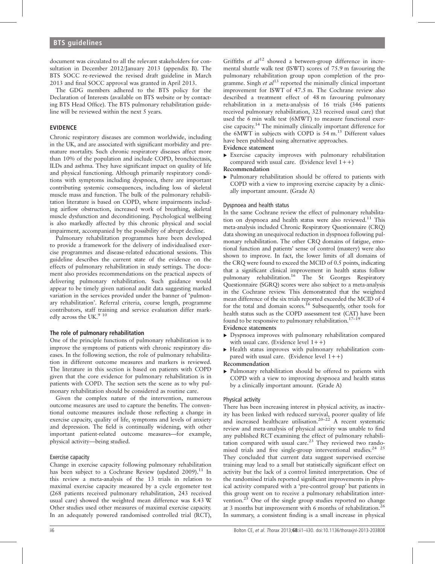document was circulated to all the relevant stakeholders for consultation in December 2012/January 2013 (appendix B). The BTS SOCC re-reviewed the revised draft guideline in March 2013 and final SOCC approval was granted in April 2013.

The GDG members adhered to the BTS policy for the Declaration of Interests (available on BTS website or by contacting BTS Head Office). The BTS pulmonary rehabilitation guideline will be reviewed within the next 5 years.

#### EVIDENCE

Chronic respiratory diseases are common worldwide, including in the UK, and are associated with significant morbidity and premature mortality. Such chronic respiratory diseases affect more than 10% of the population and include COPD, bronchiectasis, ILDs and asthma. They have significant impact on quality of life and physical functioning. Although primarily respiratory conditions with symptoms including dyspnoea, there are important contributing systemic consequences, including loss of skeletal muscle mass and function. The bulk of the pulmonary rehabilitation literature is based on COPD, where impairments including airflow obstruction, increased work of breathing, skeletal muscle dysfunction and deconditioning. Psychological wellbeing is also markedly affected by this chronic physical and social impairment, accompanied by the possibility of abrupt decline.

Pulmonary rehabilitation programmes have been developed to provide a framework for the delivery of individualised exercise programmes and disease-related educational sessions. This guideline describes the current state of the evidence on the effects of pulmonary rehabilitation in study settings. The document also provides recommendations on the practical aspects of delivering pulmonary rehabilitation. Such guidance would appear to be timely given national audit data suggesting marked variation in the services provided under the banner of 'pulmonary rehabilitation'. Referral criteria, course length, programme contributors, staff training and service evaluation differ markedly across the UK.<sup>9 10</sup>

#### The role of pulmonary rehabilitation

One of the principle functions of pulmonary rehabilitation is to improve the symptoms of patients with chronic respiratory diseases. In the following section, the role of pulmonary rehabilitation in different outcome measures and markers is reviewed. The literature in this section is based on patients with COPD given that the core evidence for pulmonary rehabilitation is in patients with COPD. The section sets the scene as to why pulmonary rehabilitation should be considered as routine care.

Given the complex nature of the intervention, numerous outcome measures are used to capture the benefits. The conventional outcome measures include those reflecting a change in exercise capacity, quality of life, symptoms and levels of anxiety and depression. The field is continually widening, with other important patient-related outcome measures—for example, physical activity—being studied.

#### Exercise capacity

Change in exercise capacity following pulmonary rehabilitation has been subject to a Cochrane Review (updated  $2009$ ).<sup>11</sup> In this review a meta-analysis of the 13 trials in relation to maximal exercise capacity measured by a cycle ergometer test (268 patients received pulmonary rehabilitation, 243 received usual care) showed the weighted mean difference was 8.43 W. Other studies used other measures of maximal exercise capacity. In an adequately powered randomised controlled trial (RCT),

Griffiths *et al*<sup>12</sup> showed a between-group difference in incremental shuttle walk test (ISWT) scores of 75.9 m favouring the pulmonary rehabilitation group upon completion of the programme. Singh  $et \t al^{13}$  reported the minimally clinical important improvement for ISWT of 47.5 m. The Cochrane review also described a treatment effect of 48 m favouring pulmonary rehabilitation in a meta-analysis of 16 trials (346 patients received pulmonary rehabilitation, 323 received usual care) that used the 6 min walk test (6MWT) to measure functional exercise capacity.<sup>14</sup> The minimally clinically important difference for the  $6MWT$  in subjects with COPD is  $54 \text{ m}$ <sup>15</sup> Different values have been published using alternative approaches.

#### Evidence statement

▸ Exercise capacity improves with pulmonary rehabilitation compared with usual care. (Evidence level  $1++$ )

#### Recommendation

▸ Pulmonary rehabilitation should be offered to patients with COPD with a view to improving exercise capacity by a clinically important amount. (Grade A)

#### Dyspnoea and health status

In the same Cochrane review the effect of pulmonary rehabilitation on dyspnoea and health status were also reviewed.<sup>11</sup> This meta-analysis included Chronic Respiratory Questionnaire (CRQ) data showing an unequivocal reduction in dyspnoea following pulmonary rehabilitation. The other CRQ domains of fatigue, emotional function and patients' sense of control (mastery) were also shown to improve. In fact, the lower limits of all domains of the CRQ were found to exceed the MCID of 0.5 points, indicating that a significant clinical improvement in health status follow pulmonary rehabilitation.<sup>16</sup> The St Georges Respiratory Questionnaire (SGRQ) scores were also subject to a meta-analysis in the Cochrane review. This demonstrated that the weighted mean difference of the six trials reported exceeded the MCID of 4 for the total and domain scores.<sup>16</sup> Subsequently, other tools for health status such as the COPD assessment test (CAT) have been found to be responsive to pulmonary rehabilitation.<sup>17–19</sup>

#### Evidence statements

- ▸ Dyspnoea improves with pulmonary rehabilitation compared with usual care. (Evidence level  $1++$ )
- ▸ Health status improves with pulmonary rehabilitation compared with usual care. (Evidence level  $1++$ )

#### Recommendation

▸ Pulmonary rehabilitation should be offered to patients with COPD with a view to improving dyspnoea and health status by a clinically important amount. (Grade A)

#### Physical activity

There has been increasing interest in physical activity, as inactivity has been linked with reduced survival, poorer quality of life and increased healthcare utilisation.<sup>20–22</sup> A recent systematic review and meta-analysis of physical activity was unable to find any published RCT examining the effect of pulmonary rehabilitation compared with usual care.<sup>23</sup> They reviewed two randomised trials and five single-group interventional studies.<sup>24</sup> <sup>25</sup> They concluded that current data suggest supervised exercise training may lead to a small but statistically significant effect on activity but the lack of a control limited interpretation. One of the randomised trials reported significant improvements in physical activity compared with a 'pre-control group' but patients in this group went on to receive a pulmonary rehabilitation intervention.<sup>25</sup> One of the single group studies reported no change at 3 months but improvement with 6 months of rehabilitation.<sup>2</sup> In summary, a consistent finding is a small increase in physical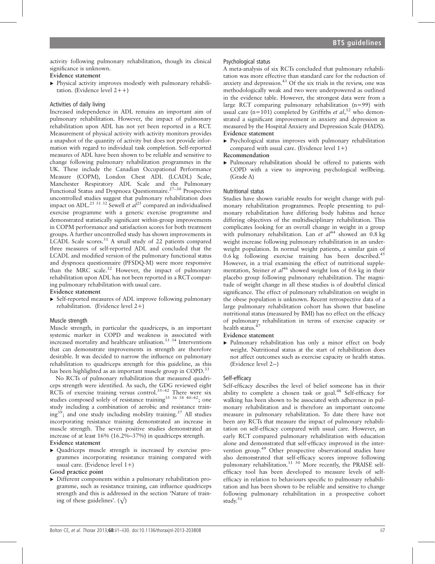activity following pulmonary rehabilitation, though its clinical significance is unknown.

#### Evidence statement

▸ Physical activity improves modestly with pulmonary rehabilitation. (Evidence level  $2++$ )

#### Activities of daily living

Increased independence in ADL remains an important aim of pulmonary rehabilitation. However, the impact of pulmonary rehabilitation upon ADL has not yet been reported in a RCT. Measurement of physical activity with activity monitors provides a snapshot of the quantity of activity but does not provide information with regard to individual task completion. Self-reported measures of ADL have been shown to be reliable and sensitive to change following pulmonary rehabilitation programmes in the UK. These include the Canadian Occupational Performance Measure (COPM), London Chest ADL (LCADL) Scale, Manchester Respiratory ADL Scale and the Pulmonary Functional Status and Dyspnoea Questionnaire.<sup>27-30</sup> Prospective uncontrolled studies suggest that pulmonary rehabilitation does impact on ADL.<sup>25</sup> 31 32 Sewell *et al*<sup>25</sup> compared an individualised exercise programme with a generic exercise programme and demonstrated statistically significant within-group improvements in COPM performance and satisfaction scores for both treatment groups. A further uncontrolled study has shown improvements in LCADL Scale scores.<sup>31</sup> A small study of 22 patients compared three measures of self-reported ADL and concluded that the LCADL and modified version of the pulmonary functional status and dyspnoea questionnaire (PFSDQ-M) were more responsive than the MRC scale. $32$  However, the impact of pulmonary rehabilitation upon ADL has not been reported in a RCT comparing pulmonary rehabilitation with usual care.

#### Evidence statement

▸ Self-reported measures of ADL improve following pulmonary rehabilitation. (Evidence level 2+)

#### Muscle strength

Muscle strength, in particular the quadriceps, is an important systemic marker in COPD and weakness is associated with increased mortality and healthcare utilisation.<sup>33</sup><sup>34</sup> Interventions that can demonstrate improvements in strength are therefore desirable. It was decided to narrow the influence on pulmonary rehabilitation to quadriceps strength for this guideline, as this has been highlighted as an important muscle group in COPD.<sup>33</sup>

No RCTs of pulmonary rehabilitation that measured quadriceps strength were identified. As such, the GDG reviewed eight RCTs of exercise training versus control.<sup>35-42</sup> There were six studies composed solely of resistance training<sup>35</sup>  $36\frac{38}{40-42}$ ; one study including a combination of aerobic and resistance train $ing^{39}$ ; and one study including mobility training.<sup>37</sup> All studies incorporating resistance training demonstrated an increase in muscle strength. The seven positive studies demonstrated an increase of at least 16% (16.2%–37%) in quadriceps strength.

# Evidence statement

▸ Quadriceps muscle strength is increased by exercise programmes incorporating resistance training compared with usual care. (Evidence level 1+)

#### Good practice point

▸ Different components within a pulmonary rehabilitation programme, such as resistance training, can influence quadriceps strength and this is addressed in the section 'Nature of training of these guidelines'.  $(\sqrt)$ 

#### Psychological status

A meta-analysis of six RCTs concluded that pulmonary rehabilitation was more effective than standard care for the reduction of anxiety and depression.<sup>43</sup> Of the six trials in the review, one was methodologically weak and two were underpowered as outlined in the evidence table. However, the strongest data were from a large RCT comparing pulmonary rehabilitation (n=99) with usual care (n=101) completed by Griffiths et  $al$ ,<sup>12</sup> who demonstrated a significant improvement in anxiety and depression as measured by the Hospital Anxiety and Depression Scale (HADS). Evidence statement

▸ Psychological status improves with pulmonary rehabilitation compared with usual care. (Evidence level  $1+$ )

#### Recommendation

▸ Pulmonary rehabilitation should be offered to patients with COPD with a view to improving psychological wellbeing. (Grade A)

#### Nutritional status

Studies have shown variable results for weight change with pulmonary rehabilitation programmes. People presenting to pulmonary rehabilitation have differing body habitus and hence differing objectives of the multidisciplinary rehabilitation. This complicates looking for an overall change in weight in a group with pulmonary rehabilitation. Lan et  $al^{44}$  showed an 0.8 kg weight increase following pulmonary rehabilitation in an underweight population. In normal weight patients, a similar gain of 0.6 kg following exercise training has been described.<sup>45</sup> However, in a trial examining the effect of nutritional supplementation, Steiner et  $al^{46}$  showed weight loss of 0.6 kg in their placebo group following pulmonary rehabilitation. The magnitude of weight change in all these studies is of doubtful clinical significance. The effect of pulmonary rehabilitation on weight in the obese population is unknown. Recent retrospective data of a large pulmonary rehabilitation cohort has shown that baseline nutritional status (measured by BMI) has no effect on the efficacy of pulmonary rehabilitation in terms of exercise capacity or health status.<sup>4</sup>

#### Evidence statement

▸ Pulmonary rehabilitation has only a minor effect on body weight. Nutritional status at the start of rehabilitation does not affect outcomes such as exercise capacity or health status. (Evidence level 2−)

#### Self-efficacy

Self-efficacy describes the level of belief someone has in their ability to complete a chosen task or goal.<sup>48</sup> Self-efficacy for walking has been shown to be associated with adherence in pulmonary rehabilitation and is therefore an important outcome measure in pulmonary rehabilitation. To date there have not been any RCTs that measure the impact of pulmonary rehabilitation on self-efficacy compared with usual care. However, an early RCT compared pulmonary rehabilitation with education alone and demonstrated that self-efficacy improved in the intervention group.<sup>49</sup> Other prospective observational studies have also demonstrated that self-efficacy scores improve following pulmonary rehabilitation.<sup>31 50</sup> More recently, the PRAISE selfefficacy tool has been developed to measure levels of selfefficacy in relation to behaviours specific to pulmonary rehabilitation and has been shown to be reliable and sensitive to change following pulmonary rehabilitation in a prospective cohort study.<sup>51</sup>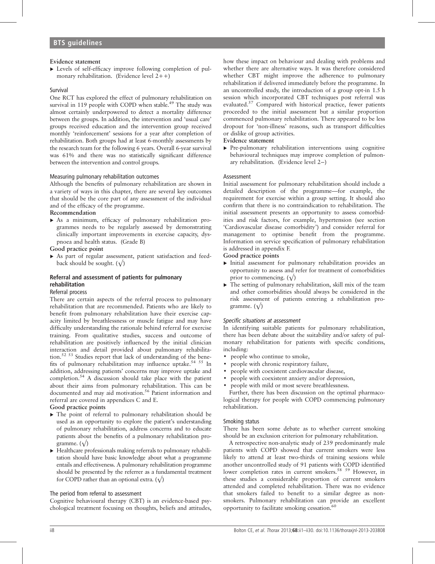#### Evidence statement

▸ Levels of self-efficacy improve following completion of pulmonary rehabilitation. (Evidence level  $2++$ )

#### Survival

One RCT has explored the effect of pulmonary rehabilitation on survival in 119 people with COPD when stable.<sup>49</sup> The study was almost certainly underpowered to detect a mortality difference between the groups. In addition, the intervention and 'usual care' groups received education and the intervention group received monthly 'reinforcement' sessions for a year after completion of rehabilitation. Both groups had at least 6-monthly assessments by the research team for the following 6 years. Overall 6-year survival was 61% and there was no statistically significant difference between the intervention and control groups.

#### Measuring pulmonary rehabilitation outcomes

Although the benefits of pulmonary rehabilitation are shown in a variety of ways in this chapter, there are several key outcomes that should be the core part of any assessment of the individual and of the efficacy of the programme.

#### Recommendation

▸ As a minimum, efficacy of pulmonary rehabilitation programmes needs to be regularly assessed by demonstrating clinically important improvements in exercise capacity, dyspnoea and health status. (Grade B)

#### Good practice point

▸ As part of regular assessment, patient satisfaction and feedback should be sought.  $(\sqrt{2})$ 

## Referral and assessment of patients for pulmonary rehabilitation

#### Referral process

There are certain aspects of the referral process to pulmonary rehabilitation that are recommended. Patients who are likely to benefit from pulmonary rehabilitation have their exercise capacity limited by breathlessness or muscle fatigue and may have difficulty understanding the rationale behind referral for exercise training. From qualitative studies, success and outcome of rehabilitation are positively influenced by the initial clinician interaction and detail provided about pulmonary rehabilitation.52 53 Studies report that lack of understanding of the benefits of pulmonary rehabilitation may influence uptake.<sup>54 55</sup> In addition, addressing patients' concerns may improve uptake and completion.<sup>54</sup> A discussion should take place with the patient about their aims from pulmonary rehabilitation. This can be documented and may aid motivation.<sup>56</sup> Patient information and referral are covered in appendices C and E.

#### Good practice points

- ▸ The point of referral to pulmonary rehabilitation should be used as an opportunity to explore the patient's understanding of pulmonary rehabilitation, address concerns and to educate patients about the benefits of a pulmonary rehabilitation programme.  $(\sqrt{ } )$
- ▸ Healthcare professionals making referrals to pulmonary rehabilitation should have basic knowledge about what a programme entails and effectiveness. A pulmonary rehabilitation programme should be presented by the referrer as a fundamental treatment for COPD rather than an optional extra.  $(\sqrt)$

#### The period from referral to assessment

Cognitive behavioural therapy (CBT) is an evidence-based psychological treatment focusing on thoughts, beliefs and attitudes,

how these impact on behaviour and dealing with problems and whether there are alternative ways. It was therefore considered whether CBT might improve the adherence to pulmonary rehabilitation if delivered immediately before the programme. In an uncontrolled study, the introduction of a group opt-in 1.5 h session which incorporated CBT techniques post referral was evaluated.57 Compared with historical practice, fewer patients proceeded to the initial assessment but a similar proportion commenced pulmonary rehabilitation. There appeared to be less dropout for 'non-illness' reasons, such as transport difficulties or dislike of group activities.

#### Evidence statement

▸ Pre-pulmonary rehabilitation interventions using cognitive behavioural techniques may improve completion of pulmonary rehabilitation. (Evidence level 2−)

#### Assessment

Initial assessment for pulmonary rehabilitation should include a detailed description of the programme—for example, the requirement for exercise within a group setting. It should also confirm that there is no contraindication to rehabilitation. The initial assessment presents an opportunity to assess comorbidities and risk factors, for example, hypertension (see section 'Cardiovascular disease comorbidity') and consider referral for management to optimise benefit from the programme. Information on service specification of pulmonary rehabilitation is addressed in appendix F.

#### Good practice points

- ▸ Initial assessment for pulmonary rehabilitation provides an opportunity to assess and refer for treatment of comorbidities prior to commencing.  $(\sqrt{ } )$
- $\blacktriangleright$  The setting of pulmonary rehabilitation, skill mix of the team and other comorbidities should always be considered in the risk assessment of patients entering a rehabilitation programme.  $(\sqrt{)}$

#### Specific situations at assessment

In identifying suitable patients for pulmonary rehabilitation, there has been debate about the suitability and/or safety of pulmonary rehabilitation for patients with specific conditions, including:

- people who continue to smoke,
- people with chronic respiratory failure,
- people with coexistent cardiovascular disease,
- people with coexistent anxiety and/or depression,
- people with mild or most severe breathlessness.

Further, there has been discussion on the optimal pharmacological therapy for people with COPD commencing pulmonary rehabilitation.

#### Smoking status

There has been some debate as to whether current smoking should be an exclusion criterion for pulmonary rehabilitation.

A retrospective non-analytic study of 239 predominantly male patients with COPD showed that current smokers were less likely to attend at least two-thirds of training sessions while another uncontrolled study of 91 patients with COPD identified lower completion rates in current smokers.<sup>58</sup> <sup>59</sup> However, in these studies a considerable proportion of current smokers attended and completed rehabilitation. There was no evidence that smokers failed to benefit to a similar degree as nonsmokers. Pulmonary rehabilitation can provide an excellent opportunity to facilitate smoking cessation.<sup>60</sup>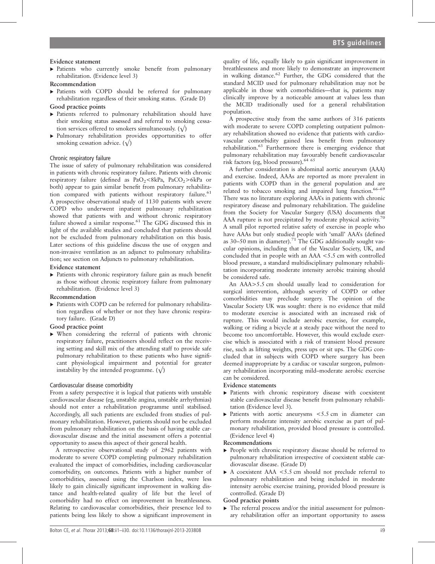#### Evidence statement

▸ Patients who currently smoke benefit from pulmonary rehabilitation. (Evidence level 3)

#### Recommendation

- ▸ Patients with COPD should be referred for pulmonary rehabilitation regardless of their smoking status. (Grade D)
- Good practice points
- ▸ Patients referred to pulmonary rehabilitation should have their smoking status assessed and referral to smoking cessation services offered to smokers simultaneously.  $(\sqrt)$
- ▸ Pulmonary rehabilitation provides opportunities to offer smoking cessation advice.  $(\sqrt)$

#### Chronic respiratory failure

The issue of safety of pulmonary rehabilitation was considered in patients with chronic respiratory failure. Patients with chronic respiratory failure (defined as  $PaO<sub>2</sub> < 8kPa$ ,  $PaCO<sub>2</sub> > 6kPa$  or both) appear to gain similar benefit from pulmonary rehabilitation compared with patients without respiratory failure.<sup>61</sup> A prospective observational study of 1130 patients with severe COPD who underwent inpatient pulmonary rehabilitation showed that patients with and without chronic respiratory failure showed a similar response.<sup>61</sup> The GDG discussed this in light of the available studies and concluded that patients should not be excluded from pulmonary rehabilitation on this basis. Later sections of this guideline discuss the use of oxygen and non-invasive ventilation as an adjunct to pulmonary rehabilitation; see section on Adjuncts to pulmonary rehabilitation.

#### Evidence statement

▸ Patients with chronic respiratory failure gain as much benefit as those without chronic respiratory failure from pulmonary rehabilitation. (Evidence level 3)

#### Recommendation

▸ Patients with COPD can be referred for pulmonary rehabilitation regardless of whether or not they have chronic respiratory failure. (Grade D)

#### Good practice point

▸ When considering the referral of patients with chronic respiratory failure, practitioners should reflect on the receiving setting and skill mix of the attending staff to provide safe pulmonary rehabilitation to these patients who have significant physiological impairment and potential for greater instability by the intended programme.  $(\sqrt)$ 

#### Cardiovascular disease comorbidity

From a safety perspective it is logical that patients with unstable cardiovascular disease (eg, unstable angina, unstable arrhythmias) should not enter a rehabilitation programme until stabilised. Accordingly, all such patients are excluded from studies of pulmonary rehabilitation. However, patients should not be excluded from pulmonary rehabilitation on the basis of having stable cardiovascular disease and the initial assessment offers a potential opportunity to assess this aspect of their general health.

A retrospective observational study of 2962 patients with moderate to severe COPD completing pulmonary rehabilitation evaluated the impact of comorbidities, including cardiovascular comorbidity, on outcomes. Patients with a higher number of comorbidities, assessed using the Charlson index, were less likely to gain clinically significant improvement in walking distance and health-related quality of life but the level of comorbidity had no effect on improvement in breathlessness. Relating to cardiovascular comorbidities, their presence led to patients being less likely to show a significant improvement in

quality of life, equally likely to gain significant improvement in breathlessness and more likely to demonstrate an improvement in walking distance.<sup>62</sup> Further, the GDG considered that the standard MCID used for pulmonary rehabilitation may not be applicable in those with comorbidities—that is, patients may clinically improve by a noticeable amount at values less than the MCID traditionally used for a general rehabilitation population.

A prospective study from the same authors of 316 patients with moderate to severe COPD completing outpatient pulmonary rehabilitation showed no evidence that patients with cardiovascular comorbidity gained less benefit from pulmonary rehabilitation.63 Furthermore there is emerging evidence that pulmonary rehabilitation may favourably benefit cardiovascular risk factors (eg, blood pressure).<sup>64 65</sup>

A further consideration is abdominal aortic aneurysm (AAA) and exercise. Indeed, AAAs are reported as more prevalent in patients with COPD than in the general population and are related to tobacco smoking and impaired lung function.<sup>66-69</sup> There was no literature exploring AAA's in patients with chronic respiratory disease and pulmonary rehabilitation. The guideline from the Society for Vascular Surgery (USA) documents that AAA rupture is not precipitated by moderate physical activity.<sup>70</sup> A small pilot reported relative safety of exercise in people who have AAAs but only studied people with 'small' AAA's (defined as  $30-50$  mm in diameter).<sup>71</sup> The GDG additionally sought vascular opinions, including that of the Vascular Society, UK, and concluded that in people with an AAA <5.5 cm with controlled blood pressure, a standard multidisciplinary pulmonary rehabilitation incorporating moderate intensity aerobic training should be considered safe.

An AAA>5.5 cm should usually lead to consideration for surgical intervention, although severity of COPD or other comorbidities may preclude surgery. The opinion of the Vascular Society UK was sought: there is no evidence that mild to moderate exercise is associated with an increased risk of rupture. This would include aerobic exercise, for example, walking or riding a bicycle at a steady pace without the need to become too uncomfortable. However, this would exclude exercise which is associated with a risk of transient blood pressure rise, such as lifting weights, press ups or sit ups. The GDG concluded that in subjects with COPD where surgery has been deemed inappropriate by a cardiac or vascular surgeon, pulmonary rehabilitation incorporating mild–moderate aerobic exercise can be considered.

#### Evidence statements

- ▸ Patients with chronic respiratory disease with coexistent stable cardiovascular disease benefit from pulmonary rehabilitation (Evidence level 3).
- ▸ Patients with aortic aneurysms <5.5 cm in diameter can perform moderate intensity aerobic exercise as part of pulmonary rehabilitation, provided blood pressure is controlled. (Evidence level 4)

#### Recommendations

- ▸ People with chronic respiratory disease should be referred to pulmonary rehabilitation irrespective of coexistent stable cardiovascular disease. (Grade D)
- ▶ A coexistent AAA <5.5 cm should not preclude referral to pulmonary rehabilitation and being included in moderate intensity aerobic exercise training, provided blood pressure is controlled. (Grade D)

#### Good practice points

▸ The referral process and/or the initial assessment for pulmonary rehabilitation offer an important opportunity to assess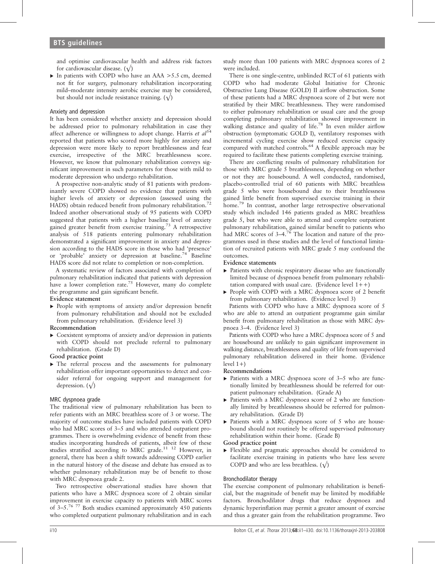and optimise cardiovascular health and address risk factors for cardiovascular disease.  $(\sqrt)$ 

 $\triangleright$  In patients with COPD who have an AAA  $>$ 5.5 cm, deemed not fit for surgery, pulmonary rehabilitation incorporating mild–moderate intensity aerobic exercise may be considered, but should not include resistance training.  $(\sqrt)$ 

#### Anxiety and depression

It has been considered whether anxiety and depression should be addressed prior to pulmonary rehabilitation in case they affect adherence or willingness to adopt change. Harris et  $al<sup>5</sup>$ reported that patients who scored more highly for anxiety and depression were more likely to report breathlessness and fear exercise, irrespective of the MRC breathlessness score. However, we know that pulmonary rehabilitation conveys significant improvement in such parameters for those with mild to moderate depression who undergo rehabilitation.

A prospective non-analytic study of 81 patients with predominantly severe COPD showed no evidence that patients with higher levels of anxiety or depression (assessed using the HADS) obtain reduced benefit from pulmonary rehabilitation.<sup>72</sup> Indeed another observational study of 95 patients with COPD suggested that patients with a higher baseline level of anxiety gained greater benefit from exercise training.<sup>73</sup> A retrospective analysis of 518 patients entering pulmonary rehabilitation demonstrated a significant improvement in anxiety and depression according to the HADS score in those who had 'presence' or 'probable' anxiety or depression at baseline.<sup>74</sup> Baseline HADS score did not relate to completion or non-completion.

A systematic review of factors associated with completion of pulmonary rehabilitation indicated that patients with depression have a lower completion rate.<sup>75</sup> However, many do complete the programme and gain significant benefit.

#### Evidence statement

▸ People with symptoms of anxiety and/or depression benefit from pulmonary rehabilitation and should not be excluded from pulmonary rehabilitation. (Evidence level 3)

#### Recommendation

▸ Coexistent symptoms of anxiety and/or depression in patients with COPD should not preclude referral to pulmonary rehabilitation. (Grade D)

#### Good practice point

▸ The referral process and the assessments for pulmonary rehabilitation offer important opportunities to detect and consider referral for ongoing support and management for depression.  $(\sqrt)$ 

#### MRC dyspnoea grade

The traditional view of pulmonary rehabilitation has been to refer patients with an MRC breathless score of 3 or worse. The majority of outcome studies have included patients with COPD who had MRC scores of 3–5 and who attended outpatient programmes. There is overwhelming evidence of benefit from these studies incorporating hundreds of patients, albeit few of these studies stratified according to MRC grade.<sup>11</sup> <sup>12</sup> However, in general, there has been a shift towards addressing COPD earlier in the natural history of the disease and debate has ensued as to whether pulmonary rehabilitation may be of benefit to those with MRC dyspnoea grade 2.

Two retrospective observational studies have shown that patients who have a MRC dyspnoea score of 2 obtain similar improvement in exercise capacity to patients with MRC scores of 3–5.76 77 Both studies examined approximately 450 patients who completed outpatient pulmonary rehabilitation and in each

study more than 100 patients with MRC dyspnoea scores of 2 were included.

There is one single-centre, unblinded RCT of 61 patients with COPD who had moderate Global Initiative for Chronic Obstructive Lung Disease (GOLD) II airflow obstruction. Some of these patients had a MRC dyspnoea score of 2 but were not stratified by their MRC breathlessness. They were randomised to either pulmonary rehabilitation or usual care and the group completing pulmonary rehabilitation showed improvement in walking distance and quality of life.<sup>78</sup> In even milder airflow obstruction (symptomatic GOLD I), ventilatory responses with incremental cycling exercise show reduced exercise capacity compared with matched controls.64 A flexible approach may be required to facilitate these patients completing exercise training.

There are conflicting results of pulmonary rehabilitation for those with MRC grade 5 breathlessness, depending on whether or not they are housebound. A well conducted, randomised, placebo-controlled trial of 60 patients with MRC breathless grade 5 who were housebound due to their breathlessness gained little benefit from supervised exercise training in their home.<sup>79</sup> In contrast, another large retrospective observational study which included 146 patients graded as MRC breathless grade 5, but who were able to attend and complete outpatient pulmonary rehabilitation, gained similar benefit to patients who had MRC scores of 3-4.<sup>76</sup> The location and nature of the programmes used in these studies and the level of functional limitation of recruited patients with MRC grade 5 may confound the outcomes.

#### Evidence statements

- ▸ Patients with chronic respiratory disease who are functionally limited because of dyspnoea benefit from pulmonary rehabilitation compared with usual care. (Evidence level  $1++$ )
- ▸ People with COPD with a MRC dyspnoea score of 2 benefit from pulmonary rehabilitation. (Evidence level 3)

Patients with COPD who have a MRC dyspnoea score of 5 who are able to attend an outpatient programme gain similar benefit from pulmonary rehabilitation as those with MRC dyspnoea 3–4. (Evidence level 3)

Patients with COPD who have a MRC dyspnoea score of 5 and are housebound are unlikely to gain significant improvement in walking distance, breathlessness and quality of life from supervised pulmonary rehabilitation delivered in their home. (Evidence  $level 1+)$ 

#### Recommendations

- ▸ Patients with a MRC dyspnoea score of 3–5 who are functionally limited by breathlessness should be referred for outpatient pulmonary rehabilitation. (Grade A)
- ▶ Patients with a MRC dyspnoea score of 2 who are functionally limited by breathlessness should be referred for pulmonary rehabilitation. (Grade D)
- ▸ Patients with a MRC dyspnoea score of 5 who are housebound should not routinely be offered supervised pulmonary rehabilitation within their home. (Grade B)

#### Good practice point

▸ Flexible and pragmatic approaches should be considered to facilitate exercise training in patients who have less severe COPD and who are less breathless.  $(\sqrt)$ 

#### Bronchodilator therapy

The exercise component of pulmonary rehabilitation is beneficial, but the magnitude of benefit may be limited by modifiable factors. Bronchodilator drugs that reduce dyspnoea and dynamic hyperinflation may permit a greater amount of exercise and thus a greater gain from the rehabilitation programme. Two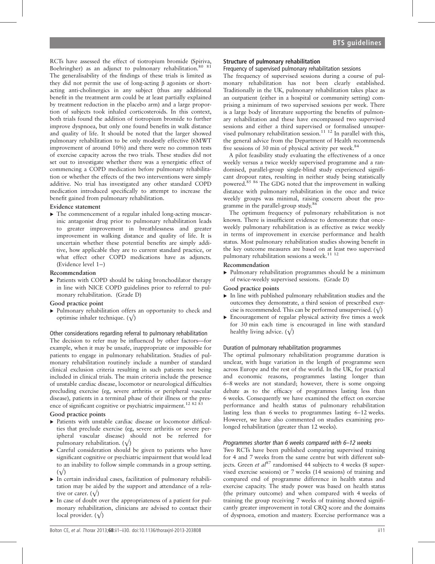RCTs have assessed the effect of tiotropium bromide (Spiriva, Boehringher) as an adjunct to pulmonary rehabilitation.<sup>80</sup> 81 The generalisability of the findings of these trials is limited as they did not permit the use of long-acting β agonists or shortacting anti-cholinergics in any subject (thus any additional benefit in the treatment arm could be at least partially explained by treatment reduction in the placebo arm) and a large proportion of subjects took inhaled corticosteroids. In this context, both trials found the addition of tiotropium bromide to further improve dyspnoea, but only one found benefits in walk distance and quality of life. It should be noted that the larger showed pulmonary rehabilitation to be only modestly effective (6MWT improvement of around 10%) and there were no common tests of exercise capacity across the two trials. These studies did not set out to investigate whether there was a synergistic effect of commencing a COPD medication before pulmonary rehabilitation or whether the effects of the two interventions were simply additive. No trial has investigated any other standard COPD medication introduced specifically to attempt to increase the benefit gained from pulmonary rehabilitation.

#### Evidence statement

▸ The commencement of a regular inhaled long-acting muscarinic antagonist drug prior to pulmonary rehabilitation leads to greater improvement in breathlessness and greater improvement in walking distance and quality of life. It is uncertain whether these potential benefits are simply additive, how applicable they are to current standard practice, or what effect other COPD medications have as adjuncts. (Evidence level 1−)

#### Recommendation

▸ Patients with COPD should be taking bronchodilator therapy in line with NICE COPD guidelines prior to referral to pulmonary rehabilitation. (Grade D)

#### Good practice point

▸ Pulmonary rehabilitation offers an opportunity to check and optimise inhaler technique.  $(\sqrt)$ 

#### Other considerations regarding referral to pulmonary rehabilitation

The decision to refer may be influenced by other factors—for example, when it may be unsafe, inappropriate or impossible for patients to engage in pulmonary rehabilitation. Studies of pulmonary rehabilitation routinely include a number of standard clinical exclusion criteria resulting in such patients not being included in clinical trials. The main criteria include the presence of unstable cardiac disease, locomotor or neurological difficulties precluding exercise (eg, severe arthritis or peripheral vascular disease), patients in a terminal phase of their illness or the presence of significant cognitive or psychiatric impairment.<sup>12 82 8</sup>

#### Good practice points

- ▸ Patients with unstable cardiac disease or locomotor difficulties that preclude exercise (eg, severe arthritis or severe peripheral vascular disease) should not be referred for pulmonary rehabilitation.  $(\sqrt{)}$
- Careful consideration should be given to patients who have significant cognitive or psychiatric impairment that would lead to an inability to follow simple commands in a group setting.  $(\sqrt{2})$
- ▸ In certain individual cases, facilitation of pulmonary rehabilitation may be aided by the support and attendance of a relative or carer.  $(\sqrt{)}$
- ▸ In case of doubt over the appropriateness of a patient for pulmonary rehabilitation, clinicians are advised to contact their local provider.  $(\sqrt)$

#### Structure of pulmonary rehabilitation

#### Frequency of supervised pulmonary rehabilitation sessions

The frequency of supervised sessions during a course of pulmonary rehabilitation has not been clearly established. Traditionally in the UK, pulmonary rehabilitation takes place as an outpatient (either in a hospital or community setting) comprising a minimum of two supervised sessions per week. There is a large body of literature supporting the benefits of pulmonary rehabilitation and these have encompassed two supervised sessions and either a third supervised or formalised unsupervised pulmonary rehabilitation session.<sup>11 12</sup> In parallel with this, the general advice from the Department of Health recommends five sessions of 30 min of physical activity per week. $84$ 

A pilot feasibility study evaluating the effectiveness of a once weekly versus a twice weekly supervised programme and a randomised, parallel-group single-blind study experienced significant dropout rates, resulting in neither study being statistically powered.<sup>85 86</sup> The GDG noted that the improvement in walking distance with pulmonary rehabilitation in the once and twice weekly groups was minimal, raising concern about the programme in the parallel-group study. $86$ 

The optimum frequency of pulmonary rehabilitation is not known. There is insufficient evidence to demonstrate that onceweekly pulmonary rehabilitation is as effective as twice weekly in terms of improvement in exercise performance and health status. Most pulmonary rehabilitation studies showing benefit in the key outcome measures are based on at least two supervised pulmonary rehabilitation sessions a week.<sup>11 12</sup>

#### Recommendation

▸ Pulmonary rehabilitation programmes should be a minimum of twice-weekly supervised sessions. (Grade D)

#### Good practice points

- ▸ In line with published pulmonary rehabilitation studies and the outcomes they demonstrate, a third session of prescribed exercise is recommended. This can be performed unsupervised.  $(\sqrt)$
- ▸ Encouragement of regular physical activity five times a week for 30 min each time is encouraged in line with standard healthy living advice.  $(\sqrt)$

#### Duration of pulmonary rehabilitation programmes

The optimal pulmonary rehabilitation programme duration is unclear, with huge variation in the length of programme seen across Europe and the rest of the world. In the UK, for practical and economic reasons, programmes lasting longer than 6–8 weeks are not standard; however, there is some ongoing debate as to the efficacy of programmes lasting less than 6 weeks. Consequently we have examined the effect on exercise performance and health status of pulmonary rehabilitation lasting less than 6 weeks to programmes lasting 6–12 weeks. However, we have also commented on studies examining prolonged rehabilitation (greater than 12 weeks).

#### Programmes shorter than 6 weeks compared with 6–12 weeks

Two RCTs have been published comparing supervised training for 4 and 7 weeks from the same centre but with different subjects. Green et  $al^{87}$  randomised 44 subjects to 4 weeks (8 supervised exercise sessions) or 7 weeks (14 sessions) of training and compared end of programme difference in health status and exercise capacity. The study power was based on health status (the primary outcome) and when compared with 4 weeks of training the group receiving 7 weeks of training showed significantly greater improvement in total CRQ score and the domains of dyspnoea, emotion and mastery. Exercise performance was a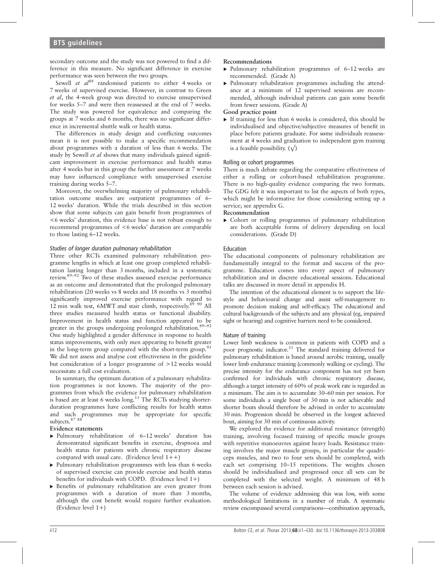secondary outcome and the study was not powered to find a difference in this measure. No significant difference in exercise performance was seen between the two groups.

Sewell *et al*<sup>88</sup> randomised patients to either 4 weeks or 7 weeks of supervised exercise. However, in contrast to Green et al, the 4-week group was directed to exercise unsupervised for weeks 5–7 and were then reassessed at the end of 7 weeks. The study was powered for equivalence and comparing the groups at 7 weeks and 6 months, there was no significant difference in incremental shuttle walk or health status.

The differences in study design and conflicting outcomes mean it is not possible to make a specific recommendation about programmes with a duration of less than 6 weeks. The study by Sewell et al shows that many individuals gained significant improvement in exercise performance and health status after 4 weeks but in this group the further assessment at 7 weeks may have influenced compliance with unsupervised exercise training during weeks 5–7.

Moreover, the overwhelming majority of pulmonary rehabilitation outcome studies are outpatient programmes of 6– 12 weeks' duration. While the trials described in this section show that some subjects can gain benefit from programmes of <6 weeks' duration, this evidence base is not robust enough to recommend programmes of <6 weeks' duration are comparable to those lasting 6–12 weeks.

#### Studies of longer duration pulmonary rehabilitation

Three other RCTs examined pulmonary rehabilitation programme lengths in which at least one group completed rehabilitation lasting longer than 3 months, included in a systematic review.89–<sup>92</sup> Two of these studies assessed exercise performance as an outcome and demonstrated that the prolonged pulmonary rehabilitation (20 weeks vs 8 weeks and 18 months vs 3 months) significantly improved exercise performance with regard to 12 min walk test,  $6MWT$  and stair climb, respectively.<sup>89</sup> 90 All three studies measured health status or functional disability. Improvement in health status and function appeared to be greater in the groups undergoing prolonged rehabilitation.<sup>89-92</sup> One study highlighted a gender difference in response to health status improvements, with only men appearing to benefit greater in the long-term group compared with the short-term group.<sup>91</sup> We did not assess and analyse cost effectiveness in the guideline but consideration of a longer programme of >12 weeks would necessitate a full cost evaluation.

In summary, the optimum duration of a pulmonary rehabilitation programmes is not known. The majority of the programmes from which the evidence for pulmonary rehabilitation is based are at least 6 weeks long.<sup>11</sup> The RCTs studying shorterduration programmes have conflicting results for health status and such programmes may be appropriate for specific subjects.<sup>87 88</sup>

#### Evidence statements

- ▸ Pulmonary rehabilitation of 6–12 weeks' duration has demonstrated significant benefits in exercise, dyspnoea and health status for patients with chronic respiratory disease compared with usual care. (Evidence level  $1++$ )
- ▸ Pulmonary rehabilitation programmes with less than 6 weeks of supervised exercise can provide exercise and health status benefits for individuals with COPD. (Evidence level  $1+$ )
- ▸ Benefits of pulmonary rehabilitation are even greater from programmes with a duration of more than 3 months, although the cost benefit would require further evaluation. (Evidence level 1+)

#### Recommendations

- $\blacktriangleright$  Pulmonary rehabilitation programmes of 6–12 weeks are recommended. (Grade A)
- ▸ Pulmonary rehabilitation programmes including the attendance at a minimum of 12 supervised sessions are recommended, although individual patients can gain some benefit from fewer sessions. (Grade A)

#### Good practice point

▸ If training for less than 6 weeks is considered, this should be individualised and objective/subjective measures of benefit in place before patients graduate. For some individuals reassessment at 4 weeks and graduation to independent gym training is a feasible possibility.  $(\sqrt)$ 

#### Rolling or cohort programmes

There is much debate regarding the comparative effectiveness of either a rolling or cohort-based rehabilitation programme. There is no high-quality evidence comparing the two formats. The GDG felt it was important to list the aspects of both types, which might be informative for those considering setting up a service; see appendix G.

#### Recommendation

▸ Cohort or rolling programmes of pulmonary rehabilitation are both acceptable forms of delivery depending on local considerations. (Grade D)

#### Education

The educational components of pulmonary rehabilitation are fundamentally integral to the format and success of the programme. Education comes into every aspect of pulmonary rehabilitation and in discrete educational sessions. Educational talks are discussed in more detail in appendix H.

The intention of the educational element is to support the lifestyle and behavioural change and assist self-management to promote decision making and self-efficacy. The educational and cultural backgrounds of the subjects and any physical (eg, impaired sight or hearing) and cognitive barriers need to be considered.

#### Nature of training

Lower limb weakness is common in patients with COPD and a poor prognostic indicator.<sup>33</sup> The standard training delivered for pulmonary rehabilitation is based around aerobic training, usually lower limb endurance training (commonly walking or cycling). The precise intensity for the endurance component has not yet been confirmed for individuals with chronic respiratory disease, although a target intensity of 60% of peak work rate is regarded as a minimum. The aim is to accumulate 30–60 min per session. For some individuals a single bout of 30 min is not achievable and shorter bouts should therefore be advised in order to accumulate 30 min. Progression should be observed in the longest achieved bout, aiming for 30 min of continuous activity.

We explored the evidence for additional resistance (strength) training, involving focused training of specific muscle groups with repetitive manoeuvres against heavy loads. Resistance training involves the major muscle groups, in particular the quadriceps muscles, and two to four sets should be completed, with each set comprising 10–15 repetitions. The weights chosen should be individualised and progressed once all sets can be completed with the selected weight. A minimum of 48 h between each session is advised.

The volume of evidence addressing this was low, with some methodological limitations in a number of trials. A systematic review encompassed several comparisons—combination approach,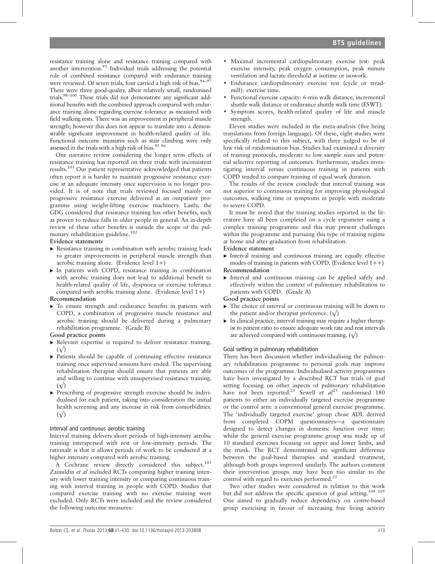resistance training alone and resistance training compared with another intervention.93 Individual trials addressing the potential role of combined resistance compared with endurance training were reviewed. Of seven trials, four carried a high risk of bias.  $94-97$ There were three good-quality, albeit relatively small, randomised trials.98–<sup>100</sup> These trials did not demonstrate any significant additional benefits with the combined approach compared with endurance training alone regarding exercise tolerance as measured with field walking tests. There was an improvement in peripheral muscle strength; however this does not appear to translate into a demonstrable significant improvement in health-related quality of life. Functional outcome measures such as stair climbing were only assessed in the trials with a high risk of bias.<sup>95 96</sup>

One narrative review considering the longer term effects of resistance training has reported on three trials with inconsistent results.101 Our patient representative acknowledged that patients often report it is harder to maintain progressive resistance exercise at an adequate intensity once supervision is no longer provided. It is of note that trials reviewed focused mainly on progressive resistance exercise delivered at an outpatient programme using weight-lifting exercise machinery. Lastly, the GDG considered that resistance training has other benefits, such as proven to reduce falls in older people in general. An in-depth review of these other benefits is outside the scope of the pulmonary rehabilitation guideline.<sup>102</sup>

#### Evidence statements

- ▸ Resistance training in combination with aerobic training leads to greater improvements in peripheral muscle strength than aerobic training alone. (Evidence level 1+)
- ▸ In patients with COPD, resistance training in combination with aerobic training does not lead to additional benefit to health-related quality of life, dyspnoea or exercise tolerance compared with aerobic training alone. (Evidence level  $1+$ )

#### Recommendation

▶ To ensure strength and endurance benefits in patients with COPD, a combination of progressive muscle resistance and aerobic training should be delivered during a pulmonary rehabilitation programme. (Grade B)

#### Good practice points

- ▸ Relevant expertise is required to deliver resistance training.  $(\sqrt{2})$
- ▸ Patients should be capable of continuing effective resistance training once supervised sessions have ended. The supervising rehabilitation therapist should ensure that patients are able and willing to continue with unsupervised resistance training.  $(\sqrt{2})$
- ▸ Prescribing of progressive strength exercise should be individualised for each patient, taking into consideration the initial health screening and any increase in risk from comorbidities.  $(\sqrt{2})$

#### Interval and continuous aerobic training

Interval training delivers short periods of high-intensity aerobic training interspersed with rest or low-intensity periods. The rationale is that it allows periods of work to be conducted at a higher intensity compared with aerobic training.

A Cochrane review directly considered this subject.<sup>103</sup> Zainuldin et al included RCTs comparing higher training intensity with lower training intensity or comparing continuous training with interval training in people with COPD. Studies that compared exercise training with no exercise training were excluded. Only RCTs were included and the review considered the following outcome measures:

- Maximal incremental cardiopulmonary exercise test: peak exercise intensity, peak oxygen consumption, peak minute ventilation and lactate threshold at isotime or isowork.
- Endurance cardiopulmonary exercise test (cycle or treadmill): exercise time.
- Functional exercise capacity: 6-min walk distance, incremental shuttle walk distance or endurance shuttle walk time (ESWT).
- Symptom scores, health-related quality of life and muscle strength.

Eleven studies were included in the meta-analysis (five being translations from foreign language). Of these, eight studies were specifically related to this subject, with three judged to be of low risk of randomisation bias. Studies had examined a diversity of training protocols, moderate to low sample sizes and potential selective reporting of outcomes. Furthermore, studies investigating interval versus continuous training in patients with COPD tended to compare training of equal work duration.

The results of the review conclude that interval training was not superior to continuous training for improving physiological outcomes, walking time or symptoms in people with moderate to severe COPD.

It must be noted that the training studies reported in the literature have all been completed on a cycle ergometer using a complex training programme and this may present challenges within the programme and pursuing this type of training regime at home and after graduation from rehabilitation.

#### Evidence statement

▸ Interval training and continuous training are equally effective modes of training in patients with COPD. (Evidence level  $1++$ )

#### Recommendation

▸ Interval and continuous training can be applied safely and effectively within the context of pulmonary rehabilitation to patients with COPD. (Grade A)

#### Good practice points

- ▸ The choice of interval or continuous training will be down to the patient and/or therapist preference.  $(\sqrt)$
- ▸ In clinical practice, interval training may require a higher therapist to patient ratio to ensure adequate work rate and rest intervals are achieved compared with continuous training.  $(\sqrt)$

#### Goal setting in pulmonary rehabilitation

There has been discussion whether individualising the pulmonary rehabilitation programme to personal goals may improve outcomes of the programme. Individualised activity programmes have been investigated by a described RCT but trials of goal setting focusing on other aspects of pulmonary rehabilitation have not been reported.<sup>25</sup> Sewell et  $al^{25}$  randomised 180 patients to either an individually targeted exercise programme or the control arm: a conventional general exercise programme. The 'individually targeted exercise' group chose ADL derived from completed COPM questionnaires—a questionnaire designed to detect changes in domestic function over time; whilst the general exercise programme group was made up of 10 standard exercises focusing on upper and lower limbs, and the trunk. The RCT demonstrated no significant difference between the goal-based therapies and standard treatment, although both groups improved similarly. The authors comment their intervention groups may have been too similar to the control with regard to exercises performed.<sup>25</sup>

Two other studies were considered in relation to this work but did not address the specific question of goal setting.<sup>104 105</sup> One aimed to gradually reduce dependency on centre-based group exercising in favour of increasing free living activity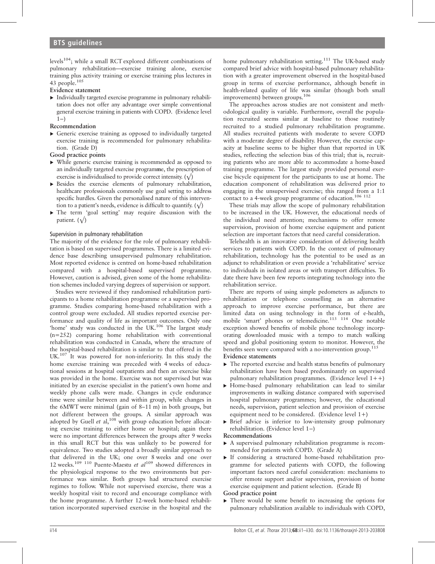levels<sup>104</sup>; while a small RCT explored different combinations of pulmonary rehabilitation—exercise training alone, exercise training plus activity training or exercise training plus lectures in 43 people.<sup>105</sup>

# Evidence statement

▸ Individually targeted exercise programme in pulmonary rehabilitation does not offer any advantage over simple conventional general exercise training in patients with COPD. (Evidence level 1−)

#### Recommendation

▸ Generic exercise training as opposed to individually targeted exercise training is recommended for pulmonary rehabilitation. (Grade D)

### Good practice points

- ▸ While generic exercise training is recommended as opposed to an individually targeted exercise programme, the prescription of exercise is individualised to provide correct intensity.  $(\sqrt)$
- ▸ Besides the exercise elements of pulmonary rehabilitation, healthcare professionals commonly use goal setting to address specific hurdles. Given the personalised nature of this intervention to a patient's needs, evidence is difficult to quantify.  $(\sqrt)$
- ▸ The term 'goal setting' may require discussion with the patient.  $(\sqrt)$

#### Supervision in pulmonary rehabilitation

The majority of the evidence for the role of pulmonary rehabilitation is based on supervised programmes. There is a limited evidence base describing unsupervised pulmonary rehabilitation. Most reported evidence is centred on home-based rehabilitation compared with a hospital-based supervised programme. However, caution is advised, given some of the home rehabilitation schemes included varying degrees of supervision or support.

Studies were reviewed if they randomised rehabilitation participants to a home rehabilitation programme or a supervised programme. Studies comparing home-based rehabilitation with a control group were excluded. All studies reported exercise performance and quality of life as important outcomes. Only one 'home' study was conducted in the UK.<sup>106</sup> The largest study  $(n=252)$  comparing home rehabilitation with conventional rehabilitation was conducted in Canada, where the structure of the hospital-based rehabilitation is similar to that offered in the UK.<sup>107</sup> It was powered for non-inferiority. In this study the home exercise training was preceded with 4 weeks of educational sessions at hospital outpatients and then an exercise bike was provided in the home. Exercise was not supervised but was initiated by an exercise specialist in the patient's own home and weekly phone calls were made. Changes in cycle endurance time were similar between and within group, while changes in the 6MWT were minimal (gain of 8–11 m) in both groups, but not different between the groups. A similar approach was adopted by Guell et al,<sup>108</sup> with group education before allocating exercise training to either home or hospital; again there were no important differences between the groups after 9 weeks in this small RCT but this was unlikely to be powered for equivalence. Two studies adopted a broadly similar approach to that delivered in the UK; one over 8 weeks and one over 12 weeks.<sup>109 110</sup> Puente-Maestu et  $al^{109}$  showed differences in the physiological response to the two environments but performance was similar. Both groups had structured exercise regimes to follow. While not supervised exercise, there was a weekly hospital visit to record and encourage compliance with the home programme. A further 12-week home-based rehabilitation incorporated supervised exercise in the hospital and the

home pulmonary rehabilitation setting.<sup>111</sup> The UK-based study compared brief advice with hospital-based pulmonary rehabilitation with a greater improvement observed in the hospital-based group in terms of exercise performance, although benefit in health-related quality of life was similar (though both small improvements) between groups.<sup>106</sup>

The approaches across studies are not consistent and methodological quality is variable. Furthermore, overall the population recruited seems similar at baseline to those routinely recruited to a studied pulmonary rehabilitation programme. All studies recruited patients with moderate to severe COPD with a moderate degree of disability. However, the exercise capacity at baseline seems to be higher than that reported in UK studies, reflecting the selection bias of this trial; that is, recruiting patients who are more able to accommodate a home-based training programme. The largest study provided personal exercise bicycle equipment for the participants to use at home. The education component of rehabilitation was delivered prior to engaging in the unsupervised exercise; this ranged from a 1:1 contact to a 4-week group programme of education.<sup>106 112</sup>

These trials may allow the scope of pulmonary rehabilitation to be increased in the UK. However, the educational needs of the individual need attention; mechanisms to offer remote supervision, provision of home exercise equipment and patient selection are important factors that need careful consideration.

Telehealth is an innovative consideration of delivering health services to patients with COPD. In the context of pulmonary rehabilitation, technology has the potential to be used as an adjunct to rehabilitation or even provide a 'rehabilitative' service to individuals in isolated areas or with transport difficulties. To date there have been few reports integrating technology into the rehabilitation service.

There are reports of using simple pedometers as adjuncts to rehabilitation or telephone counselling as an alternative approach to improve exercise performance, but there are limited data on using technology in the form of e-health, mobile 'smart' phones or telemedicine.<sup>113</sup> <sup>114</sup> One notable exception showed benefits of mobile phone technology incorporating downloaded music with a tempo to match walking speed and global positioning system to monitor. However, the benefits seen were compared with a no-intervention group.<sup>115</sup> Evidence statements

- ▸ The reported exercise and health status benefits of pulmonary rehabilitation have been based predominantly on supervised pulmonary rehabilitation programmes. (Evidence level  $1++$ )
- ▸ Home-based pulmonary rehabilitation can lead to similar improvements in walking distance compared with supervised hospital pulmonary programmes; however, the educational needs, supervision, patient selection and provision of exercise equipment need to be considered. (Evidence level  $1+$ )
- ▸ Brief advice is inferior to low-intensity group pulmonary rehabilitation. (Evidence level 1−)

#### Recommendations

- ▸ A supervised pulmonary rehabilitation programme is recommended for patients with COPD. (Grade A)
- ▸ If considering a structured home-based rehabilitation programme for selected patients with COPD, the following important factors need careful consideration: mechanisms to offer remote support and/or supervision, provision of home exercise equipment and patient selection. (Grade B)

#### Good practice point

▸ There would be some benefit to increasing the options for pulmonary rehabilitation available to individuals with COPD,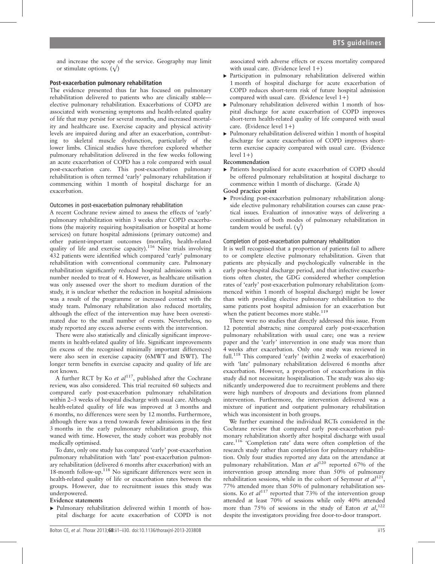and increase the scope of the service. Geography may limit or stimulate options.  $(\sqrt{ } )$ 

#### Post-exacerbation pulmonary rehabilitation

The evidence presented thus far has focused on pulmonary rehabilitation delivered to patients who are clinically stable elective pulmonary rehabilitation. Exacerbations of COPD are associated with worsening symptoms and health-related quality of life that may persist for several months, and increased mortality and healthcare use. Exercise capacity and physical activity levels are impaired during and after an exacerbation, contributing to skeletal muscle dysfunction, particularly of the lower limbs. Clinical studies have therefore explored whether pulmonary rehabilitation delivered in the few weeks following an acute exacerbation of COPD has a role compared with usual post-exacerbation care. This post-exacerbation pulmonary rehabilitation is often termed 'early' pulmonary rehabilitation if commencing within 1 month of hospital discharge for an exacerbation.

#### Outcomes in post-exacerbation pulmonary rehabilitation

A recent Cochrane review aimed to assess the effects of 'early' pulmonary rehabilitation within 3 weeks after COPD exacerbations (the majority requiring hospitalisation or hospital at home services) on future hospital admissions (primary outcome) and other patient-important outcomes (mortality, health-related quality of life and exercise capacity).  $116$  Nine trials involving 432 patients were identified which compared 'early' pulmonary rehabilitation with conventional community care. Pulmonary rehabilitation significantly reduced hospital admissions with a number needed to treat of 4. However, as healthcare utilisation was only assessed over the short to medium duration of the study, it is unclear whether the reduction in hospital admissions was a result of the programme or increased contact with the study team. Pulmonary rehabilitation also reduced mortality, although the effect of the intervention may have been overestimated due to the small number of events. Nevertheless, no study reported any excess adverse events with the intervention.

There were also statistically and clinically significant improvements in health-related quality of life. Significant improvements (in excess of the recognised minimally important differences) were also seen in exercise capacity (6MWT and ISWT). The longer term benefits in exercise capacity and quality of life are not known.

A further RCT by Ko et  $al^{117}$ , published after the Cochrane review, was also considered. This trial recruited 60 subjects and compared early post-exacerbation pulmonary rehabilitation within 2–3 weeks of hospital discharge with usual care. Although health-related quality of life was improved at 3 months and 6 months, no differences were seen by 12 months. Furthermore, although there was a trend towards fewer admissions in the first 3 months in the early pulmonary rehabilitation group, this waned with time. However, the study cohort was probably not medically optimised.

To date, only one study has compared 'early' post-exacerbation pulmonary rehabilitation with 'late' post-exacerbation pulmonary rehabilitation (delivered 6 months after exacerbation) with an 18-month follow-up.118 No significant differences were seen in health-related quality of life or exacerbation rates between the groups. However, due to recruitment issues this study was underpowered.

#### Evidence statements

▸ Pulmonary rehabilitation delivered within 1 month of hospital discharge for acute exacerbation of COPD is not associated with adverse effects or excess mortality compared with usual care. (Evidence level  $1+$ )

- ▸ Participation in pulmonary rehabilitation delivered within 1 month of hospital discharge for acute exacerbation of COPD reduces short-term risk of future hospital admission compared with usual care. (Evidence level  $1+$ )
- ▸ Pulmonary rehabilitation delivered within 1 month of hospital discharge for acute exacerbation of COPD improves short-term health-related quality of life compared with usual care. (Evidence level 1+)
- ▸ Pulmonary rehabilitation delivered within 1 month of hospital discharge for acute exacerbation of COPD improves shortterm exercise capacity compared with usual care. (Evidence level  $1+$ )

#### Recommendation

▸ Patients hospitalised for acute exacerbation of COPD should be offered pulmonary rehabilitation at hospital discharge to commence within 1 month of discharge. (Grade A)

#### Good practice point

▸ Providing post-exacerbation pulmonary rehabilitation alongside elective pulmonary rehabilitation courses can cause practical issues. Evaluation of innovative ways of delivering a combination of both modes of pulmonary rehabilitation in tandem would be useful.  $(\sqrt{ } )$ 

#### Completion of post-exacerbation pulmonary rehabilitation

It is well recognised that a proportion of patients fail to adhere to or complete elective pulmonary rehabilitation. Given that patients are physically and psychologically vulnerable in the early post-hospital discharge period, and that infective exacerbations often cluster, the GDG considered whether completion rates of 'early' post-exacerbation pulmonary rehabilitation (commenced within 1 month of hospital discharge) might be lower than with providing elective pulmonary rehabilitation to the same patients post hospital admission for an exacerbation but when the patient becomes more stable.<sup>119</sup>

There were no studies that directly addressed this issue. From 12 potential abstracts; nine compared early post-exacerbation pulmonary rehabilitation with usual care; one was a review paper and the 'early' intervention in one study was more than 4 weeks after exacerbation. Only one study was reviewed in full.<sup>118</sup> This compared 'early' (within 2 weeks of exacerbation) with 'late' pulmonary rehabilitation delivered 6 months after exacerbation. However, a proportion of exacerbations in this study did not necessitate hospitalisation. The study was also significantly underpowered due to recruitment problems and there were high numbers of dropouts and deviations from planned intervention. Furthermore, the intervention delivered was a mixture of inpatient and outpatient pulmonary rehabilitation which was inconsistent in both groups.

We further examined the individual RCTs considered in the Cochrane review that compared early post-exacerbation pulmonary rehabilitation shortly after hospital discharge with usual care.116 'Completion rate' data were often completion of the research study rather than completion for pulmonary rehabilitation. Only four studies reported any data on the attendance at pulmonary rehabilitation. Man et  $al^{120}$  reported 67% of the intervention group attending more than 50% of pulmonary rehabilitation sessions, while in the cohort of Seymour et  $al^{121}$ , 77% attended more than 50% of pulmonary rehabilitation sessions. Ko *et al*<sup>117</sup> reported that 73% of the intervention group attended at least 70% of sessions while only 40% attended more than 75% of sessions in the study of Eaton et  $al$ ,  $122$ despite the investigators providing free door-to-door transport.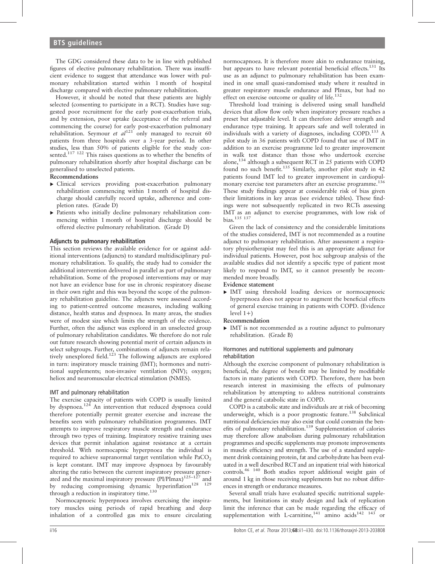The GDG considered these data to be in line with published figures of elective pulmonary rehabilitation. There was insufficient evidence to suggest that attendance was lower with pulmonary rehabilitation started within 1 month of hospital discharge compared with elective pulmonary rehabilitation.

However, it should be noted that these patients are highly selected (consenting to participate in a RCT). Studies have suggested poor recruitment for the early post-exacerbation trials, and by extension, poor uptake (acceptance of the referral and commencing the course) for early post-exacerbation pulmonary rehabilitation. Seymour *et al*<sup>121</sup> only managed to recruit 60 patients from three hospitals over a 3-year period. In other studies, less than 50% of patients eligible for the study consented.<sup>117 122</sup> This raises questions as to whether the benefits of pulmonary rehabilitation shortly after hospital discharge can be generalised to unselected patients.

#### Recommendations

- ▸ Clinical services providing post-exacerbation pulmonary rehabilitation commencing within 1 month of hospital discharge should carefully record uptake, adherence and completion rates. (Grade D)
- ▸ Patients who initially decline pulmonary rehabilitation commencing within 1 month of hospital discharge should be offered elective pulmonary rehabilitation. (Grade D)

#### Adjuncts to pulmonary rehabilitation

This section reviews the available evidence for or against additional interventions (adjuncts) to standard multidisciplinary pulmonary rehabilitation. To qualify, the study had to consider the additional intervention delivered in parallel as part of pulmonary rehabilitation. Some of the proposed interventions may or may not have an evidence base for use in chronic respiratory disease in their own right and this was beyond the scope of the pulmonary rehabilitation guideline. The adjuncts were assessed according to patient-centred outcome measures, including walking distance, health status and dyspnoea. In many areas, the studies were of modest size which limits the strength of the evidence. Further, often the adjunct was explored in an unselected group of pulmonary rehabilitation candidates. We therefore do not rule out future research showing potential merit of certain adjuncts in select subgroups. Further, combinations of adjuncts remain relatively unexplored field.<sup>123</sup> The following adjuncts are explored in turn: inspiratory muscle training (IMT); hormones and nutritional supplements; non-invasive ventilation (NIV); oxygen; heliox and neuromuscular electrical stimulation (NMES).

#### IMT and pulmonary rehabilitation

The exercise capacity of patients with COPD is usually limited by dyspnoea.<sup>124</sup> An intervention that reduced dyspnoea could therefore potentially permit greater exercise and increase the benefits seen with pulmonary rehabilitation programmes. IMT attempts to improve respiratory muscle strength and endurance through two types of training. Inspiratory resistive training uses devices that permit inhalation against resistance at a certain threshold. With normocapnic hyperpnoea the individual is required to achieve supranormal target ventilation while PaCO<sub>2</sub> is kept constant. IMT may improve dyspnoea by favourably altering the ratio between the current inspiratory pressure generated and the maximal inspiratory pressure (PI/PImax)<sup>125–127</sup> and by reducing compromising dynamic hyperinflation<sup>128</sup><sup>129</sup> through a reduction in inspiratory time.<sup>130</sup>

Normocapnoeic hyperpnoea involves exercising the inspiratory muscles using periods of rapid breathing and deep inhalation of a controlled gas mix to ensure circulating

normocapnoea. It is therefore more akin to endurance training, but appears to have relevant potential beneficial effects.131 Its use as an adjunct to pulmonary rehabilitation has been examined in one small quasi-randomised study where it resulted in greater respiratory muscle endurance and PImax, but had no effect on exercise outcome or quality of life. $132$ 

Threshold load training is delivered using small handheld devices that allow flow only when inspiratory pressure reaches a preset but adjustable level. It can therefore deliver strength and endurance type training. It appears safe and well tolerated in individuals with a variety of diagnoses, including COPD.<sup>133</sup> A pilot study in 36 patients with COPD found that use of IMT in addition to an exercise programme led to greater improvement in walk test distance than those who undertook exercise alone,134 although a subsequent RCT in 25 patients with COPD found no such benefit.<sup>135</sup> Similarly, another pilot study in 42 patients found IMT led to greater improvement in cardiopulmonary exercise test parameters after an exercise programme.<sup>136</sup> These study findings appear at considerable risk of bias given their limitations in key areas (see evidence tables). These findings were not subsequently replicated in two RCTs assessing IMT as an adjunct to exercise programmes, with low risk of bias.<sup>135</sup> <sup>137</sup>

Given the lack of consistency and the considerable limitations of the studies considered, IMT is not recommended as a routine adjunct to pulmonary rehabilitation. After assessment a respiratory physiotherapist may feel this is an appropriate adjunct for individual patients. However, post hoc subgroup analysis of the available studies did not identify a specific type of patient most likely to respond to IMT, so it cannot presently be recommended more broadly.

#### Evidence statement

▸ IMT using threshold loading devices or normocapnoeic hyperpnoea does not appear to augment the beneficial effects of general exercise training in patients with COPD. (Evidence  $level 1+)$ 

#### Recommendation

▸ IMT is not recommended as a routine adjunct to pulmonary rehabilitation. (Grade B)

#### Hormones and nutritional supplements and pulmonary rehabilitation

Although the exercise component of pulmonary rehabilitation is beneficial, the degree of benefit may be limited by modifiable factors in many patients with COPD. Therefore, there has been research interest in maximising the effects of pulmonary rehabilitation by attempting to address nutritional constraints and the general catabolic state in COPD.

COPD is a catabolic state and individuals are at risk of becoming underweight, which is a poor prognostic feature.<sup>138</sup> Subclinical nutritional deficiencies may also exist that could constrain the benefits of pulmonary rehabilitation.<sup>139</sup> Supplementation of calories may therefore allow anabolism during pulmonary rehabilitation programmes and specific supplements may promote improvements in muscle efficiency and strength. The use of a standard supplement drink containing protein, fat and carbohydrate has been evaluated in a well described RCT and an inpatient trial with historical controls.46 140 Both studies report additional weight gain of around 1 kg in those receiving supplements but no robust differences in strength or endurance measures.

Several small trials have evaluated specific nutritional supplements, but limitations in study design and lack of replication limit the inference that can be made regarding the efficacy of supplementation with L-carnitine,  $141$  amino acids<sup>142</sup> 143 or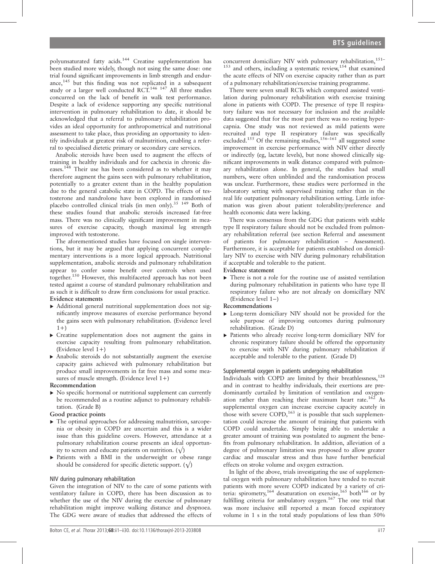polyunsaturated fatty acids.<sup>144</sup> Creatine supplementation has been studied more widely, though not using the same dose: one trial found significant improvements in limb strength and endurance, $145$  but this finding was not replicated in a subsequent study or a larger well conducted RCT.<sup>146 147</sup> All three studies concurred on the lack of benefit in walk test performance. Despite a lack of evidence supporting any specific nutritional intervention in pulmonary rehabilitation to date, it should be acknowledged that a referral to pulmonary rehabilitation provides an ideal opportunity for anthropometrical and nutritional assessment to take place, thus providing an opportunity to identify individuals at greatest risk of malnutrition, enabling a referral to specialised dietetic primary or secondary care services.

Anabolic steroids have been used to augment the effects of training in healthy individuals and for cachexia in chronic diseases.<sup>148</sup> Their use has been considered as to whether it may therefore augment the gains seen with pulmonary rehabilitation, potentially to a greater extent than in the healthy population due to the general catabolic state in COPD. The effects of testosterone and nandrolone have been explored in randomised placebo controlled clinical trials (in men only).<sup>35 149</sup> Both of these studies found that anabolic steroids increased fat-free mass. There was no clinically significant improvement in measures of exercise capacity, though maximal leg strength improved with testosterone.

The aforementioned studies have focused on single interventions, but it may be argued that applying concurrent complementary interventions is a more logical approach. Nutritional supplementation, anabolic steroids and pulmonary rehabilitation appear to confer some benefit over controls when used together.<sup>150</sup> However, this multifaceted approach has not been tested against a course of standard pulmonary rehabilitation and as such it is difficult to draw firm conclusions for usual practice. Evidence statements

- ▸ Additional general nutritional supplementation does not significantly improve measures of exercise performance beyond the gains seen with pulmonary rehabilitation. (Evidence level  $1+$ )
- ▸ Creatine supplementation does not augment the gains in exercise capacity resulting from pulmonary rehabilitation. (Evidence level 1+)
- ▸ Anabolic steroids do not substantially augment the exercise capacity gains achieved with pulmonary rehabilitation but produce small improvements in fat free mass and some measures of muscle strength. (Evidence level  $1+$ )

#### Recommendation

▸ No specific hormonal or nutritional supplement can currently be recommended as a routine adjunct to pulmonary rehabilitation. (Grade B)

#### Good practice points

- ▸ The optimal approaches for addressing malnutrition, sarcopenia or obesity in COPD are uncertain and this is a wider issue than this guideline covers. However, attendance at a pulmonary rehabilitation course presents an ideal opportunity to screen and educate patients on nutrition.  $(\sqrt)$
- ▸ Patients with a BMI in the underweight or obese range should be considered for specific dietetic support.  $(\sqrt)$

#### NIV during pulmonary rehabilitation

Given the integration of NIV to the care of some patients with ventilatory failure in COPD, there has been discussion as to whether the use of the NIV during the exercise of pulmonary rehabilitation might improve walking distance and dyspnoea. The GDG were aware of studies that addressed the effects of

There were seven small RCTs which compared assisted ventilation during pulmonary rehabilitation with exercise training alone in patients with COPD. The presence of type II respiratory failure was not necessary for inclusion and the available data suggested that for the most part there was no resting hypercapnia. One study was not reviewed as mild patients were recruited and type II respiratory failure was specifically excluded.<sup>155</sup> Of the remaining studies,<sup>156-161</sup> all suggested some improvement in exercise performance with NIV either directly or indirectly (eg, lactate levels), but none showed clinically significant improvements in walk distance compared with pulmonary rehabilitation alone. In general, the studies had small numbers, were often unblinded and the randomisation process was unclear. Furthermore, these studies were performed in the laboratory setting with supervised training rather than in the real life outpatient pulmonary rehabilitation setting. Little information was given about patient tolerability/preference and health economic data were lacking.

There was consensus from the GDG that patients with stable type II respiratory failure should not be excluded from pulmonary rehabilitation referral (see section Referral and assessment of patients for pulmonary rehabilitation – Assessment). Furthermore, it is acceptable for patients established on domicillary NIV to exercise with NIV during pulmonary rehabilitation if acceptable and tolerable to the patient.

#### Evidence statement

▶ There is not a role for the routine use of assisted ventilation during pulmonary rehabilitation in patients who have type II respiratory failure who are not already on domicillary NIV. (Evidence level 1−)

#### Recommendations

- ▸ Long-term domiciliary NIV should not be provided for the sole purpose of improving outcomes during pulmonary rehabilitation. (Grade D)
- ▸ Patients who already receive long-term domiciliary NIV for chronic respiratory failure should be offered the opportunity to exercise with NIV during pulmonary rehabilitation if acceptable and tolerable to the patient. (Grade D)

#### Supplemental oxygen in patients undergoing rehabilitation

Individuals with COPD are limited by their breathlessness,<sup>128</sup> and in contrast to healthy individuals, their exertions are predominantly curtailed by limitation of ventilation and oxygenation rather than reaching their maximum heart rate.<sup>162</sup> As supplemental oxygen can increase exercise capacity acutely in those with severe  $COPD$ ,<sup>163</sup> it is possible that such supplementation could increase the amount of training that patients with COPD could undertake. Simply being able to undertake a greater amount of training was postulated to augment the benefits from pulmonary rehabilitation. In addition, alleviation of a degree of pulmonary limitation was proposed to allow greater cardiac and muscular stress and thus have further beneficial effects on stroke volume and oxygen extraction.

In light of the above, trials investigating the use of supplemental oxygen with pulmonary rehabilitation have tended to recruit patients with more severe COPD indicated by a variety of criteria: spirometry,<sup>164</sup> desaturation on exercise,<sup>165</sup> both<sup>166</sup> or by fulfilling criteria for ambulatory oxygen.<sup>167</sup> The one trial that was more inclusive still reported a mean forced expiratory volume in 1 s in the total study populations of less than 50%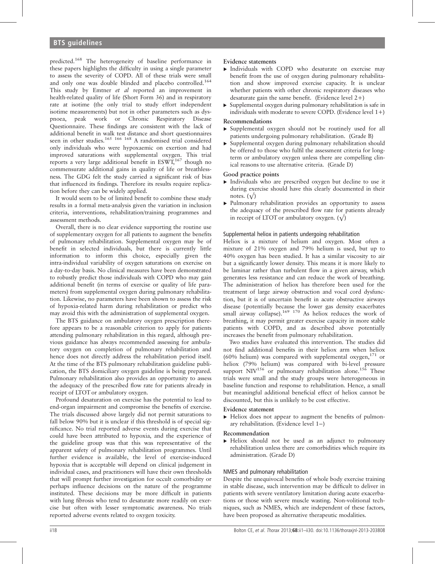predicted.<sup>168</sup> The heterogeneity of baseline performance in these papers highlights the difficulty in using a single parameter to assess the severity of COPD. All of these trials were small and only one was double blinded and placebo controlled.<sup>164</sup> This study by Emtner et al reported an improvement in health-related quality of life (Short Form 36) and in respiratory rate at isotime (the only trial to study effort independent isotime measurements) but not in other parameters such as dyspnoea, peak work or Chronic Respiratory Disease Questionnaire. These findings are consistent with the lack of additional benefit in walk test distance and short questionnaires seen in other studies.<sup>165</sup> <sup>166</sup> <sup>168</sup> A randomised trial considered only individuals who were hypoxaemic on exertion and had improved saturations with supplemental oxygen. This trial reports a very large additional benefit in ESWT,<sup>167</sup> though no commensurate additional gains in quality of life or breathlessness. The GDG felt the study carried a significant risk of bias that influenced its findings. Therefore its results require replication before they can be widely applied.

It would seem to be of limited benefit to combine these study results in a formal meta-analysis given the variation in inclusion criteria, interventions, rehabilitation/training programmes and assessment methods.

Overall, there is no clear evidence supporting the routine use of supplementary oxygen for all patients to augment the benefits of pulmonary rehabilitation. Supplemental oxygen may be of benefit in selected individuals, but there is currently little information to inform this choice, especially given the intra-individual variability of oxygen saturations on exercise on a day-to-day basis. No clinical measures have been demonstrated to robustly predict those individuals with COPD who may gain additional benefit (in terms of exercise or quality of life parameters) from supplemental oxygen during pulmonary rehabilitation. Likewise, no parameters have been shown to assess the risk of hypoxia-related harm during rehabilitation or predict who may avoid this with the administration of supplemental oxygen.

The BTS guidance on ambulatory oxygen prescription therefore appears to be a reasonable criterion to apply for patients attending pulmonary rehabilitation in this regard, although previous guidance has always recommended assessing for ambulatory oxygen on completion of pulmonary rehabilitation and hence does not directly address the rehabilitation period itself. At the time of the BTS pulmonary rehabilitation guideline publication, the BTS domiciliary oxygen guideline is being prepared. Pulmonary rehabilitation also provides an opportunity to assess the adequacy of the prescribed flow rate for patients already in receipt of LTOT or ambulatory oxygen.

Profound desaturation on exercise has the potential to lead to end-organ impairment and compromise the benefits of exercise. The trials discussed above largely did not permit saturations to fall below 90% but it is unclear if this threshold is of special significance. No trial reported adverse events during exercise that could have been attributed to hypoxia, and the experience of the guideline group was that this was representative of the apparent safety of pulmonary rehabilitation programmes. Until further evidence is available, the level of exercise-induced hypoxia that is acceptable will depend on clinical judgement in individual cases, and practitioners will have their own thresholds that will prompt further investigation for occult comorbidity or perhaps influence decisions on the nature of the programme instituted. These decisions may be more difficult in patients with lung fibrosis who tend to desaturate more readily on exercise but often with lesser symptomatic awareness. No trials reported adverse events related to oxygen toxicity.

#### Evidence statements

- ▸ Individuals with COPD who desaturate on exercise may benefit from the use of oxygen during pulmonary rehabilitation and show improved exercise capacity. It is unclear whether patients with other chronic respiratory diseases who desaturate gain the same benefit. (Evidence level  $2+$ )
- ▸ Supplemental oxygen during pulmonary rehabilitation is safe in individuals with moderate to severe COPD. (Evidence level  $1+$ )

#### Recommendations

- ▸ Supplemental oxygen should not be routinely used for all patients undergoing pulmonary rehabilitation. (Grade B)
- Supplemental oxygen during pulmonary rehabilitation should be offered to those who fulfil the assessment criteria for longterm or ambulatory oxygen unless there are compelling clinical reasons to use alternative criteria. (Grade D)

#### Good practice points

- ▸ Individuals who are prescribed oxygen but decline to use it during exercise should have this clearly documented in their notes.  $(\sqrt{ } )$
- ▸ Pulmonary rehabilitation provides an opportunity to assess the adequacy of the prescribed flow rate for patients already in receipt of LTOT or ambulatory oxygen.  $(\sqrt)$

#### Supplemental heliox in patients undergoing rehabilitation

Heliox is a mixture of helium and oxygen. Most often a mixture of 21% oxygen and 79% helium is used, but up to 40% oxygen has been studied. It has a similar viscosity to air but a significantly lower density. This means it is more likely to be laminar rather than turbulent flow in a given airway, which generates less resistance and can reduce the work of breathing. The administration of heliox has therefore been used for the treatment of large airway obstruction and vocal cord dysfunction, but it is of uncertain benefit in acute obstructive airways disease (potentially because the lower gas density exacerbates small airway collapse).<sup>169</sup> <sup>170</sup> As heliox reduces the work of breathing, it may permit greater exercise capacity in more stable patients with COPD, and as described above potentially increases the benefit from pulmonary rehabilitation.

Two studies have evaluated this intervention. The studies did not find additional benefits in their heliox arm when heliox (60% helium) was compared with supplemental oxygen, $171$  or heliox (79% helium) was compared with bi-level pressure support  $NIV^{156}$  or pulmonary rehabilitation alone.<sup>156</sup> These trials were small and the study groups were heterogeneous in baseline function and response to rehabilitation. Hence, a small but meaningful additional beneficial effect of heliox cannot be discounted, but this is unlikely to be cost effective.

#### Evidence statement

▶ Heliox does not appear to augment the benefits of pulmonary rehabilitation. (Evidence level 1−)

#### Recommendation

▸ Heliox should not be used as an adjunct to pulmonary rehabilitation unless there are comorbidities which require its administration. (Grade D)

#### NMES and pulmonary rehabilitation

Despite the unequivocal benefits of whole body exercise training in stable disease, such intervention may be difficult to deliver in patients with severe ventilatory limitation during acute exacerbations or those with severe muscle wasting. Non-volitional techniques, such as NMES, which are independent of these factors, have been proposed as alternative therapeutic modalities.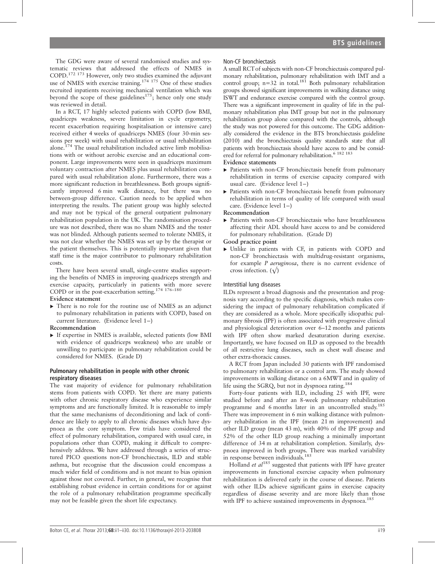The GDG were aware of several randomised studies and systematic reviews that addressed the effects of NMES in COPD.172 173 However, only two studies examined the adjuvant use of NMES with exercise training.<sup>174 175</sup> One of these studies recruited inpatients receiving mechanical ventilation which was beyond the scope of these guidelines<sup>175</sup>; hence only one study was reviewed in detail.

In a RCT, 17 highly selected patients with COPD (low BMI, quadriceps weakness, severe limitation in cycle ergometry, recent exacerbation requiring hospitalisation or intensive care) received either 4 weeks of quadriceps NMES (four 30-min sessions per week) with usual rehabilitation or usual rehabilitation alone.<sup>174</sup> The usual rehabilitation included active limb mobilisations with or without aerobic exercise and an educational component. Large improvements were seen in quadriceps maximum voluntary contraction after NMES plus usual rehabilitation compared with usual rehabilitation alone. Furthermore, there was a more significant reduction in breathlessness. Both groups significantly improved 6 min walk distance, but there was no between-group difference. Caution needs to be applied when interpreting the results. The patient group was highly selected and may not be typical of the general outpatient pulmonary rehabilitation population in the UK. The randomisation procedure was not described, there was no sham NMES and the tester was not blinded. Although patients seemed to tolerate NMES, it was not clear whether the NMES was set up by the therapist or the patient themselves. This is potentially important given that staff time is the major contributor to pulmonary rehabilitation costs.

There have been several small, single-centre studies supporting the benefits of NMES in improving quadriceps strength and exercise capacity, particularly in patients with more severe COPD or in the post-exacerbation setting.174 176–<sup>180</sup>

#### Evidence statement

▶ There is no role for the routine use of NMES as an adjunct to pulmonary rehabilitation in patients with COPD, based on current literature. (Evidence level 1−)

#### Recommendation

▸ If expertise in NMES is available, selected patients (low BMI with evidence of quadriceps weakness) who are unable or unwilling to participate in pulmonary rehabilitation could be considered for NMES. (Grade D)

#### Pulmonary rehabilitation in people with other chronic respiratory diseases

The vast majority of evidence for pulmonary rehabilitation stems from patients with COPD. Yet there are many patients with other chronic respiratory disease who experience similar symptoms and are functionally limited. It is reasonable to imply that the same mechanisms of deconditioning and lack of confidence are likely to apply to all chronic diseases which have dyspnoea as the core symptom. Few trials have considered the effect of pulmonary rehabilitation, compared with usual care, in populations other than COPD, making it difficult to comprehensively address. We have addressed through a series of structured PICO questions non-CF bronchiectasis, ILD and stable asthma, but recognise that the discussion could encompass a much wider field of conditions and is not meant to bias opinion against those not covered. Further, in general, we recognise that establishing robust evidence in certain conditions for or against the role of a pulmonary rehabilitation programme specifically may not be feasible given the short life expectancy.

#### Non-CF bronchiectasis

A small RCTof subjects with non-CF bronchiectasis compared pulmonary rehabilitation, pulmonary rehabilitation with IMT and a control group;  $n=32$  in total.<sup>181</sup> Both pulmonary rehabilitation groups showed significant improvements in walking distance using ISWT and endurance exercise compared with the control group. There was a significant improvement in quality of life in the pulmonary rehabilitation plus IMT group but not in the pulmonary rehabilitation group alone compared with the controls, although the study was not powered for this outcome. The GDG additionally considered the evidence in the BTS bronchiectasis guideline (2010) and the bronchiectasis quality standards state that all patients with bronchiectasis should have access to and be considered for referral for pulmonary rehabilitation.<sup>6 182 183</sup>

#### Evidence statements

- ▸ Patients with non-CF bronchiectasis benefit from pulmonary rehabilitation in terms of exercise capacity compared with usual care. (Evidence level 1−)
- ▸ Patients with non-CF bronchiectasis benefit from pulmonary rehabilitation in terms of quality of life compared with usual care. (Evidence level 1−)

#### Recommendation

▸ Patients with non-CF bronchiectasis who have breathlessness affecting their ADL should have access to and be considered for pulmonary rehabilitation. (Grade D)

#### Good practice point

▸ Unlike in patients with CF, in patients with COPD and non-CF bronchiectasis with multidrug-resistant organisms, for example P aeruginosa, there is no current evidence of cross infection.  $(\sqrt{)}$ 

#### Interstitial lung diseases

ILDs represent a broad diagnosis and the presentation and prognosis vary according to the specific diagnosis, which makes considering the impact of pulmonary rehabilitation complicated if they are considered as a whole. More specifically idiopathic pulmonary fibrosis (IPF) is often associated with progressive clinical and physiological deterioration over 6–12 months and patients with IPF often show marked desaturation during exercise. Importantly, we have focused on ILD as opposed to the breadth of all restrictive lung diseases, such as chest wall disease and other extra-thoracic causes.

A RCT from Japan included 30 patients with IPF randomised to pulmonary rehabilitation or a control arm. The study showed improvements in walking distance on a 6MWT and in quality of life using the SGRQ, but not in dyspnoea rating.<sup>184</sup>

Forty-four patients with ILD, including 25 with IPF, were studied before and after an 8-week pulmonary rehabilitation programme and 6 months later in an uncontrolled study.<sup>185</sup> There was improvement in 6 min walking distance with pulmonary rehabilitation in the IPF (mean 21 m improvement) and other ILD group (mean 43 m), with 40% of the IPF group and 52% of the other ILD group reaching a minimally important difference of 34 m at rehabilitation completion. Similarly, dyspnoea improved in both groups. There was marked variability in response between individuals.<sup>185</sup>

Holland et  $al^{185}$  suggested that patients with IPF have greater improvements in functional exercise capacity when pulmonary rehabilitation is delivered early in the course of disease. Patients with other ILDs achieve significant gains in exercise capacity regardless of disease severity and are more likely than those with IPF to achieve sustained improvements in dyspnoea.<sup>18</sup>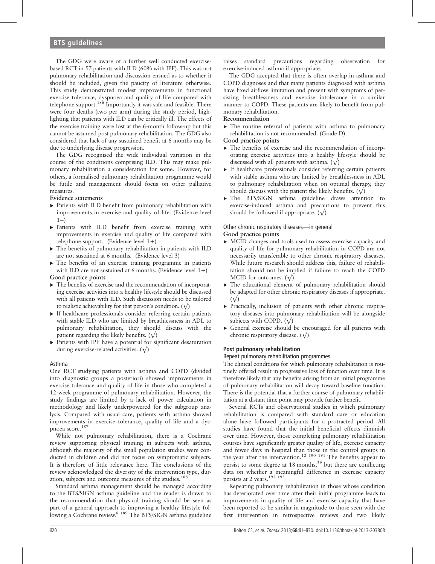The GDG were aware of a further well conducted exercisebased RCT in 57 patients with ILD (60% with IPF). This was not pulmonary rehabilitation and discussion ensued as to whether it should be included, given the paucity of literature otherwise. This study demonstrated modest improvements in functional exercise tolerance, dyspnoea and quality of life compared with telephone support.<sup>186</sup> Importantly it was safe and feasible. There were four deaths (two per arm) during the study period, highlighting that patients with ILD can be critically ill. The effects of the exercise training were lost at the 6-month follow-up but this cannot be assumed post pulmonary rehabilitation. The GDG also considered that lack of any sustained benefit at 6 months may be due to underlying disease progression.

The GDG recognised the wide individual variation in the course of the conditions comprising ILD. This may make pulmonary rehabilitation a consideration for some. However, for others, a formalised pulmonary rehabilitation programme would be futile and management should focus on other palliative measures.

#### Evidence statements

- ▸ Patients with ILD benefit from pulmonary rehabilitation with improvements in exercise and quality of life. (Evidence level 1−)
- ▸ Patients with ILD benefit from exercise training with improvements in exercise and quality of life compared with telephone support. (Evidence level 1+)
- ▸ The benefits of pulmonary rehabilitation in patients with ILD are not sustained at 6 months. (Evidence level 3)
- ▸ The benefits of an exercise training programme in patients with ILD are not sustained at 6 months. (Evidence level  $1+$ )

#### Good practice points

- ▸ The benefits of exercise and the recommendation of incorporating exercise activities into a healthy lifestyle should be discussed with all patients with ILD. Such discussion needs to be tailored to realistic achievability for that person's condition.  $(\sqrt)$
- ▸ If healthcare professionals consider referring certain patients with stable ILD who are limited by breathlessness in ADL to pulmonary rehabilitation, they should discuss with the patient regarding the likely benefits.  $(\sqrt)$
- ▸ Patients with IPF have a potential for significant desaturation during exercise-related activities.  $(\sqrt{ } )$

#### Asthma

One RCT studying patients with asthma and COPD (divided into diagnostic groups a posteriori) showed improvements in exercise tolerance and quality of life in those who completed a 12-week programme of pulmonary rehabilitation. However, the study findings are limited by a lack of power calculation in methodology and likely underpowered for the subgroup analysis. Compared with usual care, patients with asthma showed improvements in exercise tolerance, quality of life and a dyspnoea score.<sup>187</sup>

While not pulmonary rehabilitation, there is a Cochrane review supporting physical training in subjects with asthma, although the majority of the small population studies were conducted in children and did not focus on symptomatic subjects. It is therefore of little relevance here. The conclusions of the review acknowledged the diversity of the intervention type, duration, subjects and outcome measures of the studies.<sup>188</sup>

Standard asthma management should be managed according to the BTS/SIGN asthma guideline and the reader is drawn to the recommendation that physical training should be seen as part of a general approach to improving a healthy lifestyle following a Cochrane review.8 189 The BTS/SIGN asthma guideline

raises standard precautions regarding observation for exercise-induced asthma if appropriate.

The GDG accepted that there is often overlap in asthma and COPD diagnoses and that many patients diagnosed with asthma have fixed airflow limitation and present with symptoms of persisting breathlessness and exercise intolerance in a similar manner to COPD. These patients are likely to benefit from pulmonary rehabilitation.

#### Recommendation

▶ The routine referral of patients with asthma to pulmonary rehabilitation is not recommended. (Grade D)

#### Good practice points

- ▸ The benefits of exercise and the recommendation of incorporating exercise activities into a healthy lifestyle should be discussed with all patients with asthma.  $(\sqrt)$
- ▸ If healthcare professionals consider referring certain patients with stable asthma who are limited by breathlessness in ADL to pulmonary rehabilitation when on optimal therapy, they should discuss with the patient the likely benefits.  $(\sqrt)$
- ▸ The BTS/SIGN asthma guideline draws attention to exercise-induced asthma and precautions to prevent this should be followed if appropriate.  $(\sqrt)$

#### Other chronic respiratory diseases—in general Good practice points

- ▸ MCID changes and tools used to assess exercise capacity and quality of life for pulmonary rehabilitation in COPD are not necessarily transferable to other chronic respiratory diseases. While future research should address this, failure of rehabilitation should not be implied if failure to reach the COPD MCID for outcomes.  $(\sqrt{ } )$
- ▸ The educational element of pulmonary rehabilitation should be adapted for other chronic respiratory diseases if appropriate.  $(\sqrt{2})$
- ▸ Practically, inclusion of patients with other chronic respiratory diseases into pulmonary rehabilitation will be alongside subjects with COPD.  $(\sqrt{)}$
- ▸ General exercise should be encouraged for all patients with chronic respiratory disease.  $(\sqrt)$

#### Post pulmonary rehabilitation

Repeat pulmonary rehabilitation programmes

The clinical conditions for which pulmonary rehabilitation is routinely offered result in progressive loss of function over time. It is therefore likely that any benefits arising from an initial programme of pulmonary rehabilitation will decay toward baseline function. There is the potential that a further course of pulmonary rehabilitation at a distant time point may provide further benefit.

Several RCTs and observational studies in which pulmonary rehabilitation is compared with standard care or education alone have followed participants for a protracted period. All studies have found that the initial beneficial effects diminish over time. However, those completing pulmonary rehabilitation courses have significantly greater quality of life, exercise capacity and fewer days in hospital than those in the control groups in the year after the intervention.<sup>12</sup> <sup>190</sup> <sup>191</sup> The benefits appear to persist to some degree at 18 months,<sup>39</sup> but there are conflicting data on whether a meaningful difference in exercise capacity persists at 2 years.192 193

Repeating pulmonary rehabilitation in those whose condition has deteriorated over time after their initial programme leads to improvements in quality of life and exercise capacity that have been reported to be similar in magnitude to those seen with the first intervention in retrospective reviews and two likely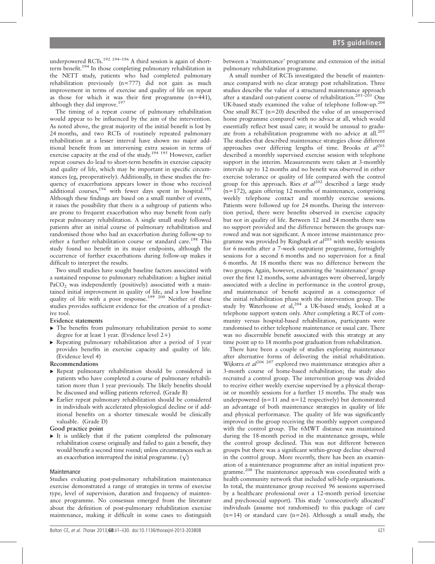underpowered RCTs.<sup>192 194–196</sup> A third session is again of shortterm benefit.<sup>194</sup> In those completing pulmonary rehabilitation in the NETT study, patients who had completed pulmonary rehabilitation previously (n=777) did not gain as much improvement in terms of exercise and quality of life on repeat as those for which it was their first programme (n=441), although they did improve.<sup>197</sup>

The timing of a repeat course of pulmonary rehabilitation would appear to be influenced by the aim of the intervention. As noted above, the great majority of the initial benefit is lost by 24 months, and two RCTs of routinely repeated pulmonary rehabilitation at a lesser interval have shown no major additional benefit from an intervening extra session in terms of exercise capacity at the end of the study.<sup>194 195</sup> However, earlier repeat courses do lead to short-term benefits in exercise capacity and quality of life, which may be important in specific circumstances (eg, preoperatively). Additionally, in these studies the frequency of exacerbations appears lower in those who received additional courses,<sup>194</sup> with fewer days spent in hospital.<sup>195</sup> Although these findings are based on a small number of events, it raises the possibility that there is a subgroup of patients who are prone to frequent exacerbation who may benefit from early repeat pulmonary rehabilitation. A single small study followed patients after an initial course of pulmonary rehabilitation and randomised those who had an exacerbation during follow-up to either a further rehabilitation course or standard care.<sup>198</sup> This study found no benefit in its major endpoints, although the occurrence of further exacerbations during follow-up makes it difficult to interpret the results.

Two small studies have sought baseline factors associated with a sustained response to pulmonary rehabilitation: a higher initial  $PaCO<sub>2</sub>$  was independently (positively) associated with a maintained initial improvement in quality of life, and a low baseline quality of life with a poor response.<sup>199 200</sup> Neither of these studies provides sufficient evidence for the creation of a predictive tool.

#### Evidence statements

- ▸ The benefits from pulmonary rehabilitation persist to some degree for at least 1 year. (Evidence level 2+)
- ▶ Repeating pulmonary rehabilitation after a period of 1 year provides benefits in exercise capacity and quality of life. (Evidence level 4)

#### Recommendations

- ▸ Repeat pulmonary rehabilitation should be considered in patients who have completed a course of pulmonary rehabilitation more than 1 year previously. The likely benefits should be discussed and willing patients referred. (Grade B)
- ▸ Earlier repeat pulmonary rehabilitation should be considered in individuals with accelerated physiological decline or if additional benefits on a shorter timescale would be clinically valuable. (Grade D)

#### Good practice point

 $\triangleright$  It is unlikely that if the patient completed the pulmonary rehabilitation course originally and failed to gain a benefit, they would benefit a second time round; unless circumstances such as an exacerbation interrupted the initial programme.  $(\sqrt)$ 

#### Maintenance

Studies evaluating post-pulmonary rehabilitation maintenance exercise demonstrated a range of strategies in terms of exercise type, level of supervision, duration and frequency of maintenance programme. No consensus emerged from the literature about the definition of post-pulmonary rehabilitation exercise maintenance, making it difficult in some cases to distinguish

A small number of RCTs investigated the benefit of maintenance compared with no clear strategy post rehabilitation. Three studies describe the value of a structured maintenance approach after a standard out-patient course of rehabilitation.<sup>201–203</sup> One UK-based study examined the value of telephone follow-up.<sup>204</sup> One small RCT  $(n=20)$  described the value of an unsupervised home programme compared with no advice at all, which would essentially reflect best usual care; it would be unusual to graduate from a rehabilitation programme with no advice at all.<sup>205</sup> The studies that described maintenance strategies chose different approaches over differing lengths of time. Brooks et  $dl^{201}$ described a monthly supervised exercise session with telephone support in the interim. Measurements were taken at 3-monthly intervals up to 12 months and no benefit was observed in either exercise tolerance or quality of life compared with the control group for this approach. Ries *et al*<sup>202</sup> described a large study  $(n=172)$ , again offering 12 months of maintenance, comprising weekly telephone contact and monthly exercise sessions. Patients were followed up for 24 months. During the intervention period, there were benefits observed in exercise capacity but not in quality of life. Between 12 and 24 months there was no support provided and the difference between the groups narrowed and was not significant. A more intense maintenance programme was provided by Ringbaek *et al*<sup>203</sup> with weekly sessions for 6 months after a 7-week outpatient programme, fortnightly sessions for a second 6 months and no supervision for a final 6 months. At 18 months there was no difference between the two groups. Again, however, examining the 'maintenance' group over the first 12 months, some advantages were observed, largely associated with a decline in performance in the control group, and maintenance of benefit acquired as a consequence of the initial rehabilitation phase with the intervention group. The study by Waterhouse  $e^{\int_{1}^{1}$  al, 204 a UK-based study, looked at a telephone support system only. After completing a RCT of community versus hospital-based rehabilitation, participants were randomised to either telephone maintenance or usual care. There was no discernible benefit associated with this strategy at any time point up to 18 months post graduation from rehabilitation.

There have been a couple of studies exploring maintenance after alternative forms of delivering the initial rehabilitation. Wijkstra et  $a l^{206}$   $207$  explored two maintenance strategies after a 3-month course of home-based rehabilitation; the study also recruited a control group. The intervention group was divided to receive either weekly exercise supervised by a physical therapist or monthly sessions for a further 15 months. The study was underpowered  $(n=11$  and  $n=12$  respectively) but demonstrated an advantage of both maintenance strategies in quality of life and physical performance. The quality of life was significantly improved in the group receiving the monthly support compared with the control group. The 6MWT distance was maintained during the 18-month period in the maintenance groups, while the control group declined. This was not different between groups but there was a significant within-group decline observed in the control group. More recently, there has been an examination of a maintenance programme after an initial inpatient programme.<sup>208</sup> The maintenance approach was coordinated with a health community network that included self-help organisations. In total, the maintenance group received 96 sessions supervised by a healthcare professional over a 12-month period (exercise and psychosocial support). This study 'consecutively allocated' individuals (assume not randomised) to this package of care  $(n=14)$  or standard care  $(n=26)$ . Although a small study, the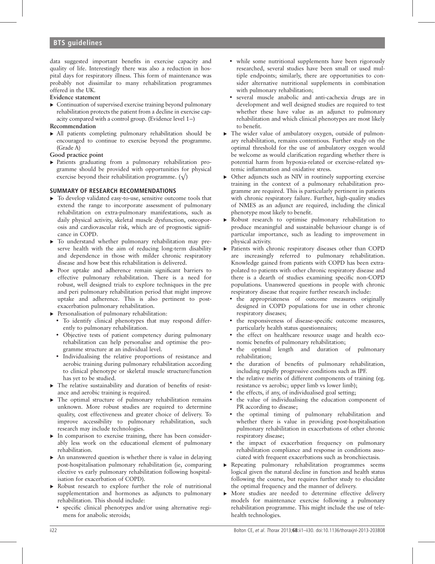data suggested important benefits in exercise capacity and quality of life. Interestingly there was also a reduction in hospital days for respiratory illness. This form of maintenance was probably not dissimilar to many rehabilitation programmes offered in the UK.

# Evidence statement

▸ Continuation of supervised exercise training beyond pulmonary rehabilitation protects the patient from a decline in exercise capacity compared with a control group. (Evidence level 1−)

#### Recommendation

▸ All patients completing pulmonary rehabilitation should be encouraged to continue to exercise beyond the programme. (Grade A)

#### Good practice point

▸ Patients graduating from a pulmonary rehabilitation programme should be provided with opportunities for physical exercise beyond their rehabilitation programme.  $(\sqrt)$ 

#### SUMMARY OF RESEARCH RECOMMENDATIONS

- ▸ To develop validated easy-to-use, sensitive outcome tools that extend the range to incorporate assessment of pulmonary rehabilitation on extra-pulmonary manifestations, such as daily physical activity, skeletal muscle dysfunction, osteoporosis and cardiovascular risk, which are of prognostic significance in COPD.
- ▸ To understand whether pulmonary rehabilitation may preserve health with the aim of reducing long-term disability and dependence in those with milder chronic respiratory disease and how best this rehabilitation is delivered.
- ▸ Poor uptake and adherence remain significant barriers to effective pulmonary rehabilitation. There is a need for robust, well designed trials to explore techniques in the pre and peri pulmonary rehabilitation period that might improve uptake and adherence. This is also pertinent to postexacerbation pulmonary rehabilitation.
- ▶ Personalisation of pulmonary rehabilitation:
	- To identify clinical phenotypes that may respond differently to pulmonary rehabilitation.
	- Objective tests of patient competency during pulmonary rehabilitation can help personalise and optimise the programme structure at an individual level.
	- Individualising the relative proportions of resistance and aerobic training during pulmonary rehabilitation according to clinical phenotype or skeletal muscle structure/function has yet to be studied.
- $\blacktriangleright$  The relative sustainability and duration of benefits of resistance and aerobic training is required.
- ▸ The optimal structure of pulmonary rehabilitation remains unknown. More robust studies are required to determine quality, cost effectiveness and greater choice of delivery. To improve accessibility to pulmonary rehabilitation, such research may include technologies.
- $\triangleright$  In comparison to exercise training, there has been considerably less work on the educational element of pulmonary rehabilitation.
- ▸ An unanswered question is whether there is value in delaying post-hospitalisation pulmonary rehabilitation (ie, comparing elective vs early pulmonary rehabilitation following hospitalisation for exacerbation of COPD).
- ▸ Robust research to explore further the role of nutritional supplementation and hormones as adjuncts to pulmonary rehabilitation. This should include:
	- specific clinical phenotypes and/or using alternative regimens for anabolic steroids;
- while some nutritional supplements have been rigorously researched, several studies have been small or used multiple endpoints; similarly, there are opportunities to consider alternative nutritional supplements in combination with pulmonary rehabilitation;
- several muscle anabolic and anti-cachexia drugs are in development and well designed studies are required to test whether these have value as an adjunct to pulmonary rehabilitation and which clinical phenotypes are most likely to benefit.
- ▶ The wider value of ambulatory oxygen, outside of pulmonary rehabilitation, remains contentious. Further study on the optimal threshold for the use of ambulatory oxygen would be welcome as would clarification regarding whether there is potential harm from hypoxia-related or exercise-related systemic inflammation and oxidative stress.
- ▸ Other adjuncts such as NIV in routinely supporting exercise training in the context of a pulmonary rehabilitation programme are required. This is particularly pertinent in patients with chronic respiratory failure. Further, high-quality studies of NMES as an adjunct are required, including the clinical phenotype most likely to benefit.
- ▸ Robust research to optimise pulmonary rehabilitation to produce meaningful and sustainable behaviour change is of particular importance, such as leading to improvement in physical activity.
- ▸ Patients with chronic respiratory diseases other than COPD are increasingly referred to pulmonary rehabilitation. Knowledge gained from patients with COPD has been extrapolated to patients with other chronic respiratory disease and there is a dearth of studies examining specific non-COPD populations. Unanswered questions in people with chronic respiratory disease that require further research include:
	- the appropriateness of outcome measures originally designed in COPD populations for use in other chronic respiratory diseases;
	- the responsiveness of disease-specific outcome measures, particularly health status questionnaires;
	- the effect on healthcare resource usage and health economic benefits of pulmonary rehabilitation;
	- the optimal length and duration of pulmonary rehabilitation;
	- the duration of benefits of pulmonary rehabilitation, including rapidly progressive conditions such as IPF.
	- the relative merits of different components of training (eg. resistance vs aerobic; upper limb vs lower limb);
	- the effects, if any, of individualised goal setting;
	- the value of individualising the education component of PR according to disease;
	- the optimal timing of pulmonary rehabilitation and whether there is value in providing post-hospitalisation pulmonary rehabilitation in exacerbations of other chronic respiratory disease;
	- the impact of exacerbation frequency on pulmonary rehabilitation compliance and response in conditions associated with frequent exacerbations such as bronchiectasis.
- ▸ Repeating pulmonary rehabilitation programmes seems logical given the natural decline in function and health status following the course, but requires further study to elucidate the optimal frequency and the manner of delivery.
- ▸ More studies are needed to determine effective delivery models for maintenance exercise following a pulmonary rehabilitation programme. This might include the use of telehealth technologies.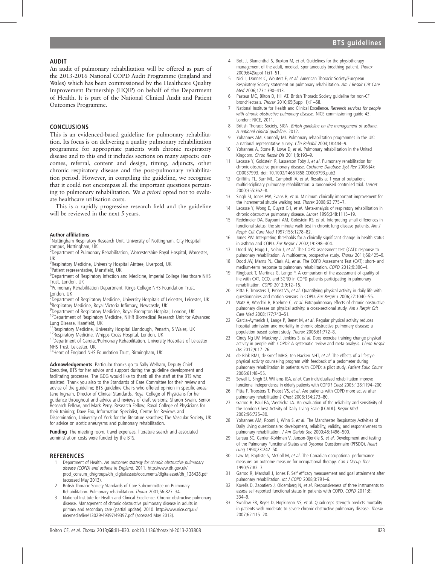#### AUDIT

An audit of pulmonary rehabilitation will be offered as part of the 2013-2016 National COPD Audit Programme (England and Wales) which has been commissioned by the Healthcare Quality Improvement Partnership (HQIP) on behalf of the Department of Health. It is part of the National Clinical Audit and Patient Outcomes Programme.

#### CONCLUSIONS

This is an evidenced-based guideline for pulmonary rehabilitation. Its focus is on delivering a quality pulmonary rehabilitation programme for appropriate patients with chronic respiratory disease and to this end it includes sections on many aspects: outcomes, referral, content and design, timing, adjuncts, other chronic respiratory disease and the post-pulmonary rehabilitation period. However, in compiling the guideline, we recognise that it could not encompass all the important questions pertaining to pulmonary rehabilitation. We a priori opted not to evaluate healthcare utilisation costs.

This is a rapidly progressive research field and the guideline will be reviewed in the next 5 years.

#### Author affiliations <sup>1</sup>

<sup>1</sup>Nottingham Respiratory Research Unit, University of Nottingham, City Hospital campus, Nottingham, UK

<sup>2</sup>Department of Pulmonary Rehabilitation, Worcestershire Royal Hospital, Worcester, UK

<sup>3</sup> Respiratory Medicine, University Hospital Aintree, Liverpool, UK

- <sup>4</sup> Patient representative, Mansfield, UK<br><sup>5</sup> Department of Respiratory Infection <sup>5</sup>Department of Respiratory Infection and Medicine, Imperial College Healthcare NHS Trust, London, UK
- <sup>6</sup>Pulmonary Rehabilitation Department, Kings College NHS Foundation Trust, London, UK
- <sup>7</sup> Department of Respiratory Medicine, University Hospitals of Leicester, Leicester, UK <sup>8</sup> Respiratory Medicine, Royal Victoria Infirmary, Newcastle, UK<br><sup>9</sup> Department of Respiratory Medicine, Royal Brompton Hospita
- <sup>9</sup> Department of Respiratory Medicine, Royal Brompton Hospital, London, UK
- $10$  Department of Respiratory Medicine, NIHR Biomedical Research Unit for Advanced Lung Disease, Harefield, UK
- 
- 
- <sup>11</sup> Respiratory Medicine, University Hospital Llandough, Penarth, S Wales, UK<br><sup>12</sup> Respiratory Medicine, Whipps Cross Hospital, London, UK<br><sup>13</sup> Department of Cardiac/Pulmonary Rehabilitation, University Hospitals of Leic NHS Trust, Leicester, UK
- <sup>14</sup> Heart of England NHS Foundation Trust, Birmingham, UK

Acknowledgements Particular thanks go to Sally Welham, Deputy Chief Executive, BTS for her advice and support during the guideline development and facilitating processes. The GDG would like to thank all the staff at the BTS who assisted. Thank you also to the Standards of Care Committee for their review and advice of the quideline; BTS quideline Chairs who offered opinion in specific areas; Jane Ingham, Director of Clinical Standards, Royal College of Physicians for her guidance throughout and advice and reviews of draft versions; Sharon Swain, Senior Research Fellow, and Mark Perry, Research Fellow, Royal College of Physicians for their training; Dave Fox, Information Specialist, Centre for Reviews and Dissemination, University of York for the literature searches; The Vascular Society, UK for advice on aortic aneurysms and pulmonary rehabilitation.

Funding The meeting room, travel expenses, literature search and associated administration costs were funded by the BTS.

#### **REFERENCES**

- Department of Health. An outcomes strategy for chronic obstructive pulmonary disease (COPD) and asthma in England. 2011. http://www.dh.gov.uk/ prod\_consum\_dh/groups/dh\_digitalassets/documents/digitalasset/dh\_128428.pdf (accessed May 2013).
- 2 British Thoracic Society Standards of Care Subcommittee on Pulmonary Rehabilitation. Pulmonary rehabilitation. Thorax 2001;56:827–34.
- 3 National Institute for Health and Clinical Excellence. Chronic obstructive pulmonary disease. Management of chronic obstructive pulmonary disease in adults in primary and secondary care (partial update). 2010. http://www.nice.org.uk/ nicemedia/live/13029/49397/49397.pdf (accessed May 2013).
- 4 Bott J, Blumenthal S, Buxton M, et al. Guidelines for the physiotherapy management of the adult, medical, spontaneously breathing patient. Thorax 2009;64(Suppl 1):i1–51.
- 5 Nici L, Donner C, Wouters E, et al. American Thoracic Society/European Respiratory Society statement on pulmonary rehabilitation. Am J Respir Crit Care Med 2006;173:1390–413.
- Pasteur MC, Bilton D, Hill AT. British Thoracic Society guideline for non-CF bronchiectasis. Thorax 2010;65(Suppl 1):i1–58.
- National Institute for Health and Clinical Excellence. Research services for people with chronic obstructive pulmonary disease. NICE commissioning quide 43. London: NICE, 2011.
- 8 British Thoracic Society, SIGN. British guideline on the management of asthma. A national clinical guideline. 2012.
- 9 Yohannes AM, Connolly MJ. Pulmonary rehabilitation programmes in the UK: a national representative survey. Clin Rehabil 2004;18:444–9.
- 10 Yohannes A, Stone R, Lowe D, et al. Pulmonary rehabilitation in the United Kingdom. Chron Respir Dis 2011;8:193–9.
- 11 Lacasse Y, Goldstein R, Lasserson Toby J, et al. Pulmonary rehabilitation for chronic obstructive pulmonary disease. Cochrane Database Syst Rev 2006;(4): CD0037993. doi: [10.1002/14651858.CD003793.pub2](http://dx.doi.org/10.1002/14651858.CD003793.pub2)
- 12 Griffiths TL, Burr ML, Campbell IA, et al. Results at 1 year of outpatient multidisciplinary pulmonary rehabilitation: a randomised controlled trial. Lancet 2000;355:362–8.
- 13 Singh SJ, Jones PW, Evans R, et al. Minimum clinically important improvement for the incremental shuttle walking test. Thorax 2008;63:775–7.
- 14 Lacasse Y, Wong E, Guyatt GH, et al. Meta-analysis of respiratory rehabilitation in chronic obstructive pulmonary disease. Lancet 1996;348:1115–19.
- 15 Redelmeier DA, Bayoumi AM, Goldstein RS, et al. Interpreting small differences in functional status: the six minute walk test in chronic lung disease patients. Am J Respir Crit Care Med 1997;155:1278–82.
- 16 Jones PW. Interpreting thresholds for a clinically significant change in health status in asthma and COPD. Eur Respir J 2002;19:398–404.
- 17 Dodd JW, Hogg L, Nolan J, et al. The COPD assessment test (CAT): response to pulmonary rehabilitation. A multicentre, prospective study. Thorax 2011;66:425–9.
- 18 Dodd JW, Marns PL, Clark AL, et al. The COPD Assessment Test (CAT): short- and medium-term response to pulmonary rehabilitation. COPD 2012;9:390–4.
- 19 Ringbaek T, Martinez G, Lange P. A comparison of the assessment of quality of life with CAT, CCQ, and SGRQ in COPD patients participating in pulmonary rehabilitation. COPD 2012;9:12–15.
- 20 Pitta F, Troosters T, Probst VS, et al. Quantifying physical activity in daily life with questionnaires and motion sensors in COPD. Eur Respir J 2006;27:1040-55.
- 21 Watz H, Waschki B, Boehme C, et al. Extrapulmonary effects of chronic obstructive pulmonary disease on physical activity: a cross-sectional study. Am J Respir Crit Care Med 2008;177:743–51.
- 22 Garcia-Aymerich J, Lange P, Benet M, et al. Regular physical activity reduces hospital admission and mortality in chronic obstructive pulmonary disease: a population based cohort study. Thorax 2006;61:772–8.
- 23 Cindy Ng LW, Mackney J, Jenkins S, et al. Does exercise training change physical activity in people with COPD? A systematic review and meta-analysis. Chron Respir Dis 2012;9:17–26.
- 24 de Blok BMJ, de Greef MHG, ten Hacken NHT, et al. The effects of a lifestyle physical activity counseling program with feedback of a pedometer during pulmonary rehabilitation in patients with COPD: a pilot study. Patient Educ Couns 2006;61:48–55.
- 25 Sewell L, Singh SJ, Williams JEA, et al. Can individualized rehabilitation improve functional independence in elderly patients with COPD? Chest 2005;128:1194–200.
- 26 Pitta F, Troosters T, Probst VS, et al. Are patients with COPD more active after pulmonary rehabilitation? Chest 2008;134:273–80.
- 27 Garrod R, Paul EA, Wedzicha JA. An evaluation of the reliability and sensitivity of the London Chest Activity of Daily Living Scale (LCADL). Respir Med 2002;96:725–30.
- 28 Yohannes AM, Roomi J, Winn S, et al. The Manchester Respiratory Activities of Daily Living questionnaire: development, reliability, validity, and responsiveness to pulmonary rehabilitation. J Am Geriatr Soc 2000;48:1496–500.
- 29 Lareau SC, Carrieri-Kohlman V, Janson-Bjerklie S, et al. Development and testing of the Pulmonary Functional Status and Dyspnea Questionnaire (PFSDQ). Heart Lung 1994;23:242–50.
- 30 Law M, Baptiste S, McColl M, et al. The Canadian occupational performance measure: an outcome measure for occupational therapy. Can J Occup Ther 1990;57:82–7.
- 31 Garrod R, Marshall J, Jones F. Self efficacy measurement and goal attainment after pulmonary rehabilitation. Int J COPD 2008;3:791-6.
- 32 Kovelis D, Zabatiero J, Oldemberg N, et al. Responsiveness of three instruments to assess self-reported functional status in patients with COPD. COPD 2011;8: 334–9.
- 33 Swallow EB, Reyes D, Hopkinson NS, et al. Quadriceps strength predicts mortality in patients with moderate to severe chronic obstructive pulmonary disease. Thorax 2007;62:115–20.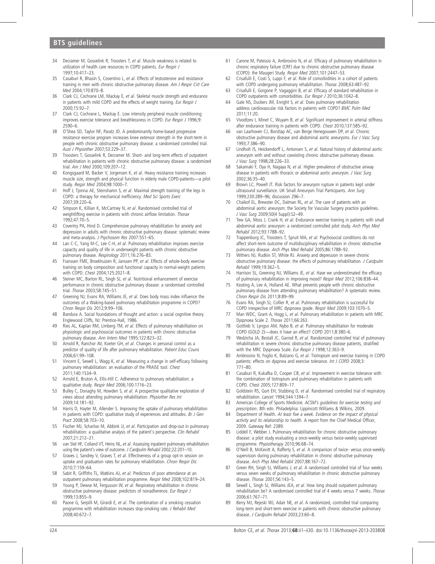# BTS guidelines

- 34 Decramer M, Gosselink R, Troosters T, et al. Muscle weakness is related to utilization of health care resources in COPD patients. Eur Respir J 1997;10:417–23.
- 35 Casaburi R, Bhasin S, Cosentino L, et al. Effects of testosterone and resistance training in men with chronic obstructive pulmonary disease. Am J Respir Crit Care Med 2004:170:870-8.
- Clark CJ, Cochrane LM, Mackay E, et al. Skeletal muscle strength and endurance in patients with mild COPD and the effects of weight training. Eur Respir J 2000;15:92–7.
- 37 Clark CJ, Cochrane L, Mackay E. Low intensity peripheral muscle conditioning improves exercise tolerance and breathlessness in COPD. Eur Respir J 1996;9: 2590–6.
- 38 O'Shea SD, Taylor NF, Paratz JD. A predominantly home-based progressive resistance exercise program increases knee extensor strength in the short-term in people with chronic obstructive pulmonary disease: a randomised controlled trial. Aust J Physiother 2007;53:229–37.
- 39 Troosters T, Gosselink R, Decramer M. Short- and long-term effects of outpatient rehabilitation in patients with chronic obstructive pulmonary disease: a randomized trial. Am J Med 2000;109:207–12.
- 40 Kongsgaard M, Backer V, Jorgensen K, et al. Heavy resistance training increases muscle size, strength and physical function in elderly male COPD-patients—a pilot study. Respir Med 2004;98:1000–7.
- 41 Hoff J, Tjonna AE, Steinshamn S, et al. Maximal strength training of the legs in COPD: a therapy for mechanical inefficiency. Med Sci Sports Exerc 2007;39:220–6.
- 42 Simpson K, Killian K, McCartney N, et al. Randomised controlled trial of weightlifting exercise in patients with chronic airflow limitation. Thorax 1992;47:70–5.
- 43 Coventry PA, Hind D. Comprehensive pulmonary rehabilitation for anxiety and depression in adults with chronic obstructive pulmonary disease: systematic review and meta-analysis. J Psychosom Res 2007:551–65.
- 44 Lan C-C, Yang M-C, Lee C-H, et al. Pulmonary rehabilitation improves exercise capacity and quality of life in underweight patients with chronic obstructive pulmonary disease. Respirology 2011;16:276–83.
- 45 Franssen FME, Broekhuizen R, Janssen PP, et al. Effects of whole-body exercise training on body composition and functional capacity in normal-weight patients with COPD. Chest 2004;125:2021–8.
- 46 Steiner MC, Barton RL, Singh SJ, et al. Nutritional enhancement of exercise performance in chronic obstructive pulmonary disease: a randomised controlled trial. Thorax 2003;58:745–51.
- 47 Greening NJ, Evans RA, Williams JE, et al. Does body mass index influence the outcomes of a Waking-based pulmonary rehabilitation programme in COPD? Chron Respir Dis 2012;9:99–106.
- 48 Bandura A. Social foundations of thought and action: a social cognitive theory. Englewood Cliffs, NJ: Prentice-Hall, 1986.
- 49 Ries AL, Kaplan RM, Limberg TM, et al. Effects of pulmonary rehabilitation on physiologic and psychosocial outcomes in patients with chronic obstructive pulmonary disease. Ann Intern Med 1995;122:823–32.
- 50 Arnold R, Ranchor AV, Koeter GH, et al. Changes in personal control as a predictor of quality of life after pulmonary rehabilitation. Patient Educ Couns 2006;61:99–108.
- 51 Vincent E, Sewell L, Wagg K, et al. Measuring a change in self-efficacy following pulmonary rehabilitation: an evaluation of the PRAISE tool. Chest 2011;140:1534–9.
- 52 Arnold E, Bruton A, Ellis-Hill C. Adherence to pulmonary rehabilitation: a qualitative study. Respir Med 2006;100:1716–23.
- 53 Bulley C, Donaghy M, Howden S, et al. A prospective qualitative exploration of views about attending pulmonary rehabilitation. Physiother Res Int 2009;14:181–92.
- 54 Harris D, Hayter M, Allender S. Improving the uptake of pulmonary rehabilitation in patients with COPD: qualitative study of experiences and attitudes. Br J Gen Pract 2008;58:703–10.
- 55 Fischer MJ, Scharloo M, Abbink JJ, et al. Participation and drop-out in pulmonary rehabilitation: a qualitative analysis of the patient's perspective. Clin Rehabil 2007;21:212–21.
- 56 van Stel HF, Colland VT, Heins NL, et al. Assessing inpatient pulmonary rehabilitation using the patient's view of outcome. J Cardpulm Rehabil 2002;22:201-10.
- 57 Graves J, Sandrey V, Graves T, et al. Effectiveness of a group opt-in session on uptake and graduation rates for pulmonary rehabilitation. Chron Respir Dis 2010;7:159–64.
- 58 Sabit R, Griffiths TL, Watkins AJ, et al. Predictors of poor attendance at an outpatient pulmonary rehabilitation programme. Respir Med 2008;102:819–24.
- 59 Young P, Dewse M, Fergusson W, et al. Respiratory rehabilitation in chronic obstructive pulmonary disease: predictors of nonadherence. Eur Respir J 1999;13:855–9.
- 60 Paone G, Serpilli M, Girardi E, et al. The combination of a smoking cessation programme with rehabilitation increases stop-smoking rate. J Rehabil Med 2008;40:672–7.
- 61 Carone M, Patessio A, Ambrosino N, et al. Efficacy of pulmonary rehabilitation in chronic respiratory failure (CRF) due to chronic obstructive pulmonary disease (COPD): the Maugeri Study. Respir Med 2007;101:2447–53.
- 62 Crisafulli E, Costi S, Luppi F, et al. Role of comorbidities in a cohort of patients with COPD undergoing pulmonary rehabilitation. Thorax 2008;63:487–92.
- 63 Crisafulli E, Gorgone P, Vagaggini B, et al. Efficacy of standard rehabilitation in COPD outpatients with comorbidities. Eur Respir J 2010;36:1042–8.
- 64 Gale NS, Duckers JM, Enright S, et al. Does pulmonary rehabilitation address cardiovascular risk factors in patients with COPD? BMC Pulm Med 2011;11:20.
- 65 Vivodtzev I, Minet C, Wuyam B, et al. Significant improvement in arterial stiffness after endurance training in patients with COPD. Chest 2010;137:585–92.
- 66 van Laarhoven CJ, Borstlap AC, van Berge Henegouwen DP, et al. Chronic obstructive pulmonary disease and abdominal aortic aneurysms. Eur J Vasc Surg 1993;7:386–90.
- 67 Lindholt JS, Heickendorff L, Antonsen S, et al. Natural history of abdominal aortic aneurysm with and without coexisting chronic obstructive pulmonary disease. J Vasc Surg 1998;28:226–33.
- 68 Sakamaki F, Oya H, Nagaya N, et al. Higher prevalence of obstructive airway disease in patients with thoracic or abdominal aortic aneurysm. J Vasc Surg 2002;36:35–40.
- 69 Brown LC, Powell JT. Risk factors for aneurysm rupture in patients kept under ultrasound surveillance. UK Small Aneurysm Trial Participants. Ann Surg 1999;230:289–96; discussion 296–7.
- 70 Chaikof EL, Brewster DC, Dalman RL, et al. The care of patients with an abdominal aortic aneurysm: the Society for Vascular Surgery practice guidelines. J Vasc Surg 2009;50(4 Suppl):S2–49.
- 71 Tew GA, Moss J, Crank H, et al. Endurance exercise training in patients with small abdominal aortic aneurysm: a randomized controlled pilot study. Arch Phys Med Rehabil 2012;93:1788–92.
- 72 Trappenburg JC, Troosters T, Spruit MA, et al. Psychosocial conditions do not affect short-term outcome of multidisciplinary rehabilitation in chronic obstructive pulmonary disease. Arch Phys Med Rehabil 2005;86:1788–92.
- 73 Withers NJ, Rudkin ST, White RJ. Anxiety and depression in severe chronic obstructive pulmonary disease: the effects of pulmonary rehabilitation. *J Cardpulm* Rehabil 1999;19:362–5.
- Harrison SL, Greening NJ, Williams JE, et al. Have we underestimated the efficacy of pulmonary rehabilitation in improving mood? Respir Med 2012;106:838–44.
- 75 Keating A, Lee A, Holland AE. What prevents people with chronic obstructive pulmonary disease from attending pulmonary rehabilitation? A systematic review. Chron Respir Dis 2011;8:89–99.
- 76 Evans RA, Singh SJ, Collier R, et al. Pulmonary rehabilitation is successful for COPD irrespective of MRC dyspnoea grade. Respir Med 2009;103:1070–5.
- 77 Man WDC, Grant A, Hogg L, et al. Pulmonary rehabilitation in patients with MRC Dyspnoea Scale 2. Thorax 2011;66:263.
- 78 Gottlieb V, Lyngso AM, Nybo B, et al. Pulmonary rehabilitation for moderate COPD (GOLD 2)—does it have an effect? COPD 2011;8:380–6.
- 79 Wedzicha JA, Bestall JC, Garrod R, et al. Randomized controlled trial of pulmonary rehabilitation in severe chronic obstructive pulmonary disease patients, stratified with the MRC Dyspnoea Scale. Eur Respir J 1998;12:363-9.
- 80 Ambrosino N, Foglio K, Balzano G, et al. Tiotropium and exercise training in COPD patients: effects on dyspnea and exercise tolerance. Int J COPD 2008;3: 771–80.
- 81 Casaburi R, Kukafka D, Cooper CB, et al. Improvement in exercise tolerance with the combination of tiotropium and pulmonary rehabilitation in patients with COPD. Chest 2005;127:809–17.
- 82 Goldstein RS, Gort EH, Stubbing D, et al. Randomised controlled trial of respiratory rehabilitation. Lancet 1994;344:1394–7.
- 83 American College of Sports Medicine. ACSM's guidelines for exercise testing and prescription. 8th edn. Philadelphia: Lippincott Williams & Wilkins, 2009.
- 84 Department of Health. At least five a week. Evidence on the impact of physical activity and its relationship to health. A report from the Chief Medical Officer, 2009. Gateway Ref: 2389.
- 85 Liddell F, Webber J. Pulmonary rehabilitation for chronic obstructive pulmonary disease: a pilot study evaluating a once-weekly versus twice-weekly supervised programme. Physiotherapy 2010;96:68–74.
- 86 O'Neill B, McKevitt A, Rafferty S, et al. A comparison of twice- versus once-weekly supervision during pulmonary rehabilitation in chronic obstructive pulmonary disease. Arch Phys Med Rehabil 2007;88:167–72.
- 87 Green RH, Singh SJ, Williams J, et al. A randomised controlled trial of four weeks versus seven weeks of pulmonary rehabilitation in chronic obstructive pulmonary disease. Thorax 2001;56:143–5.
- 88 Sewell L, Singh SJ, Williams JEA, et al. How long should outpatient pulmonary rehabilitation be? A randomised controlled trial of 4 weeks versus 7 weeks. Thorax 2006;61:767–71.
- 89 Berry MJ, Rejeski WJ, Adair NE, et al. A randomized, controlled trial comparing long-term and short-term exercise in patients with chronic obstructive pulmonary disease. J Cardpulm Rehabil 2003;23:60–8.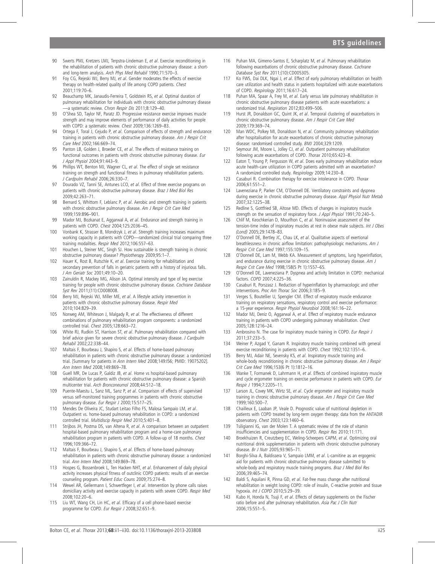- 90 Swerts PMJ, Kretzers LMJ, Terpstra-Lindeman E, et al. Exercise reconditioning in the rehabilitation of patients with chronic obstructive pulmonary disease: a shortand long-term analysis. Arch Phys Med Rehabil 1990;71:570–3.
- 91 Foy CG, Rejeski WJ, Berry MJ, et al. Gender moderates the effects of exercise therapy on health-related quality of life among COPD patients. Chest 2001;119:70–6.
- 92 Beauchamp MK, Janaudis-Ferreira T, Goldstein RS, et al. Optimal duration of pulmonary rehabilitation for individuals with chronic obstructive pulmonary disease —a systematic review. Chron Respir Dis 2011;8:129–40.
- 93 O'Shea SD, Taylor NF, Paratz JD. Progressive resistance exercise improves muscle strength and may improve elements of performance of daily activities for people with COPD: a systematic review. Chest 2009;136:1269–83.
- 94 Ortega F, Toral J, Cejudo P, et al. Comparison of effects of strength and endurance training in patients with chronic obstructive pulmonary disease. Am J Respir Crit Care Med 2002;166:669–74.
- 95 Panton LB, Golden J, Broeder CE, et al. The effects of resistance training on functional outcomes in patients with chronic obstructive pulmonary disease. Eur J Appl Physiol 2004;91:443–9.
- 96 Phillips WT, Benton MJ, Wagner CL, et al. The effect of single set resistance training on strength and functional fitness in pulmonary rehabilitation patients. J Cardpulm Rehabil 2006;26:330–7.
- 97 Dourado VZ, Tanni SE, Antunes LCO, et al. Effect of three exercise programs on patients with chronic obstructive pulmonary disease. Braz J Med Biol Res 2009;42:263–71.
- 98 Bernard S, Whittom F, Leblanc P, et al. Aerobic and strength training in patients with chronic obstructive pulmonary disease. Am J Respir Crit Care Med 1999;159:896–901.
- 99 Mador MJ, Bozkanat E, Aggarwal A, et al. Endurance and strength training in patients with COPD. Chest 2004;125:2036–45.
- 100 Vonbank K, Strasser B, Mondrzyk J, et al. Strength training increases maximum working capacity in patients with COPD—randomized clinical trial comparing three training modalities. Respir Med 2012;106:557–63.
- 101 Houchen L, Steiner MC, Singh SJ. How sustainable is strength training in chronic obstructive pulmonary disease? Physiotherapy 2009;95:1–7.
- 102 Hauer K, Rost B, Rutschle K, et al. Exercise training for rehabilitation and secondary prevention of falls in geriatric patients with a history of injurious falls. J Am Geriatr Soc 2001;49:10–20.
- 103 Zainuldin R, Mackey MG, Alison JA. Optimal intensity and type of leg exercise training for people with chronic obstructive pulmonary disease. Cochrane Database Syst Rev 2011;(11):CD008008.
- 104 Berry MJ, Rejeski WJ, Miller ME, et al. A lifestyle activity intervention in patients with chronic obstructive pulmonary disease. Respir Med 2010;104:829–39.
- 105 Norweg AM, Whiteson J, Malgady R, et al. The effectiveness of different combinations of pulmonary rehabilitation program components: a randomized controlled trial. Chest 2005;128:663–72.
- 106 White RJ, Rudkin ST, Harrison ST, et al. Pulmonary rehabilitation compared with brief advice given for severe chronic obstructive pulmonary disease. J Cardpulm Rehabil 2002;22:338–44.
- 107 Maltais F, Bourbeau J, Shapiro S, et al. Effects of home-based pulmonary rehabilitation in patients with chronic obstructive pulmonary disease: a randomized trial. [Summary for patients in Ann Intern Med 2008;149:I56; PMID: 19075202]. Ann Intern Med 2008;149:869–78.
- 108 Guell MR, De Lucas P, Galdiz JB, et al. Home vs hospital-based pulmonary rehabilitation for patients with chronic obstructive pulmonary disease: a Spanish multicenter trial. Arch Bronconeumol 2008;44:512–18.
- 109 Puente-Maestu L, Sanz ML, Sanz P, et al. Comparison of effects of supervised versus self-monitored training programmes in patients with chronic obstructive pulmonary disease. Eur Respir J 2000;15:517–25.
- 110 Mendes De Oliveira JC, Studart Leitao Filho FS, Malosa Sampaio LM, et al. Outpatient vs. home-based pulmonary rehabilitation in COPD: a randomized controlled trial. Multidiscip Respir Med 2010;5:401–8.
- 111 Strijbos JH, Postma DS, van Altena R, et al. A comparison between an outpatient hospital-based pulmonary rehabilitation program and a home-care pulmonary rehabilitation program in patients with COPD. A follow-up of 18 months. Chest 1996;109:366–72.
- 112 Maltais F, Bourbeau J, Shapiro S, et al. Effects of home-based pulmonary rehabilitation in patients with chronic obstructive pulmonary disease: a randomized trial. Ann Intern Med 2008;149:869–78.
- 113 Hospes G, Bossenbroek L, Ten Hacken NHT, et al. Enhancement of daily physical activity increases physical fitness of outclinic COPD patients: results of an exercise counseling program. Patient Educ Couns 2009;75:274–8.
- 114 Wewel AR, Gellermann I, Schwertfeger I, et al. Intervention by phone calls raises domiciliary activity and exercise capacity in patients with severe COPD. Respir Med 2008;102:20–6.
- 115 Liu WT, Wang CH, Lin HC, et al. Efficacy of a cell phone-based exercise programme for COPD. Eur Respir J 2008;32:651–9.
- 116 Puhan MA, Gimeno-Santos E, Scharplatz M, et al. Pulmonary rehabilitation following exacerbations of chronic obstructive pulmonary disease. Cochrane Database Syst Rev 2011;(10):CD005305.
- 117 Ko FWS, Dai DLK, Ngai J, et al. Effect of early pulmonary rehabilitation on health care utilization and health status in patients hospitalized with acute exacerbations of COPD. Respirology 2011;16:617–24.
- Puhan MA, Spaar A, Frey M, et al. Early versus late pulmonary rehabilitation in chronic obstructive pulmonary disease patients with acute exacerbations: a randomized trial. Respiration 2012;83:499–506.
- 119 Hurst JR, Donaldson GC, Quint JK, et al. Temporal clustering of exacerbations in chronic obstructive pulmonary disease. Am J Respir Crit Care Med 2009;179:369–74.
- 120 Man WDC, Polkey MI, Donaldson N, et al. Community pulmonary rehabilitation after hospitalisation for acute exacerbations of chronic obstructive pulmonary disease: randomised controlled study. BMJ 2004;329:1209.
- 121 Seymour JM, Moore L, Jolley CJ, et al. Outpatient pulmonary rehabilitation following acute exacerbations of COPD. Thorax 2010;65:423–8.
- 122 Eaton T, Young P, Fergusson W, et al. Does early pulmonary rehabilitation reduce acute health-care utilization in COPD patients admitted with an exacerbation? A randomized controlled study. Respirology 2009;14:230–8.
- 123 Casaburi R. Combination therapy for exercise intolerance in COPD. Thorax 2006;61:551–2.
- 124 Laveneziana P, Parker CM, O'Donnell DE. Ventilatory constraints and dyspnea during exercise in chronic obstructive pulmonary disease. Appl Physiol Nutr Metab 2007;32:1225–38.
- 125 Redline S, Gottfried SB, Altose MD. Effects of changes in inspiratory muscle strength on the sensation of respiratory force. J Appl Physiol 1991;70:240-5.
- 126 Chlif M, Keochkerian D, Mourlhon C, et al. Noninvasive assessment of the tension-time index of inspiratory muscles at rest in obese male subjects. Int J Obes (Lond) 2005;29:1478–83.
- 127 O'Donnell DE, Bertley JC, Chau LK, et al. Qualitative aspects of exertional breathlessness in chronic airflow limitation: pathophysiologic mechanisms. Am J Respir Crit Care Med 1997;155:109–15.
- 128 O'Donnell DE, Lam M, Webb KA. Measurement of symptoms, lung hyperinflation, and endurance during exercise in chronic obstructive pulmonary disease. Am J Respir Crit Care Med 1998;158(5 Pt 1):1557–65.
- 129 O'Donnell DE, Laveneziana P. Dyspnea and activity limitation in COPD: mechanical factors. COPD 2007;4:225–36.
- 130 Casaburi R, Porszasz J. Reduction of hyperinflation by pharmacologic and other interventions. Proc Am Thorac Soc 2006;3:185–9.
- 131 Verges S, Boutellier U, Spengler CM. Effect of respiratory muscle endurance training on respiratory sensations, respiratory control and exercise performance: a 15-year experience. Respir Physiol Neurobiol 2008;161:16–22.
- 132 Mador MJ, Deniz O, Aggarwal A, et al. Effect of respiratory muscle endurance training in patients with COPD undergoing pulmonary rehabilitation. Chest 2005;128:1216–24.
- Ambrosino N. The case for inspiratory muscle training in COPD. Eur Respir J 2011;37:233–5.
- 134 Weiner P, Azgad Y, Ganam R. Inspiratory muscle training combined with general exercise reconditioning in patients with COPD. Chest 1992;102:1351–6.
- 135 Berry MJ, Adair NE, Sevensky KS, et al. Inspiratory muscle training and whole-body reconditioning in chronic obstructive pulmonary disease. Am J Respir Crit Care Med 1996;153(6 Pt 1):1812–16.
- 136 Wanke T, Formanek D, Lahrmann H, et al. Effects of combined inspiratory muscle and cycle ergometer training on exercise performance in patients with COPD. Eur Respir J 1994;7:2205–11.
- 137 Larson JL, Covey MK, Wirtz SE, et al. Cycle ergometer and inspiratory muscle training in chronic obstructive pulmonary disease. Am J Respir Crit Care Med 1999;160:500–7.
- 138 Chailleux E, Laaban JP, Veale D. Prognostic value of nutritional depletion in patients with COPD treated by long-term oxygen therapy: data from the ANTADIR observatory. Chest 2003;123:1460–6.
- 139 Tsiligianni IG, van der Molen T. A systematic review of the role of vitamin insufficiencies and supplementation in COPD. Respir Res 2010;11:171.
- 140 Broekhuizen R, Creutzberg EC, Weling-Scheepers CAPM, et al. Optimizing oral nutritional drink supplementation in patients with chronic obstructive pulmonary disease. Br J Nutr 2005;93:965–71.
- 141 Borghi-Silva A, Baldissera V, Sampaio LMM, et al. L-carnitine as an ergogenic aid for patients with chronic obstructive pulmonary disease submitted to whole-body and respiratory muscle training programs. Braz J Med Biol Res 2006;39:465–74.
- 142 Baldi S, Aquilani R, Pinna GD, et al. Fat-free mass change after nutritional rehabilitation in weight losing COPD: role of insulin, C-reactive protein and tissue hypoxia. Int J COPD 2010;5:29–39.
- 143 Kubo H, Honda N, Tsuji F, et al. Effects of dietary supplements on the Fischer ratio before and after pulmonary rehabilitation. Asia Pac J Clin Nutr 2006;15:551–5.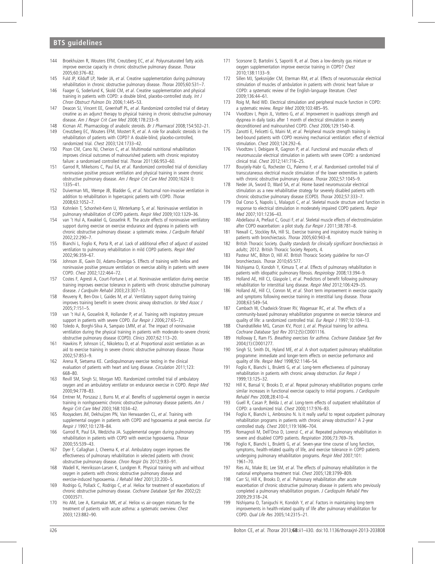- 144 Broekhuizen R, Wouters EFM, Creutzberg EC, et al. Polyunsaturated fatty acids improve exercise capacity in chronic obstructive pulmonary disease. Thorax 2005;60:376–82.
- 145 Fuld JP, Kilduff LP, Neder JA, et al. Creatine supplementation during pulmonary rehabilitation in chronic obstructive pulmonary disease. Thorax 2005;60:531–7.
- 146 Faager G, Soderlund K, Skold CM, et al. Creatine supplementation and physical training in patients with COPD: a double blind, placebo-controlled study. Int J Chron Obstruct Pulmon Dis 2006;1:445–53.
- 147 Deacon SJ, Vincent EE, Greenhaff PL, et al. Randomized controlled trial of dietary creatine as an adjunct therapy to physical training in chronic obstructive pulmonary disease. Am J Respir Crit Care Med 2008;178:233–9.
- 148 Kicman AT. Pharmacology of anabolic steroids. Br J Pharmacol 2008;154:502–21.
- 149 Creutzberg EC, Wouters EFM. Mostert R, et al. A role for anabolic steroids in the rehabilitation of patients with COPD? A double-blind, placebo-controlled, randomized trial. Chest 2003;124:1733–42.
- 150 Pison CM, Cano NJ, Cherion C, et al. Multimodal nutritional rehabilitation improves clinical outcomes of malnourished patients with chronic respiratory failure: a randomised controlled trial. Thorax 2011;66:953–60.
- 151 Garrod R, Mikelsons C, Paul EA, et al. Randomized controlled trial of domiciliary noninvasive positive pressure ventilation and physical training in severe chronic obstructive pulmonary disease. Am J Respir Crit Care Med 2000;162(4 I): 1335–41.
- 152 Duiverman ML, Wempe JB, Bladder G, et al. Nocturnal non-invasive ventilation in addition to rehabilitation in hypercapnic patients with COPD. Thorax 2008;63:1052–7.
- 153 Kohnlein T, Schonheit-Kenn U, Winterkamp S, et al. Noninvasive ventilation in pulmonary rehabilitation of COPD patients. Respir Med 2009;103:1329–36.
- 154 van 't Hul A, Kwakkel G, Gosselink R. The acute effects of noninvasive ventilatory support during exercise on exercise endurance and dyspnea in patients with chronic obstructive pulmonary disease: a systematic review. J Cardpulm Rehabil 2002;22:290–7.
- 155 Bianchi L, Foglio K, Porta R, et al. Lack of additional effect of adjunct of assisted ventilation to pulmonary rehabilitation in mild COPD patients. Respir Med 2002;96:359–67.
- 156 Johnson JE, Gavin DJ, Adams-Dramiga S. Effects of training with heliox and noninvasive positive pressure ventilation on exercise ability in patients with severe COPD. Chest 2002;122:464–72.
- 157 Costes F, Agresti A, Court-Fortune I, et al. Noninvasive ventilation during exercise training improves exercise tolerance in patients with chronic obstructive pulmonary disease. J Cardpulm Rehabil 2003;23:307–13.
- 158 Reuveny R, Ben-Dov I, Gaides M, et al. Ventilatory support during training improves training benefit in severe chronic airway obstruction. Isr Med Assoc J 2005;7:151–5.
- 159 van 't Hul A, Gosselink R, Hollander P, et al. Training with inspiratory pressure support in patients with severe COPD. Eur Respir J 2006;27:65-72.
- 160 Toledo A, Borghi-Silva A, Sampaio LMM, et al. The impact of noninvasive ventilation during the physical training in patients with moderate-to-severe chronic obstructive pulmonary disease (COPD). Clinics 2007;62:113–20.
- 161 Hawkins P, Johnson LC, Nikoletou D, et al. Proportional assist ventilation as an aid to exercise training in severe chronic obstructive pulmonary disease. Thorax 2002;57:853–9.
- 162 Arena R, Sietsema KE. Cardiopulmonary exercise testing in the clinical evaluation of patients with heart and lung disease. Circulation 2011;123: 668–80.
- 163 Revill SM, Singh SJ, Morgan MD. Randomized controlled trial of ambulatory oxygen and an ambulatory ventilator on endurance exercise in COPD. Respir Med 2000;94:778–83.
- 164 Emtner M, Porszasz J, Burns M, et al. Benefits of supplemental oxygen in exercise training in nonhypoxemic chronic obstructive pulmonary disease patients. Am J Respir Crit Care Med 2003;168:1034–42.
- 165 Rooyackers JM, Dekhuijzen PN, Van Herwaarden CL, et al. Training with supplemental oxygen in patients with COPD and hypoxaemia at peak exercise. Eur Respir J 1997;10:1278–84.
- 166 Garrod R, Paul EA, Wedzicha JA. Supplemental oxygen during pulmonary rehabilitation in patients with COPD with exercise hypoxaemia. Thorax 2000;55:539–43.
- Dyer F, Callaghan J, Cheema K, et al. Ambulatory oxygen improves the effectiveness of pulmonary rehabilitation in selected patients with chronic obstructive pulmonary disease. Chron Respir Dis 2012;9:83–91.
- 168 Wadell K, Henriksson-Larsen K, Lundgren R. Physical training with and without oxygen in patients with chronic obstructive pulmonary disease and exercise-induced hypoxaemia. J Rehabil Med 2001;33:200–5.
- 169 Rodrigo G, Pollack C, Rodrigo C, et al. Heliox for treatment of exacerbations of chronic obstructive pulmonary disease. Cochrane Database Syst Rev 2002;(2): CD003571.
- 170 Ho AM, Lee A, Karmakar MK, et al. Heliox vs air-oxygen mixtures for the treatment of patients with acute asthma: a systematic overview. Chest 2003;123:882–90.
- 171 Scorsone D, Bartolini S, Saporiti R, et al. Does a low-density gas mixture or oxygen supplementation improve exercise training in COPD? Chest 2010;138:1133–9.
- 172 Sillen MJ, Speksnijder CM, Eterman RM, et al. Effects of neuromuscular electrical stimulation of muscles of ambulation in patients with chronic heart failure or COPD: a systematic review of the English-language literature. Chest 2009;136:44–61.
- 173 Roig M, Reid WD. Electrical stimulation and peripheral muscle function in COPD: a systematic review. Respir Med 2009;103:485–95.
- 174 Vivodtzev I, Pepin JL, Vottero G, et al. Improvement in quadriceps strength and dyspnea in daily tasks after 1 month of electrical stimulation in severely deconditioned and malnourished COPD. Chest 2006;129:1540–8.
- 175 Zanotti E, Felicetti G, Maini M, et al. Peripheral muscle strength training in bed-bound patients with COPD receiving mechanical ventilation: effect of electrical stimulation. Chest 2003;124:292–6.
- 176 Vivodtzev I, Debigare R, Gagnon P, et al. Functional and muscular effects of neuromuscular electrical stimulation in patients with severe COPD: a randomized clinical trial. Chest 2012;141:716–25.
- 177 Bourjeily-Habr G, Rochester CL, Palermo F, et al. Randomised controlled trial of transcutaneous electrical muscle stimulation of the lower extremities in patients with chronic obstructive pulmonary disease. Thorax 2002;57:1045–9.
- 178 Neder JA, Sword D, Ward SA, et al. Home based neuromuscular electrical stimulation as a new rehabilitative strategy for severely disabled patients with chronic obstructive pulmonary disease (COPD). Thorax 2002;57:333–7.
- 179 Dal Corso S, Napolis L, Malaguti C, et al. Skeletal muscle structure and function in response to electrical stimulation in moderately impaired COPD patients. Respir Med 2007;101:1236–43.
- 180 Abdellaoui A, Prefaut C, Gouzi F, et al. Skeletal muscle effects of electrostimulation after COPD exacerbation: a pilot study. Eur Respir J 2011;38:781–8.
- 181 Newall C, Stockley RA, Hill SL. Exercise training and inspiratory muscle training in patients with bronchiectasis. Thorax 2005;60:943–8.
- 182 British Thoracic Society. Quality standards for clinically significant bronchiectasis in adults; 2012. British Thoracic Society Reports, 4.
- 183 Pasteur MC, Bilton D, Hill AT. British Thoracic Society guideline for non-CF bronchiectasis. Thorax 2010;65:577.
- 184 Nishiyama O, Kondoh Y, Kimura T, et al. Effects of pulmonary rehabilitation in patients with idiopathic pulmonary fibrosis. Respirology 2008;13:394-9.
- 185 Holland AE, Hill CJ, Glaspole I, et al. Predictors of benefit following pulmonary rehabilitation for interstitial lung disease. Respir Med 2012;106:429–35.
- 186 Holland AE, Hill CJ, Conron M, et al. Short term improvement in exercise capacity and symptoms following exercise training in interstitial lung disease. Thorax 2008;63:549–54.
- 187 Cambach W, Chadwick-Straver RV, Wagenaar RC, et al. The effects of a community-based pulmonary rehabilitation programme on exercise tolerance and quality of life: a randomized controlled trial. Eur Respir J 1997;10:104-13.
- 188 Chandratilleke MG, Carson KV, Picot J, et al. Physical training for asthma. Cochrane Database Syst Rev 2012;(5):CD001116.
- 189 Holloway E, Ram FS. Breathing exercises for asthma. Cochrane Database Syst Rev 2004;(1):CD001277.
- 190 Singh SJ, Smith DL, Hyland ME, et al. A short outpatient pulmonary rehabilitation programme: immediate and longer-term effects on exercise performance and quality of life. Respir Med 1998;92:1146–54.
- 191 Foglio K, Bianchi L, Bruletti G, et al. Long-term effectiveness of pulmonary rehabilitation in patients with chronic airway obstruction. Eur Respir J 1999;13:125–32.
- 192 Hill K, Bansal V, Brooks D, et al. Repeat pulmonary rehabilitation programs confer similar increases in functional exercise capacity to initial programs. J Cardiopulm Rehabil Prev 2008;28:410–4.
- 193 Guell R, Casan P, Belda J, et al. Long-term effects of outpatient rehabilitation of COPD: a randomized trial. Chest 2000;117:976–83.
- 194 Foglio K, Bianchi L, Ambrosino N. Is it really useful to repeat outpatient pulmonary rehabilitation programs in patients with chronic airway obstruction? A 2-year controlled study. Chest 2001;119:1696–704.
- 195 Romagnoli M, Dell'Orso D, Lorenzi C, et al. Repeated pulmonary rehabilitation in severe and disabled COPD patients. Respiration 2006;73:769–76.
- 196 Foglio K, Bianchi L, Bruletti G, et al. Seven-year time course of lung function, symptoms, health-related quality of life, and exercise tolerance in COPD patients undergoing pulmonary rehabilitation programs. Respir Med 2007;101: 1961–70.
- 197 Ries AL, Make BJ, Lee SM, et al. The effects of pulmonary rehabilitation in the national emphysema treatment trial. Chest 2005;128:3799–809.
- 198 Carr SJ, Hill K, Brooks D, et al. Pulmonary rehabilitation after acute exacerbation of chronic obstructive pulmonary disease in patients who previously completed a pulmonary rehabilitation program. J Cardiopulm Rehabil Prev 2009;29:318–24.
- 199 Nishiyama O, Taniguchi H, Kondoh Y, et al. Factors in maintaining long-term improvements in health-related quality of life after pulmonary rehabilitation for COPD. Qual Life Res 2005;14:2315–21.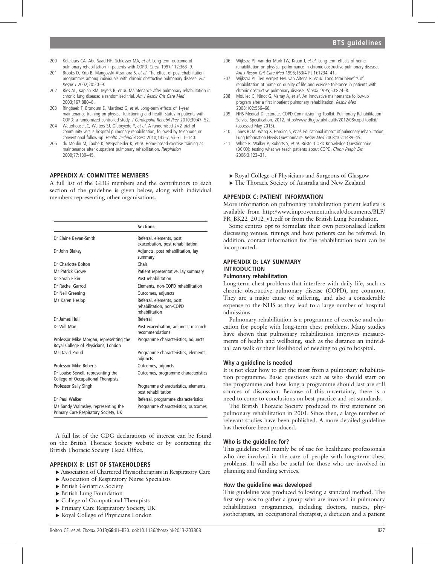- 200 Ketelaars CA, Abu-Saad HH, Schlosser MA, et al. Long-term outcome of pulmonary rehabilitation in patients with COPD. Chest 1997;112:363-9.
- 201 Brooks D, Krip B, Mangovski-Alzamora S, et al. The effect of postrehabilitation programmes among individuals with chronic obstructive pulmonary disease. Eur Respir J 2002;20:20–9.
- 202 Ries AL, Kaplan RM, Myers R, et al. Maintenance after pulmonary rehabilitation in chronic lung disease: a randomized trial. Am J Respir Crit Care Med 2003;167:880–8.
- 203 Ringbaek T, Brondum E, Martinez G, et al. Long-term effects of 1-year maintenance training on physical functioning and health status in patients with COPD: a randomized controlled study. J Cardiopulm Rehabil Prev 2010;30:47–52.
- 204 Waterhouse JC, Walters SJ, Oluboyede Y, et al. A randomised  $2\times2$  trial of community versus hospital pulmonary rehabilitation, followed by telephone or conventional follow-up. Health Technol Assess 2010;14:i–v, vii–xi, 1–140.
- 205 du Moulin M, Taube K, Wegscheider K, et al. Home-based exercise training as maintenance after outpatient pulmonary rehabilitation. Respiration 2009;77:139–45.

#### APPENDIX A: COMMITTEE MEMBERS

A full list of the GDG members and the contributors to each section of the guideline is given below, along with individual members representing other organisations.

|                                                                                | <b>Sections</b>                                                        |
|--------------------------------------------------------------------------------|------------------------------------------------------------------------|
| Dr Flaine Bevan-Smith                                                          | Referral, elements, post<br>exacerbation, post rehabilitation          |
| Dr John Blakey                                                                 | Adjuncts, post rehabilitation, lay<br>summary                          |
| Dr Charlotte Bolton                                                            | Chair                                                                  |
| Mr Patrick Crowe                                                               | Patient representative, lay summary                                    |
| Dr Sarah Flkin                                                                 | Post rehabilitation                                                    |
| Dr Rachel Garrod                                                               | Elements, non-COPD rehabilitation                                      |
| Dr Neil Greening                                                               | Outcomes, adjuncts                                                     |
| Ms Karen Heslop                                                                | Referral, elements, post<br>rehabilitation, non-COPD<br>rehabilitation |
| Dr James Hull                                                                  | Referral                                                               |
| Dr Will Man                                                                    | Post exacerbation, adjuncts, research<br>recommendations               |
| Professor Mike Morgan, representing the<br>Royal College of Physicians, London | Programme characteristics, adjuncts                                    |
| Mr David Proud                                                                 | Programme characteristics, elements,<br>adjuncts                       |
| Professor Mike Roberts                                                         | Outcomes, adjuncts                                                     |
| Dr Louise Sewell, representing the<br>College of Occupational Therapists       | Outcomes, programme characteristics                                    |
| Professor Sally Singh                                                          | Programme characteristics, elements,<br>post rehabilitation            |
| Dr Paul Walker                                                                 | Referral, programme characteristics                                    |
| Ms Sandy Walmsley, representing the<br>Primary Care Respiratory Society, UK    | Programme characteristics, outcomes                                    |

A full list of the GDG declarations of interest can be found on the British Thoracic Society website or by contacting the British Thoracic Society Head Office.

#### APPENDIX B: LIST OF STAKEHOLDERS

- ▸ Association of Chartered Physiotherapists in Respiratory Care
- ▸ Association of Respiratory Nurse Specialists
- ▸ British Geriatrics Society
- ▸ British Lung Foundation
- ▸ College of Occupational Therapists
- ▸ Primary Care Respiratory Society, UK
- ▸ Royal College of Physicians London
- 206 Wijkstra PJ, van der Mark TW, Kraan J, et al. Long-term effects of home rehabilitation on physical performance in chronic obstructive pulmonary disease. Am J Respir Crit Care Med 1996;153(4 Pt 1):1234–41.
- 207 Wijkstra PJ, Ten Vergert EM, van Altena R, et al. Long term benefits of rehabilitation at home on quality of life and exercise tolerance in patients with chronic obstructive pulmonary disease. Thorax 1995;50:824–8.
- 208 Moullec G, Ninot G, Varray A, et al. An innovative maintenance follow-up program after a first inpatient pulmonary rehabilitation. Respir Med 2008;102:556–66.
- 209 NHS Medical Directorate. COPD Commissioning Toolkit. Pulmonary Rehabilitation Service Specification. 2012. http://www.dh.gov.uk/health/2012/08/copd-toolkit/ (accessed May 2013).
- 210 Jones RCM, Wang X, Harding S, et al. Educational impact of pulmonary rehabilitation: Lung Information Needs Questionnaire. Respir Med 2008;102:1439–45.
- 211 White R, Walker P, Roberts S, et al. Bristol COPD Knowledge Questionnaire (BCKQ): testing what we teach patients about COPD. Chron Respir Dis 2006;3:123–31.
	- ▸ Royal College of Physicians and Surgeons of Glasgow
	- ▶ The Thoracic Society of Australia and New Zealand

#### APPENDIX C: PATIENT INFORMATION

More information on pulmonary rehabilitation patient leaflets is available from [http://www.improvement.nhs.uk/documents/BLF/](http://www.improvement.nhs.uk/documents/BLF/PR_BK22_2012_v1.pdf) [PR\\_BK22\\_2012\\_v1.pdf](http://www.improvement.nhs.uk/documents/BLF/PR_BK22_2012_v1.pdf) or from the British Lung Foundation.

Some centres opt to formulate their own personalised leaflets discussing venues, timings and how patients can be referred. In addition, contact information for the rehabilitation team can be incorporated.

# APPENDIX D: LAY SUMMARY INTRODUCTION

# Pulmonary rehabilitation

Long-term chest problems that interfere with daily life, such as chronic obstructive pulmonary disease (COPD), are common. They are a major cause of suffering, and also a considerable expense to the NHS as they lead to a large number of hospital admissions.

Pulmonary rehabilitation is a programme of exercise and education for people with long-term chest problems. Many studies have shown that pulmonary rehabilitation improves measurements of health and wellbeing, such as the distance an individual can walk or their likelihood of needing to go to hospital.

#### Why a guideline is needed

It is not clear how to get the most from a pulmonary rehabilitation programme. Basic questions such as who should start on the programme and how long a programme should last are still sources of discussion. Because of this uncertainty, there is a need to come to conclusions on best practice and set standards.

The British Thoracic Society produced its first statement on pulmonary rehabilitation in 2001. Since then, a large number of relevant studies have been published. A more detailed guideline has therefore been produced.

#### Who is the guideline for?

This guideline will mainly be of use for healthcare professionals who are involved in the care of people with long-term chest problems. It will also be useful for those who are involved in planning and funding services.

#### How the guideline was developed

This guideline was produced following a standard method. The first step was to gather a group who are involved in pulmonary rehabilitation programmes, including doctors, nurses, physiotherapists, an occupational therapist, a dietician and a patient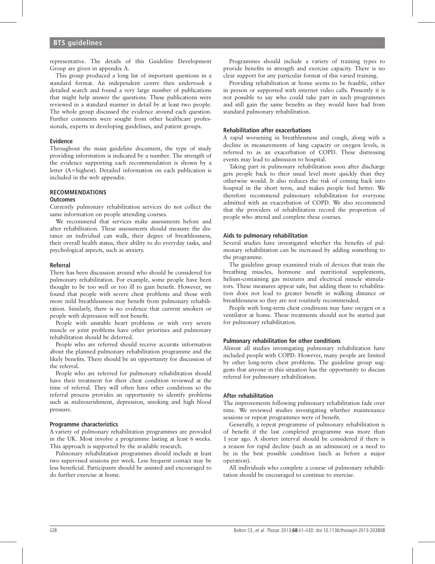representative. The details of this Guideline Development Group are given in appendix A.

This group produced a long list of important questions in a standard format. An independent centre then undertook a detailed search and found a very large number of publications that might help answer the questions. These publications were reviewed in a standard manner in detail by at least two people. The whole group discussed the evidence around each question. Further comments were sought from other healthcare professionals, experts in developing guidelines, and patient groups.

#### Evidence

Throughout the main guideline document, the type of study providing information is indicated by a number. The strength of the evidence supporting each recommendation is shown by a letter (A=highest). Detailed information on each publication is included in the web appendix.

# RECOMMENDATIONS

#### **Outcomes**

Currently pulmonary rehabilitation services do not collect the same information on people attending courses.

We recommend that services make assessments before and after rehabilitation. These assessments should measure the distance an individual can walk, their degree of breathlessness, their overall health status, their ability to do everyday tasks, and psychological aspects, such as anxiety.

#### Referral

There has been discussion around who should be considered for pulmonary rehabilitation. For example, some people have been thought to be too well or too ill to gain benefit. However, we found that people with severe chest problems and those with more mild breathlessness may benefit from pulmonary rehabilitation. Similarly, there is no evidence that current smokers or people with depression will not benefit.

People with unstable heart problems or with very severe muscle or joint problems have other priorities and pulmonary rehabilitation should be deferred.

People who are referred should receive accurate information about the planned pulmonary rehabilitation programme and the likely benefits. There should be an opportunity for discussion of the referral.

People who are referred for pulmonary rehabilitation should have their treatment for their chest condition reviewed at the time of referral. They will often have other conditions so the referral process provides an opportunity to identify problems such as malnourishment, depression, smoking and high blood pressure.

#### Programme characteristics

A variety of pulmonary rehabilitation programmes are provided in the UK. Most involve a programme lasting at least 6 weeks. This approach is supported by the available research.

Pulmonary rehabilitation programmes should include at least two supervised sessions per week. Less frequent contact may be less beneficial. Participants should be assisted and encouraged to do further exercise at home.

Programmes should include a variety of training types to provide benefits in strength and exercise capacity. There is no clear support for any particular format of this varied training.

Providing rehabilitation at home seems to be feasible, either in person or supported with internet video calls. Presently it is not possible to say who could take part in such programmes and still gain the same benefits as they would have had from standard pulmonary rehabilitation.

#### Rehabilitation after exacerbations

A rapid worsening in breathlessness and cough, along with a decline in measurements of lung capacity or oxygen levels, is referred to as an exacerbation of COPD. These distressing events may lead to admission to hospital.

Taking part in pulmonary rehabilitation soon after discharge gets people back to their usual level more quickly than they otherwise would. It also reduces the risk of coming back into hospital in the short term, and makes people feel better. We therefore recommend pulmonary rehabilitation for everyone admitted with an exacerbation of COPD. We also recommend that the providers of rehabilitation record the proportion of people who attend and complete these courses.

#### Aids to pulmonary rehabilitation

Several studies have investigated whether the benefits of pulmonary rehabilitation can be increased by adding something to the programme.

The guideline group examined trials of devices that train the breathing muscles, hormone and nutritional supplements, helium-containing gas mixtures and electrical muscle stimulators. These measures appear safe, but adding them to rehabilitation does not lead to greater benefit in walking distance or breathlessness so they are not routinely recommended.

People with long-term chest conditions may have oxygen or a ventilator at home. These treatments should not be started just for pulmonary rehabilitation.

#### Pulmonary rehabilitation for other conditions

Almost all studies investigating pulmonary rehabilitation have included people with COPD. However, many people are limited by other long-term chest problems. The guideline group suggests that anyone in this situation has the opportunity to discuss referral for pulmonary rehabilitation.

#### After rehabilitation

The improvements following pulmonary rehabilitation fade over time. We reviewed studies investigating whether maintenance sessions or repeat programmes were of benefit.

Generally, a repeat programme of pulmonary rehabilitation is of benefit if the last completed programme was more than 1 year ago. A shorter interval should be considered if there is a reason for rapid decline (such as an admission) or a need to be in the best possible condition (such as before a major operation).

All individuals who complete a course of pulmonary rehabilitation should be encouraged to continue to exercise.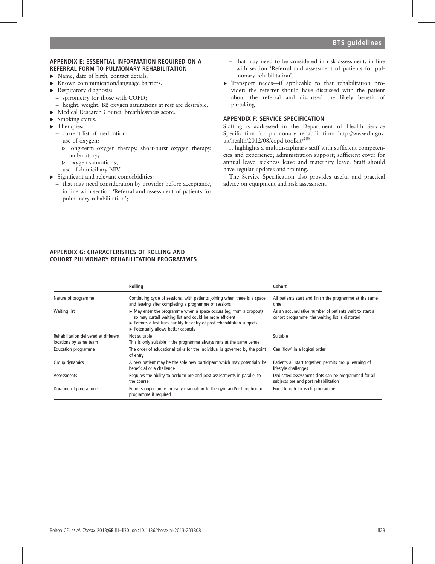#### APPENDIX E: ESSENTIAL INFORMATION REQUIRED ON A REFERRAL FORM TO PULMONARY REHABILITATION

- ▸ Name, date of birth, contact details.
- ▸ Known communication/language barriers.
- ▸ Respiratory diagnosis:
- spirometry for those with COPD;
- height, weight, BP, oxygen saturations at rest are desirable.
- ▸ Medical Research Council breathlessness score.
- ▶ Smoking status.
- ▶ Therapies:
	- current list of medication;
	- use of oxygen:
		- $\triangleright$  long-term oxygen therapy, short-burst oxygen therapy, ambulatory;
		- ▹ oxygen saturations;
	- use of domiciliary NIV.
- ▶ Significant and relevant comorbidities:
- that may need consideration by provider before acceptance, in line with section 'Referral and assessment of patients for pulmonary rehabilitation';
- that may need to be considered in risk assessment, in line with section 'Referral and assessment of patients for pulmonary rehabilitation'.
- ▸ Transport needs—if applicable to that rehabilitation provider: the referrer should have discussed with the patient about the referral and discussed the likely benefit of partaking.

#### APPENDIX F: SERVICE SPECIFICATION

Staffing is addressed in the Department of Health Service Specification for pulmonary rehabilitation: [http://www.dh.gov.](http://www.dh.gov.uk/health/2012/08/copd-toolkit/) [uk/health/2012/08/copd-toolkit/](http://www.dh.gov.uk/health/2012/08/copd-toolkit/)<sup>209</sup>

It highlights a multidisciplinary staff with sufficient competencies and experience; administration support; sufficient cover for annual leave, sickness leave and maternity leave. Staff should have regular updates and training.

The Service Specification also provides useful and practical advice on equipment and risk assessment.

#### APPENDIX G: CHARACTERISTICS OF ROLLING AND COHORT PULMONARY REHABILITATION PROGRAMMES

|                                                                 | Rolling                                                                                                                                                                                                                                                           | Cohort                                                                                                   |
|-----------------------------------------------------------------|-------------------------------------------------------------------------------------------------------------------------------------------------------------------------------------------------------------------------------------------------------------------|----------------------------------------------------------------------------------------------------------|
| Nature of programme                                             | Continuing cycle of sessions, with patients joining when there is a space<br>and leaving after completing a programme of sessions                                                                                                                                 | All patients start and finish the programme at the same<br>time                                          |
| Waiting list                                                    | $\triangleright$ May enter the programme when a space occurs (eq. from a dropout)<br>so may curtail waiting list and could be more efficient<br>▶ Permits a fast-track facility for entry of post-rehabilitation subjects<br>▶ Potentially allows better capacity | As an accumulative number of patients wait to start a<br>cohort programme, the waiting list is distorted |
| Rehabilitation delivered at different<br>locations by same team | Not suitable<br>This is only suitable if the programme always runs at the same venue                                                                                                                                                                              | Suitable                                                                                                 |
| <b>Education programme</b>                                      | The order of educational talks for the individual is governed by the point<br>of entry                                                                                                                                                                            | Can 'flow' in a logical order                                                                            |
| Group dynamics                                                  | A new patient may be the sole new participant which may potentially be<br>beneficial or a challenge                                                                                                                                                               | Patients all start together; permits group learning of<br>lifestyle challenges                           |
| Assessments                                                     | Requires the ability to perform pre and post assessments in parallel to<br>the course                                                                                                                                                                             | Dedicated assessment slots can be programmed for all<br>subjects pre and post rehabilitation             |
| Duration of programme                                           | Permits opportunity for early graduation to the gym and/or lengthening<br>programme if required                                                                                                                                                                   | Fixed length for each programme                                                                          |